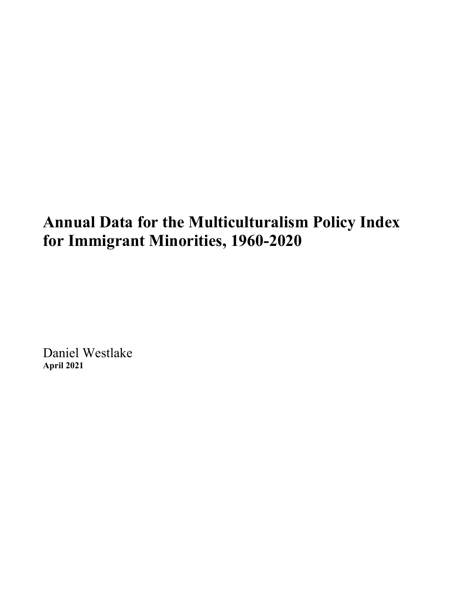# **Annual Data for the Multiculturalism Policy Index for Immigrant Minorities, 1960-2020**

Daniel Westlake **April 2021**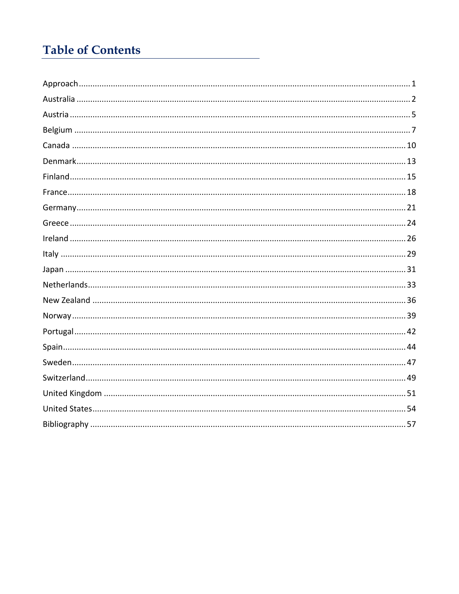# **Table of Contents**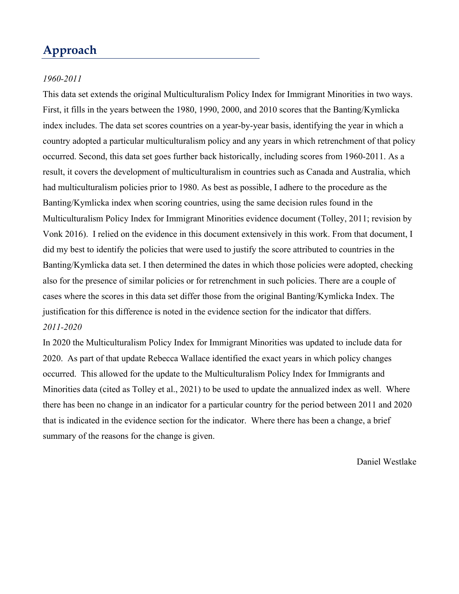# **Approach**

#### *1960-2011*

This data set extends the original Multiculturalism Policy Index for Immigrant Minorities in two ways. First, it fills in the years between the 1980, 1990, 2000, and 2010 scores that the Banting/Kymlicka index includes. The data set scores countries on a year-by-year basis, identifying the year in which a country adopted a particular multiculturalism policy and any years in which retrenchment of that policy occurred. Second, this data set goes further back historically, including scores from 1960-2011. As a result, it covers the development of multiculturalism in countries such as Canada and Australia, which had multiculturalism policies prior to 1980. As best as possible, I adhere to the procedure as the Banting/Kymlicka index when scoring countries, using the same decision rules found in the Multiculturalism Policy Index for Immigrant Minorities evidence document (Tolley, 2011; revision by Vonk 2016). I relied on the evidence in this document extensively in this work. From that document, I did my best to identify the policies that were used to justify the score attributed to countries in the Banting/Kymlicka data set. I then determined the dates in which those policies were adopted, checking also for the presence of similar policies or for retrenchment in such policies. There are a couple of cases where the scores in this data set differ those from the original Banting/Kymlicka Index. The justification for this difference is noted in the evidence section for the indicator that differs. *2011-2020*

In 2020 the Multiculturalism Policy Index for Immigrant Minorities was updated to include data for 2020. As part of that update Rebecca Wallace identified the exact years in which policy changes occurred. This allowed for the update to the Multiculturalism Policy Index for Immigrants and Minorities data (cited as Tolley et al., 2021) to be used to update the annualized index as well. Where there has been no change in an indicator for a particular country for the period between 2011 and 2020 that is indicated in the evidence section for the indicator. Where there has been a change, a brief summary of the reasons for the change is given.

Daniel Westlake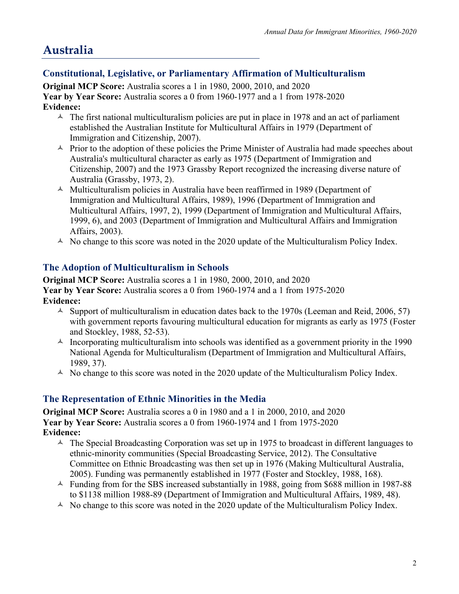# **Australia**

# **Constitutional, Legislative, or Parliamentary Affirmation of Multiculturalism**

**Original MCP Score:** Australia scores a 1 in 1980, 2000, 2010, and 2020 **Year by Year Score:** Australia scores a 0 from 1960-1977 and a 1 from 1978-2020 **Evidence:**

- $\sim$  The first national multiculturalism policies are put in place in 1978 and an act of parliament established the Australian Institute for Multicultural Affairs in 1979 (Department of Immigration and Citizenship, 2007).
- $\triangle$  Prior to the adoption of these policies the Prime Minister of Australia had made speeches about Australia's multicultural character as early as 1975 (Department of Immigration and Citizenship, 2007) and the 1973 Grassby Report recognized the increasing diverse nature of Australia (Grassby, 1973, 2).
- $\triangle$  Multiculturalism policies in Australia have been reaffirmed in 1989 (Department of Immigration and Multicultural Affairs, 1989), 1996 (Department of Immigration and Multicultural Affairs, 1997, 2), 1999 (Department of Immigration and Multicultural Affairs, 1999, 6), and 2003 (Department of Immigration and Multicultural Affairs and Immigration Affairs, 2003).
- $\triangle$  No change to this score was noted in the 2020 update of the Multiculturalism Policy Index.

## **The Adoption of Multiculturalism in Schools**

**Original MCP Score:** Australia scores a 1 in 1980, 2000, 2010, and 2020 **Year by Year Score:** Australia scores a 0 from 1960-1974 and a 1 from 1975-2020 **Evidence:**

- $\sim$  Support of multiculturalism in education dates back to the 1970s (Leeman and Reid, 2006, 57) with government reports favouring multicultural education for migrants as early as 1975 (Foster and Stockley, 1988, 52-53).
- $\lambda$  Incorporating multiculturalism into schools was identified as a government priority in the 1990 National Agenda for Multiculturalism (Department of Immigration and Multicultural Affairs, 1989, 37).
- $\triangle$  No change to this score was noted in the 2020 update of the Multiculturalism Policy Index.

#### **The Representation of Ethnic Minorities in the Media**

**Original MCP Score:** Australia scores a 0 in 1980 and a 1 in 2000, 2010, and 2020 **Year by Year Score:** Australia scores a 0 from 1960-1974 and 1 from 1975-2020 **Evidence:**

- $\triangle$  The Special Broadcasting Corporation was set up in 1975 to broadcast in different languages to ethnic-minority communities (Special Broadcasting Service, 2012). The Consultative Committee on Ethnic Broadcasting was then set up in 1976 (Making Multicultural Australia, 2005). Funding was permanently established in 1977 (Foster and Stockley, 1988, 168).
- $\sim$  Funding from for the SBS increased substantially in 1988, going from \$688 million in 1987-88 to \$1138 million 1988-89 (Department of Immigration and Multicultural Affairs, 1989, 48).
- $\triangle$  No change to this score was noted in the 2020 update of the Multiculturalism Policy Index.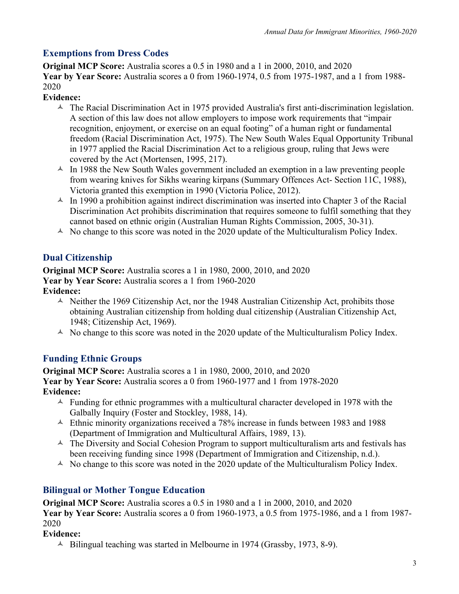# **Exemptions from Dress Codes**

**Original MCP Score:** Australia scores a 0.5 in 1980 and a 1 in 2000, 2010, and 2020 **Year by Year Score:** Australia scores a 0 from 1960-1974, 0.5 from 1975-1987, and a 1 from 1988- 2020

#### **Evidence:**

- $\triangle$  The Racial Discrimination Act in 1975 provided Australia's first anti-discrimination legislation. A section of this law does not allow employers to impose work requirements that "impair recognition, enjoyment, or exercise on an equal footing" of a human right or fundamental freedom (Racial Discrimination Act, 1975). The New South Wales Equal Opportunity Tribunal in 1977 applied the Racial Discrimination Act to a religious group, ruling that Jews were covered by the Act (Mortensen, 1995, 217).
- $\triangle$  In 1988 the New South Wales government included an exemption in a law preventing people from wearing knives for Sikhs wearing kirpans (Summary Offences Act- Section 11C, 1988), Victoria granted this exemption in 1990 (Victoria Police, 2012).
- $\sim$  In 1990 a prohibition against indirect discrimination was inserted into Chapter 3 of the Racial Discrimination Act prohibits discrimination that requires someone to fulfil something that they cannot based on ethnic origin (Australian Human Rights Commission, 2005, 30-31).
- $\triangle$  No change to this score was noted in the 2020 update of the Multiculturalism Policy Index.

# **Dual Citizenship**

**Original MCP Score:** Australia scores a 1 in 1980, 2000, 2010, and 2020 **Year by Year Score:** Australia scores a 1 from 1960-2020 **Evidence:**

- $\triangle$  Neither the 1969 Citizenship Act, nor the 1948 Australian Citizenship Act, prohibits those obtaining Australian citizenship from holding dual citizenship (Australian Citizenship Act, 1948; Citizenship Act, 1969).
- $\triangle$  No change to this score was noted in the 2020 update of the Multiculturalism Policy Index.

#### **Funding Ethnic Groups**

**Original MCP Score:** Australia scores a 1 in 1980, 2000, 2010, and 2020 **Year by Year Score:** Australia scores a 0 from 1960-1977 and 1 from 1978-2020 **Evidence:**

- $\triangle$  Funding for ethnic programmes with a multicultural character developed in 1978 with the Galbally Inquiry (Foster and Stockley, 1988, 14).
- $\sim$  Ethnic minority organizations received a 78% increase in funds between 1983 and 1988 (Department of Immigration and Multicultural Affairs, 1989, 13).
- $\triangle$  The Diversity and Social Cohesion Program to support multiculturalism arts and festivals has been receiving funding since 1998 (Department of Immigration and Citizenship, n.d.).
- $\triangle$  No change to this score was noted in the 2020 update of the Multiculturalism Policy Index.

# **Bilingual or Mother Tongue Education**

**Original MCP Score:** Australia scores a 0.5 in 1980 and a 1 in 2000, 2010, and 2020 **Year by Year Score:** Australia scores a 0 from 1960-1973, a 0.5 from 1975-1986, and a 1 from 1987- 2020

#### **Evidence:**

 $\triangle$  Bilingual teaching was started in Melbourne in 1974 (Grassby, 1973, 8-9).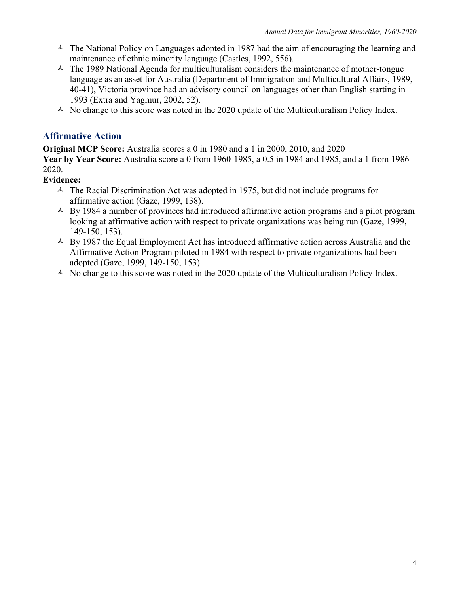- $\triangle$  The National Policy on Languages adopted in 1987 had the aim of encouraging the learning and maintenance of ethnic minority language (Castles, 1992, 556).
- $\triangle$  The 1989 National Agenda for multiculturalism considers the maintenance of mother-tongue language as an asset for Australia (Department of Immigration and Multicultural Affairs, 1989, 40-41), Victoria province had an advisory council on languages other than English starting in 1993 (Extra and Yagmur, 2002, 52).
- $\triangle$  No change to this score was noted in the 2020 update of the Multiculturalism Policy Index.

#### **Affirmative Action**

**Original MCP Score:** Australia scores a 0 in 1980 and a 1 in 2000, 2010, and 2020 **Year by Year Score:** Australia score a 0 from 1960-1985, a 0.5 in 1984 and 1985, and a 1 from 1986- 2020.

#### **Evidence:**

- $\triangle$  The Racial Discrimination Act was adopted in 1975, but did not include programs for affirmative action (Gaze, 1999, 138).
- $\triangle$  By 1984 a number of provinces had introduced affirmative action programs and a pilot program looking at affirmative action with respect to private organizations was being run (Gaze, 1999, 149-150, 153).
- $\triangle$  By 1987 the Equal Employment Act has introduced affirmative action across Australia and the Affirmative Action Program piloted in 1984 with respect to private organizations had been adopted (Gaze, 1999, 149-150, 153).
- $\triangle$  No change to this score was noted in the 2020 update of the Multiculturalism Policy Index.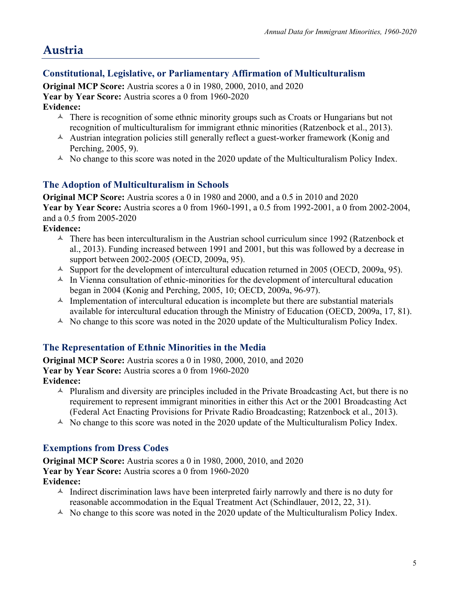# **Austria**

## **Constitutional, Legislative, or Parliamentary Affirmation of Multiculturalism**

**Original MCP Score:** Austria scores a 0 in 1980, 2000, 2010, and 2020 Year by Year Score: Austria scores a 0 from 1960-2020 **Evidence:**

- $\triangle$  There is recognition of some ethnic minority groups such as Croats or Hungarians but not recognition of multiculturalism for immigrant ethnic minorities (Ratzenbock et al., 2013).
- $\lambda$  Austrian integration policies still generally reflect a guest-worker framework (Konig and Perching, 2005, 9).
- $\triangle$  No change to this score was noted in the 2020 update of the Multiculturalism Policy Index.

#### **The Adoption of Multiculturalism in Schools**

**Original MCP Score:** Austria scores a 0 in 1980 and 2000, and a 0.5 in 2010 and 2020 **Year by Year Score:** Austria scores a 0 from 1960-1991, a 0.5 from 1992-2001, a 0 from 2002-2004, and a 0.5 from 2005-2020

**Evidence:**

- $\triangle$  There has been interculturalism in the Austrian school curriculum since 1992 (Ratzenbock et al., 2013). Funding increased between 1991 and 2001, but this was followed by a decrease in support between 2002-2005 (OECD, 2009a, 95).
- $\triangle$  Support for the development of intercultural education returned in 2005 (OECD, 2009a, 95).
- $\triangle$  In Vienna consultation of ethnic-minorities for the development of intercultural education began in 2004 (Konig and Perching, 2005, 10; OECD, 2009a, 96-97).
- $\triangle$  Implementation of intercultural education is incomplete but there are substantial materials available for intercultural education through the Ministry of Education (OECD, 2009a, 17, 81).
- $\triangle$  No change to this score was noted in the 2020 update of the Multiculturalism Policy Index.

#### **The Representation of Ethnic Minorities in the Media**

**Original MCP Score:** Austria scores a 0 in 1980, 2000, 2010, and 2020 Year by Year Score: Austria scores a 0 from 1960-2020 **Evidence:**

- $\triangle$  Pluralism and diversity are principles included in the Private Broadcasting Act, but there is no
	- requirement to represent immigrant minorities in either this Act or the 2001 Broadcasting Act (Federal Act Enacting Provisions for Private Radio Broadcasting; Ratzenbock et al., 2013).
- $\triangle$  No change to this score was noted in the 2020 update of the Multiculturalism Policy Index.

#### **Exemptions from Dress Codes**

**Original MCP Score:** Austria scores a 0 in 1980, 2000, 2010, and 2020 **Year by Year Score:** Austria scores a 0 from 1960-2020 **Evidence:**

- $\triangle$  Indirect discrimination laws have been interpreted fairly narrowly and there is no duty for reasonable accommodation in the Equal Treatment Act (Schindlauer, 2012, 22, 31).
- $\triangle$  No change to this score was noted in the 2020 update of the Multiculturalism Policy Index.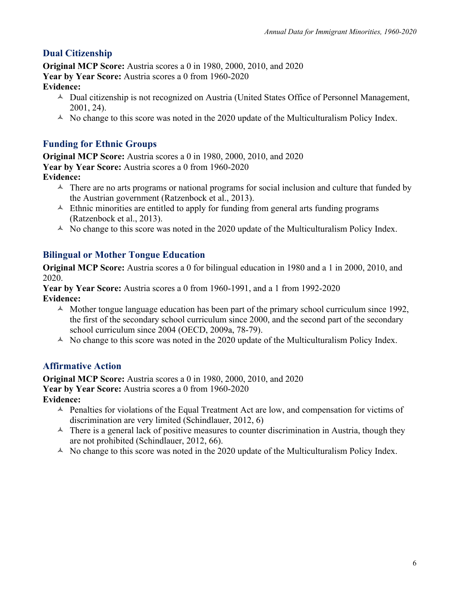# **Dual Citizenship**

**Original MCP Score:** Austria scores a 0 in 1980, 2000, 2010, and 2020 **Year by Year Score:** Austria scores a 0 from 1960-2020 **Evidence:**

- $\triangle$  Dual citizenship is not recognized on Austria (United States Office of Personnel Management, 2001, 24).
- $\triangle$  No change to this score was noted in the 2020 update of the Multiculturalism Policy Index.

# **Funding for Ethnic Groups**

**Original MCP Score:** Austria scores a 0 in 1980, 2000, 2010, and 2020 **Year by Year Score:** Austria scores a 0 from 1960-2020 **Evidence:**

- $\triangle$  There are no arts programs or national programs for social inclusion and culture that funded by the Austrian government (Ratzenbock et al., 2013).
- $\triangle$  Ethnic minorities are entitled to apply for funding from general arts funding programs (Ratzenbock et al., 2013).
- $\triangle$  No change to this score was noted in the 2020 update of the Multiculturalism Policy Index.

## **Bilingual or Mother Tongue Education**

**Original MCP Score:** Austria scores a 0 for bilingual education in 1980 and a 1 in 2000, 2010, and 2020.

**Year by Year Score:** Austria scores a 0 from 1960-1991, and a 1 from 1992-2020 **Evidence:**

- $\triangle$  Mother tongue language education has been part of the primary school curriculum since 1992, the first of the secondary school curriculum since 2000, and the second part of the secondary school curriculum since 2004 (OECD, 2009a, 78-79).
- $\triangle$  No change to this score was noted in the 2020 update of the Multiculturalism Policy Index.

#### **Affirmative Action**

**Original MCP Score:** Austria scores a 0 in 1980, 2000, 2010, and 2020 **Year by Year Score:** Austria scores a 0 from 1960-2020 **Evidence:**

- $\triangle$  Penalties for violations of the Equal Treatment Act are low, and compensation for victims of discrimination are very limited (Schindlauer, 2012, 6)
- $\triangle$  There is a general lack of positive measures to counter discrimination in Austria, though they are not prohibited (Schindlauer, 2012, 66).
- $\triangle$  No change to this score was noted in the 2020 update of the Multiculturalism Policy Index.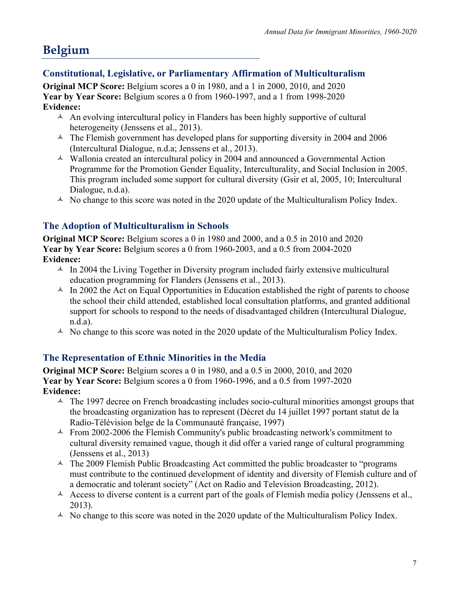# **Belgium**

## **Constitutional, Legislative, or Parliamentary Affirmation of Multiculturalism**

**Original MCP Score:** Belgium scores a 0 in 1980, and a 1 in 2000, 2010, and 2020 **Year by Year Score:** Belgium scores a 0 from 1960-1997, and a 1 from 1998-2020 **Evidence:**

- $\triangle$  An evolving intercultural policy in Flanders has been highly supportive of cultural heterogeneity (Jenssens et al., 2013).
- $\text{A}$  The Flemish government has developed plans for supporting diversity in 2004 and 2006 (Intercultural Dialogue, n.d.a; Jenssens et al., 2013).
- $\triangle$  Wallonia created an intercultural policy in 2004 and announced a Governmental Action Programme for the Promotion Gender Equality, Interculturality, and Social Inclusion in 2005. This program included some support for cultural diversity (Gsir et al, 2005, 10; Intercultural Dialogue, n.d.a).
- $\triangle$  No change to this score was noted in the 2020 update of the Multiculturalism Policy Index.

## **The Adoption of Multiculturalism in Schools**

**Original MCP Score:** Belgium scores a 0 in 1980 and 2000, and a 0.5 in 2010 and 2020 **Year by Year Score:** Belgium scores a 0 from 1960-2003, and a 0.5 from 2004-2020 **Evidence:**

- $\text{A}$  In 2004 the Living Together in Diversity program included fairly extensive multicultural education programming for Flanders (Jenssens et al., 2013).
- $\triangle$  In 2002 the Act on Equal Opportunities in Education established the right of parents to choose the school their child attended, established local consultation platforms, and granted additional support for schools to respond to the needs of disadvantaged children (Intercultural Dialogue, n.d.a).
- $\triangle$  No change to this score was noted in the 2020 update of the Multiculturalism Policy Index.

#### **The Representation of Ethnic Minorities in the Media**

**Original MCP Score:** Belgium scores a 0 in 1980, and a 0.5 in 2000, 2010, and 2020 **Year by Year Score:** Belgium scores a 0 from 1960-1996, and a 0.5 from 1997-2020 **Evidence:**

- $\triangle$  The 1997 decree on French broadcasting includes socio-cultural minorities amongst groups that the broadcasting organization has to represent (Décret du 14 juillet 1997 portant statut de la Radio-Télévision belge de la Communauté française, 1997)
- $\sim$  From 2002-2006 the Flemish Community's public broadcasting network's commitment to cultural diversity remained vague, though it did offer a varied range of cultural programming (Jenssens et al., 2013)
- $\triangle$  The 2009 Flemish Public Broadcasting Act committed the public broadcaster to "programs" must contribute to the continued development of identity and diversity of Flemish culture and of a democratic and tolerant society" (Act on Radio and Television Broadcasting, 2012).
- $\lambda$  Access to diverse content is a current part of the goals of Flemish media policy (Jenssens et al., 2013).
- $\triangle$  No change to this score was noted in the 2020 update of the Multiculturalism Policy Index.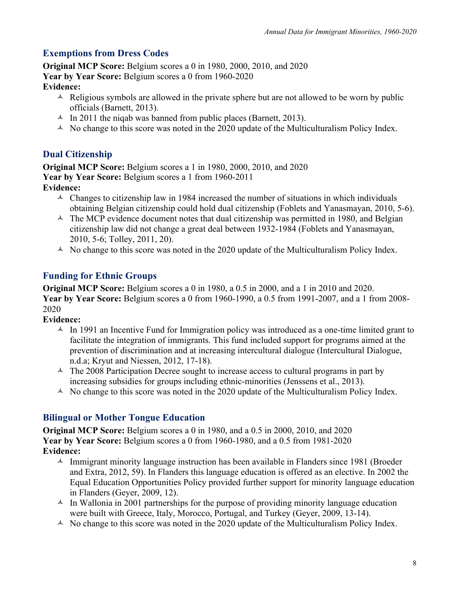## **Exemptions from Dress Codes**

**Original MCP Score:** Belgium scores a 0 in 1980, 2000, 2010, and 2020 **Year by Year Score:** Belgium scores a 0 from 1960-2020 **Evidence:**

- $\triangle$  Religious symbols are allowed in the private sphere but are not allowed to be worn by public officials (Barnett, 2013).
- $\sim$  In 2011 the niqab was banned from public places (Barnett, 2013).
- $\triangle$  No change to this score was noted in the 2020 update of the Multiculturalism Policy Index.

#### **Dual Citizenship**

**Original MCP Score:** Belgium scores a 1 in 1980, 2000, 2010, and 2020 **Year by Year Score:** Belgium scores a 1 from 1960-2011 **Evidence:** 

- $\triangle$  Changes to citizenship law in 1984 increased the number of situations in which individuals obtaining Belgian citizenship could hold dual citizenship (Foblets and Yanasmayan, 2010, 5-6).
- $\triangle$  The MCP evidence document notes that dual citizenship was permitted in 1980, and Belgian citizenship law did not change a great deal between 1932-1984 (Foblets and Yanasmayan, 2010, 5-6; Tolley, 2011, 20).
- $\triangle$  No change to this score was noted in the 2020 update of the Multiculturalism Policy Index.

#### **Funding for Ethnic Groups**

**Original MCP Score:** Belgium scores a 0 in 1980, a 0.5 in 2000, and a 1 in 2010 and 2020. **Year by Year Score:** Belgium scores a 0 from 1960-1990, a 0.5 from 1991-2007, and a 1 from 2008- 2020

#### **Evidence:**

- $\triangle$  In 1991 an Incentive Fund for Immigration policy was introduced as a one-time limited grant to facilitate the integration of immigrants. This fund included support for programs aimed at the prevention of discrimination and at increasing intercultural dialogue (Intercultural Dialogue, n.d.a; Kryut and Niessen, 2012, 17-18).
- $\triangle$  The 2008 Participation Decree sought to increase access to cultural programs in part by increasing subsidies for groups including ethnic-minorities (Jenssens et al., 2013).
- $\triangle$  No change to this score was noted in the 2020 update of the Multiculturalism Policy Index.

#### **Bilingual or Mother Tongue Education**

**Original MCP Score:** Belgium scores a 0 in 1980, and a 0.5 in 2000, 2010, and 2020 **Year by Year Score:** Belgium scores a 0 from 1960-1980, and a 0.5 from 1981-2020 **Evidence:**

- $\text{\AA}$  Immigrant minority language instruction has been available in Flanders since 1981 (Broeder and Extra, 2012, 59). In Flanders this language education is offered as an elective. In 2002 the Equal Education Opportunities Policy provided further support for minority language education in Flanders (Geyer, 2009, 12).
- $\triangle$  In Wallonia in 2001 partnerships for the purpose of providing minority language education were built with Greece, Italy, Morocco, Portugal, and Turkey (Geyer, 2009, 13-14).
- $\triangle$  No change to this score was noted in the 2020 update of the Multiculturalism Policy Index.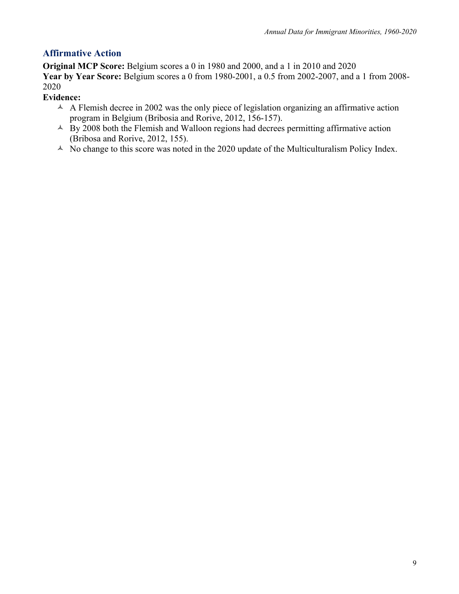# **Affirmative Action**

**Original MCP Score:** Belgium scores a 0 in 1980 and 2000, and a 1 in 2010 and 2020 **Year by Year Score:** Belgium scores a 0 from 1980-2001, a 0.5 from 2002-2007, and a 1 from 2008- 2020

**Evidence:**

- $\triangle$  A Flemish decree in 2002 was the only piece of legislation organizing an affirmative action program in Belgium (Bribosia and Rorive, 2012, 156-157).
- $\overrightarrow{A}$  By 2008 both the Flemish and Walloon regions had decrees permitting affirmative action (Bribosa and Rorive, 2012, 155).
- $\triangle$  No change to this score was noted in the 2020 update of the Multiculturalism Policy Index.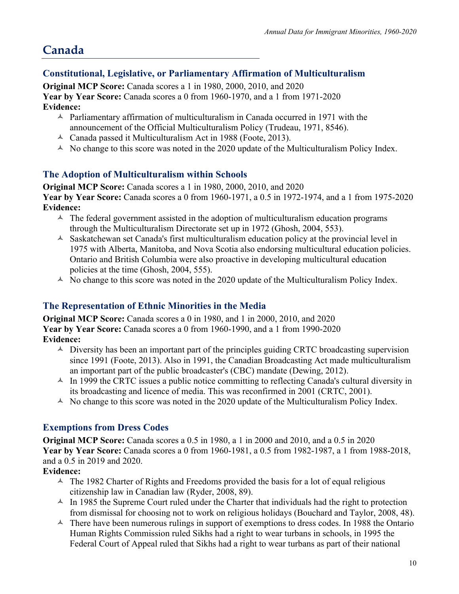# **Canada**

#### **Constitutional, Legislative, or Parliamentary Affirmation of Multiculturalism**

**Original MCP Score:** Canada scores a 1 in 1980, 2000, 2010, and 2020 **Year by Year Score:** Canada scores a 0 from 1960-1970, and a 1 from 1971-2020 **Evidence:**

- $\triangle$  Parliamentary affirmation of multiculturalism in Canada occurred in 1971 with the announcement of the Official Multiculturalism Policy (Trudeau, 1971, 8546).
- $\triangle$  Canada passed it Multiculturalism Act in 1988 (Foote, 2013).
- $\triangle$  No change to this score was noted in the 2020 update of the Multiculturalism Policy Index.

#### **The Adoption of Multiculturalism within Schools**

**Original MCP Score:** Canada scores a 1 in 1980, 2000, 2010, and 2020 **Year by Year Score:** Canada scores a 0 from 1960-1971, a 0.5 in 1972-1974, and a 1 from 1975-2020 **Evidence:**

- $\triangle$  The federal government assisted in the adoption of multiculturalism education programs through the Multiculturalism Directorate set up in 1972 (Ghosh, 2004, 553).
- $\triangle$  Saskatchewan set Canada's first multiculturalism education policy at the provincial level in 1975 with Alberta, Manitoba, and Nova Scotia also endorsing multicultural education policies. Ontario and British Columbia were also proactive in developing multicultural education policies at the time (Ghosh, 2004, 555).
- $\triangle$  No change to this score was noted in the 2020 update of the Multiculturalism Policy Index.

#### **The Representation of Ethnic Minorities in the Media**

**Original MCP Score:** Canada scores a 0 in 1980, and 1 in 2000, 2010, and 2020 **Year by Year Score:** Canada scores a 0 from 1960-1990, and a 1 from 1990-2020 **Evidence:**

- $\triangle$  Diversity has been an important part of the principles guiding CRTC broadcasting supervision since 1991 (Foote, 2013). Also in 1991, the Canadian Broadcasting Act made multiculturalism an important part of the public broadcaster's (CBC) mandate (Dewing, 2012).
- $\triangle$  In 1999 the CRTC issues a public notice committing to reflecting Canada's cultural diversity in its broadcasting and licence of media. This was reconfirmed in 2001 (CRTC, 2001).
- $\triangle$  No change to this score was noted in the 2020 update of the Multiculturalism Policy Index.

#### **Exemptions from Dress Codes**

**Original MCP Score:** Canada scores a 0.5 in 1980, a 1 in 2000 and 2010, and a 0.5 in 2020 **Year by Year Score:** Canada scores a 0 from 1960-1981, a 0.5 from 1982-1987, a 1 from 1988-2018, and a 0.5 in 2019 and 2020.

#### **Evidence:**

- $\triangle$  The 1982 Charter of Rights and Freedoms provided the basis for a lot of equal religious citizenship law in Canadian law (Ryder, 2008, 89).
- $\text{A}$  In 1985 the Supreme Court ruled under the Charter that individuals had the right to protection from dismissal for choosing not to work on religious holidays (Bouchard and Taylor, 2008, 48).
- $\triangle$  There have been numerous rulings in support of exemptions to dress codes. In 1988 the Ontario Human Rights Commission ruled Sikhs had a right to wear turbans in schools, in 1995 the Federal Court of Appeal ruled that Sikhs had a right to wear turbans as part of their national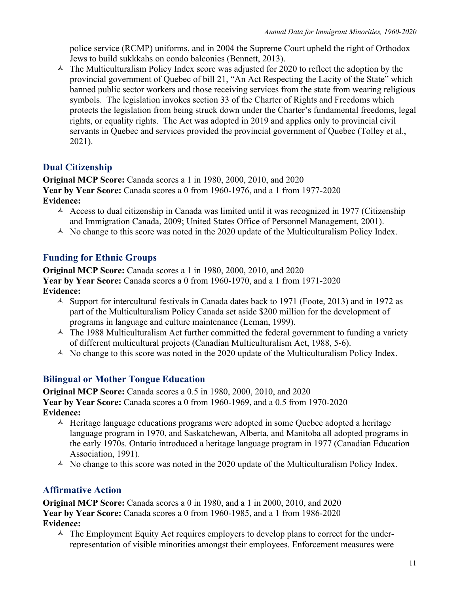police service (RCMP) uniforms, and in 2004 the Supreme Court upheld the right of Orthodox Jews to build sukkkahs on condo balconies (Bennett, 2013).

 $\triangle$  The Multiculturalism Policy Index score was adjusted for 2020 to reflect the adoption by the provincial government of Quebec of bill 21, "An Act Respecting the Lacity of the State" which banned public sector workers and those receiving services from the state from wearing religious symbols. The legislation invokes section 33 of the Charter of Rights and Freedoms which protects the legislation from being struck down under the Charter's fundamental freedoms, legal rights, or equality rights. The Act was adopted in 2019 and applies only to provincial civil servants in Quebec and services provided the provincial government of Quebec (Tolley et al., 2021).

#### **Dual Citizenship**

**Original MCP Score:** Canada scores a 1 in 1980, 2000, 2010, and 2020 **Year by Year Score:** Canada scores a 0 from 1960-1976, and a 1 from 1977-2020 **Evidence:**

- $\triangle$  Access to dual citizenship in Canada was limited until it was recognized in 1977 (Citizenship and Immigration Canada, 2009; United States Office of Personnel Management, 2001).
- $\triangle$  No change to this score was noted in the 2020 update of the Multiculturalism Policy Index.

#### **Funding for Ethnic Groups**

**Original MCP Score:** Canada scores a 1 in 1980, 2000, 2010, and 2020 **Year by Year Score:** Canada scores a 0 from 1960-1970, and a 1 from 1971-2020 **Evidence:**

- $\sim$  Support for intercultural festivals in Canada dates back to 1971 (Foote, 2013) and in 1972 as part of the Multiculturalism Policy Canada set aside \$200 million for the development of programs in language and culture maintenance (Leman, 1999).
- $\triangle$  The 1988 Multiculturalism Act further committed the federal government to funding a variety of different multicultural projects (Canadian Multiculturalism Act, 1988, 5-6).
- $\triangle$  No change to this score was noted in the 2020 update of the Multiculturalism Policy Index.

#### **Bilingual or Mother Tongue Education**

**Original MCP Score:** Canada scores a 0.5 in 1980, 2000, 2010, and 2020 **Year by Year Score:** Canada scores a 0 from 1960-1969, and a 0.5 from 1970-2020 **Evidence:**

- $\triangle$  Heritage language educations programs were adopted in some Quebec adopted a heritage language program in 1970, and Saskatchewan, Alberta, and Manitoba all adopted programs in the early 1970s. Ontario introduced a heritage language program in 1977 (Canadian Education Association, 1991).
- $\triangle$  No change to this score was noted in the 2020 update of the Multiculturalism Policy Index.

#### **Affirmative Action**

**Original MCP Score:** Canada scores a 0 in 1980, and a 1 in 2000, 2010, and 2020 **Year by Year Score:** Canada scores a 0 from 1960-1985, and a 1 from 1986-2020 **Evidence:**

 $\triangle$  The Employment Equity Act requires employers to develop plans to correct for the underrepresentation of visible minorities amongst their employees. Enforcement measures were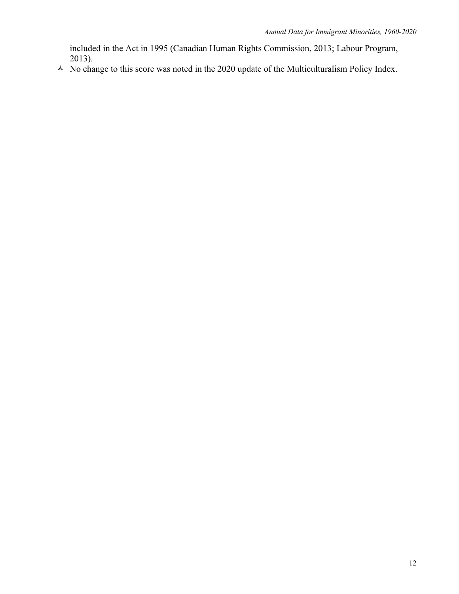included in the Act in 1995 (Canadian Human Rights Commission, 2013; Labour Program, 2013).

 $\triangle$  No change to this score was noted in the 2020 update of the Multiculturalism Policy Index.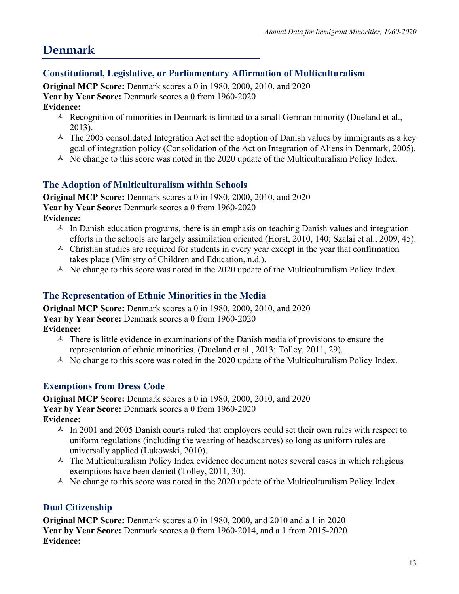# **Denmark**

#### **Constitutional, Legislative, or Parliamentary Affirmation of Multiculturalism**

**Original MCP Score:** Denmark scores a 0 in 1980, 2000, 2010, and 2020 **Year by Year Score:** Denmark scores a 0 from 1960-2020 **Evidence:**

- $\triangle$  Recognition of minorities in Denmark is limited to a small German minority (Dueland et al., 2013).
- $\triangle$  The 2005 consolidated Integration Act set the adoption of Danish values by immigrants as a key goal of integration policy (Consolidation of the Act on Integration of Aliens in Denmark, 2005).
- $\triangle$  No change to this score was noted in the 2020 update of the Multiculturalism Policy Index.

#### **The Adoption of Multiculturalism within Schools**

**Original MCP Score:** Denmark scores a 0 in 1980, 2000, 2010, and 2020 **Year by Year Score:** Denmark scores a 0 from 1960-2020 **Evidence:**

- $\triangle$  In Danish education programs, there is an emphasis on teaching Danish values and integration efforts in the schools are largely assimilation oriented (Horst, 2010, 140; Szalai et al., 2009, 45).
- $\triangle$  Christian studies are required for students in every year except in the year that confirmation takes place (Ministry of Children and Education, n.d.).
- $\triangle$  No change to this score was noted in the 2020 update of the Multiculturalism Policy Index.

#### **The Representation of Ethnic Minorities in the Media**

**Original MCP Score:** Denmark scores a 0 in 1980, 2000, 2010, and 2020 **Year by Year Score:** Denmark scores a 0 from 1960-2020 **Evidence:**

- $\triangle$  There is little evidence in examinations of the Danish media of provisions to ensure the representation of ethnic minorities. (Dueland et al., 2013; Tolley, 2011, 29).
- $\triangle$  No change to this score was noted in the 2020 update of the Multiculturalism Policy Index.

# **Exemptions from Dress Code**

**Original MCP Score:** Denmark scores a 0 in 1980, 2000, 2010, and 2020 **Year by Year Score:** Denmark scores a 0 from 1960-2020 **Evidence:**

- $\sim$  In 2001 and 2005 Danish courts ruled that employers could set their own rules with respect to uniform regulations (including the wearing of headscarves) so long as uniform rules are universally applied (Lukowski, 2010).
- $\triangle$  The Multiculturalism Policy Index evidence document notes several cases in which religious exemptions have been denied (Tolley, 2011, 30).
- $\triangle$  No change to this score was noted in the 2020 update of the Multiculturalism Policy Index.

#### **Dual Citizenship**

**Original MCP Score:** Denmark scores a 0 in 1980, 2000, and 2010 and a 1 in 2020 **Year by Year Score:** Denmark scores a 0 from 1960-2014, and a 1 from 2015-2020 **Evidence:**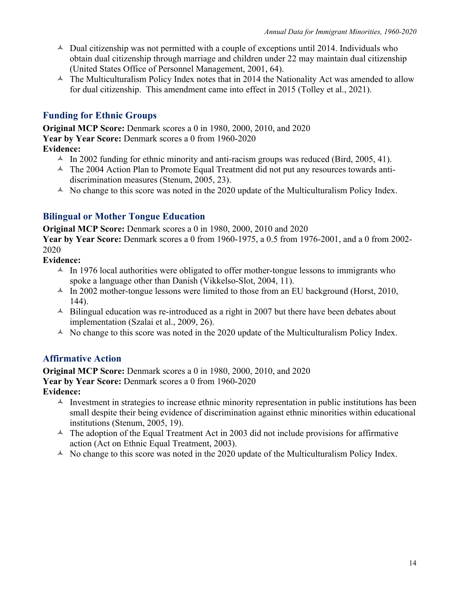- $\triangle$  Dual citizenship was not permitted with a couple of exceptions until 2014. Individuals who obtain dual citizenship through marriage and children under 22 may maintain dual citizenship (United States Office of Personnel Management, 2001, 64).
- $\triangle$  The Multiculturalism Policy Index notes that in 2014 the Nationality Act was amended to allow for dual citizenship. This amendment came into effect in 2015 (Tolley et al., 2021).

#### **Funding for Ethnic Groups**

**Original MCP Score:** Denmark scores a 0 in 1980, 2000, 2010, and 2020 **Year by Year Score:** Denmark scores a 0 from 1960-2020 **Evidence:**

- $\text{A}$  In 2002 funding for ethnic minority and anti-racism groups was reduced (Bird, 2005, 41).
- $\triangle$  The 2004 Action Plan to Promote Equal Treatment did not put any resources towards antidiscrimination measures (Stenum, 2005, 23).
- $\triangle$  No change to this score was noted in the 2020 update of the Multiculturalism Policy Index.

#### **Bilingual or Mother Tongue Education**

**Original MCP Score:** Denmark scores a 0 in 1980, 2000, 2010 and 2020

**Year by Year Score:** Denmark scores a 0 from 1960-1975, a 0.5 from 1976-2001, and a 0 from 2002- 2020

**Evidence:**

- $\sim$  In 1976 local authorities were obligated to offer mother-tongue lessons to immigrants who spoke a language other than Danish (Vikkelso-Slot, 2004, 11).
- $\text{An}$  In 2002 mother-tongue lessons were limited to those from an EU background (Horst, 2010, 144).
- $\triangle$  Bilingual education was re-introduced as a right in 2007 but there have been debates about implementation (Szalai et al., 2009, 26).
- $\triangle$  No change to this score was noted in the 2020 update of the Multiculturalism Policy Index.

#### **Affirmative Action**

**Original MCP Score:** Denmark scores a 0 in 1980, 2000, 2010, and 2020

Year by Year Score: Denmark scores a 0 from 1960-2020

**Evidence:**

- $\triangle$  Investment in strategies to increase ethnic minority representation in public institutions has been small despite their being evidence of discrimination against ethnic minorities within educational institutions (Stenum, 2005, 19).
- $\triangle$  The adoption of the Equal Treatment Act in 2003 did not include provisions for affirmative action (Act on Ethnic Equal Treatment, 2003).
- $\triangle$  No change to this score was noted in the 2020 update of the Multiculturalism Policy Index.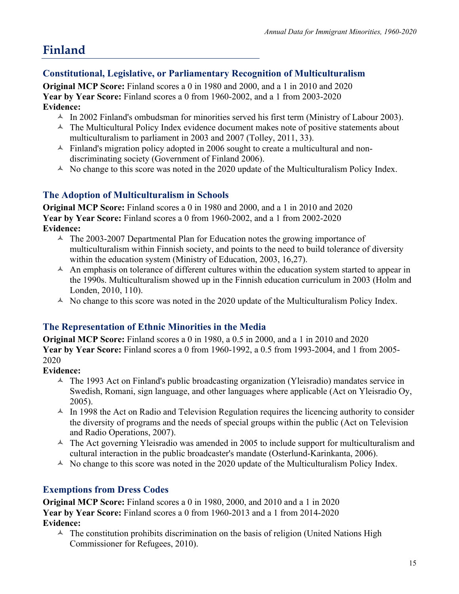# **Finland**

## **Constitutional, Legislative, or Parliamentary Recognition of Multiculturalism**

**Original MCP Score:** Finland scores a 0 in 1980 and 2000, and a 1 in 2010 and 2020 **Year by Year Score:** Finland scores a 0 from 1960-2002, and a 1 from 2003-2020 **Evidence:**

- $\sim$  In 2002 Finland's ombudsman for minorities served his first term (Ministry of Labour 2003).
- $\triangle$  The Multicultural Policy Index evidence document makes note of positive statements about multiculturalism to parliament in 2003 and 2007 (Tolley, 2011, 33).
- $\triangle$  Finland's migration policy adopted in 2006 sought to create a multicultural and nondiscriminating society (Government of Finland 2006).
- $\triangle$  No change to this score was noted in the 2020 update of the Multiculturalism Policy Index.

#### **The Adoption of Multiculturalism in Schools**

**Original MCP Score:** Finland scores a 0 in 1980 and 2000, and a 1 in 2010 and 2020 **Year by Year Score:** Finland scores a 0 from 1960-2002, and a 1 from 2002-2020 **Evidence:**

- $\sim$  The 2003-2007 Departmental Plan for Education notes the growing importance of multiculturalism within Finnish society, and points to the need to build tolerance of diversity within the education system (Ministry of Education, 2003, 16,27).
- $\triangle$  An emphasis on tolerance of different cultures within the education system started to appear in the 1990s. Multiculturalism showed up in the Finnish education curriculum in 2003 (Holm and Londen, 2010, 110).
- $\triangle$  No change to this score was noted in the 2020 update of the Multiculturalism Policy Index.

#### **The Representation of Ethnic Minorities in the Media**

**Original MCP Score:** Finland scores a 0 in 1980, a 0.5 in 2000, and a 1 in 2010 and 2020 **Year by Year Score:** Finland scores a 0 from 1960-1992, a 0.5 from 1993-2004, and 1 from 2005- 2020

#### **Evidence:**

- $\triangle$  The 1993 Act on Finland's public broadcasting organization (Yleisradio) mandates service in Swedish, Romani, sign language, and other languages where applicable (Act on Yleisradio Oy, 2005).
- $\sim$  In 1998 the Act on Radio and Television Regulation requires the licencing authority to consider the diversity of programs and the needs of special groups within the public (Act on Television and Radio Operations, 2007).
- $\triangle$  The Act governing Yleisradio was amended in 2005 to include support for multiculturalism and cultural interaction in the public broadcaster's mandate (Osterlund-Karinkanta, 2006).
- $\triangle$  No change to this score was noted in the 2020 update of the Multiculturalism Policy Index.

#### **Exemptions from Dress Codes**

**Original MCP Score:** Finland scores a 0 in 1980, 2000, and 2010 and a 1 in 2020 **Year by Year Score:** Finland scores a 0 from 1960-2013 and a 1 from 2014-2020 **Evidence:**

 $\triangle$  The constitution prohibits discrimination on the basis of religion (United Nations High Commissioner for Refugees, 2010).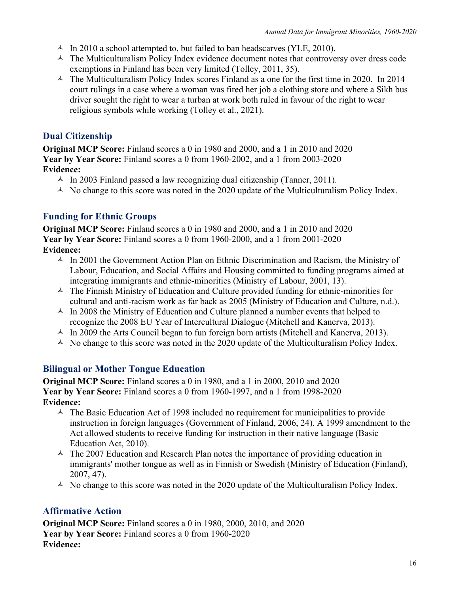- $\triangle$  In 2010 a school attempted to, but failed to ban headscarves (YLE, 2010).
- $\triangle$  The Multiculturalism Policy Index evidence document notes that controversy over dress code exemptions in Finland has been very limited (Tolley, 2011, 35).
- $\triangle$  The Multiculturalism Policy Index scores Finland as a one for the first time in 2020. In 2014 court rulings in a case where a woman was fired her job a clothing store and where a Sikh bus driver sought the right to wear a turban at work both ruled in favour of the right to wear religious symbols while working (Tolley et al., 2021).

#### **Dual Citizenship**

**Original MCP Score:** Finland scores a 0 in 1980 and 2000, and a 1 in 2010 and 2020 **Year by Year Score:** Finland scores a 0 from 1960-2002, and a 1 from 2003-2020 **Evidence:**

- $\text{A}$  In 2003 Finland passed a law recognizing dual citizenship (Tanner, 2011).
- $\triangle$  No change to this score was noted in the 2020 update of the Multiculturalism Policy Index.

#### **Funding for Ethnic Groups**

**Original MCP Score:** Finland scores a 0 in 1980 and 2000, and a 1 in 2010 and 2020 **Year by Year Score:** Finland scores a 0 from 1960-2000, and a 1 from 2001-2020 **Evidence:**

- $\sim$  In 2001 the Government Action Plan on Ethnic Discrimination and Racism, the Ministry of Labour, Education, and Social Affairs and Housing committed to funding programs aimed at integrating immigrants and ethnic-minorities (Ministry of Labour, 2001, 13).
- $\triangle$  The Finnish Ministry of Education and Culture provided funding for ethnic-minorities for cultural and anti-racism work as far back as 2005 (Ministry of Education and Culture, n.d.).
- $\text{A}$  In 2008 the Ministry of Education and Culture planned a number events that helped to recognize the 2008 EU Year of Intercultural Dialogue (Mitchell and Kanerva, 2013).
- $\text{A}$  In 2009 the Arts Council began to fun foreign born artists (Mitchell and Kanerva, 2013).
- $\triangle$  No change to this score was noted in the 2020 update of the Multiculturalism Policy Index.

#### **Bilingual or Mother Tongue Education**

**Original MCP Score:** Finland scores a 0 in 1980, and a 1 in 2000, 2010 and 2020 **Year by Year Score:** Finland scores a 0 from 1960-1997, and a 1 from 1998-2020 **Evidence:**

- $\triangle$  The Basic Education Act of 1998 included no requirement for municipalities to provide instruction in foreign languages (Government of Finland, 2006, 24). A 1999 amendment to the Act allowed students to receive funding for instruction in their native language (Basic Education Act, 2010).
- $\triangle$  The 2007 Education and Research Plan notes the importance of providing education in immigrants' mother tongue as well as in Finnish or Swedish (Ministry of Education (Finland), 2007, 47).
- $\triangle$  No change to this score was noted in the 2020 update of the Multiculturalism Policy Index.

#### **Affirmative Action**

**Original MCP Score:** Finland scores a 0 in 1980, 2000, 2010, and 2020 **Year by Year Score:** Finland scores a 0 from 1960-2020 **Evidence:**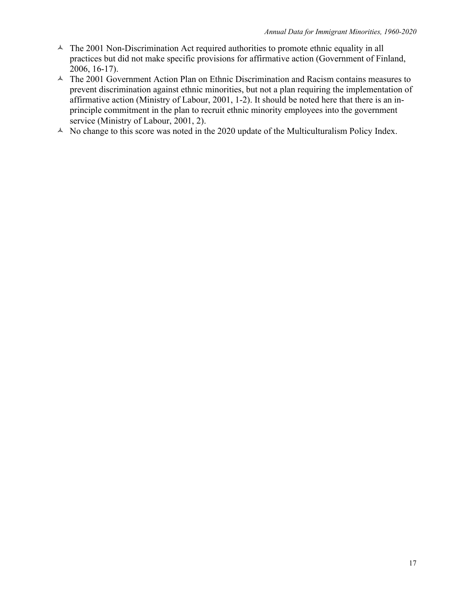- $\triangle$  The 2001 Non-Discrimination Act required authorities to promote ethnic equality in all practices but did not make specific provisions for affirmative action (Government of Finland, 2006, 16-17).
- $\triangle$  The 2001 Government Action Plan on Ethnic Discrimination and Racism contains measures to prevent discrimination against ethnic minorities, but not a plan requiring the implementation of affirmative action (Ministry of Labour, 2001, 1-2). It should be noted here that there is an inprinciple commitment in the plan to recruit ethnic minority employees into the government service (Ministry of Labour, 2001, 2).
- $\triangle$  No change to this score was noted in the 2020 update of the Multiculturalism Policy Index.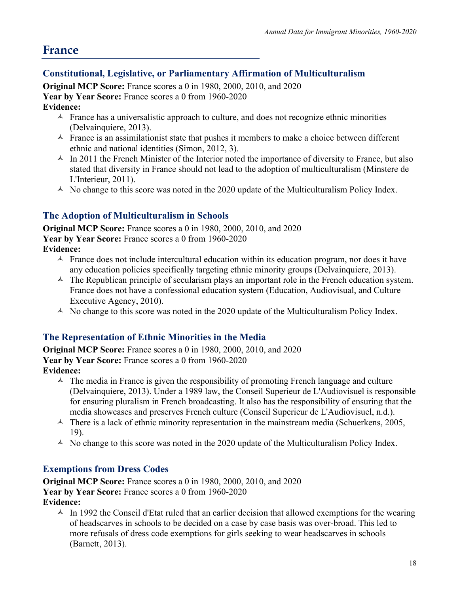# **France**

## **Constitutional, Legislative, or Parliamentary Affirmation of Multiculturalism**

**Original MCP Score:** France scores a 0 in 1980, 2000, 2010, and 2020 **Year by Year Score:** France scores a 0 from 1960-2020 **Evidence:**

- $\triangle$  France has a universalistic approach to culture, and does not recognize ethnic minorities (Delvainquiere, 2013).
- $\triangle$  France is an assimilationist state that pushes it members to make a choice between different ethnic and national identities (Simon, 2012, 3).
- $\triangle$  In 2011 the French Minister of the Interior noted the importance of diversity to France, but also stated that diversity in France should not lead to the adoption of multiculturalism (Minstere de L'Interieur, 2011).
- $\triangle$  No change to this score was noted in the 2020 update of the Multiculturalism Policy Index.

#### **The Adoption of Multiculturalism in Schools**

**Original MCP Score:** France scores a 0 in 1980, 2000, 2010, and 2020 **Year by Year Score:** France scores a 0 from 1960-2020

- **Evidence:**
	- $\triangle$  France does not include intercultural education within its education program, nor does it have any education policies specifically targeting ethnic minority groups (Delvainquiere, 2013).
	- $\triangle$  The Republican principle of secularism plays an important role in the French education system. France does not have a confessional education system (Education, Audiovisual, and Culture Executive Agency, 2010).
	- $\triangle$  No change to this score was noted in the 2020 update of the Multiculturalism Policy Index.

#### **The Representation of Ethnic Minorities in the Media**

**Original MCP Score:** France scores a 0 in 1980, 2000, 2010, and 2020 **Year by Year Score:** France scores a 0 from 1960-2020 **Evidence:**

- $\triangle$  The media in France is given the responsibility of promoting French language and culture (Delvainquiere, 2013). Under a 1989 law, the Conseil Superieur de L'Audiovisuel is responsible for ensuring pluralism in French broadcasting. It also has the responsibility of ensuring that the media showcases and preserves French culture (Conseil Superieur de L'Audiovisuel, n.d.).
- $\uparrow$  There is a lack of ethnic minority representation in the mainstream media (Schuerkens, 2005, 19).
- $\triangle$  No change to this score was noted in the 2020 update of the Multiculturalism Policy Index.

#### **Exemptions from Dress Codes**

**Original MCP Score:** France scores a 0 in 1980, 2000, 2010, and 2020 **Year by Year Score:** France scores a 0 from 1960-2020 **Evidence:**

 $\triangle$  In 1992 the Conseil d'Etat ruled that an earlier decision that allowed exemptions for the wearing of headscarves in schools to be decided on a case by case basis was over-broad. This led to more refusals of dress code exemptions for girls seeking to wear headscarves in schools (Barnett, 2013).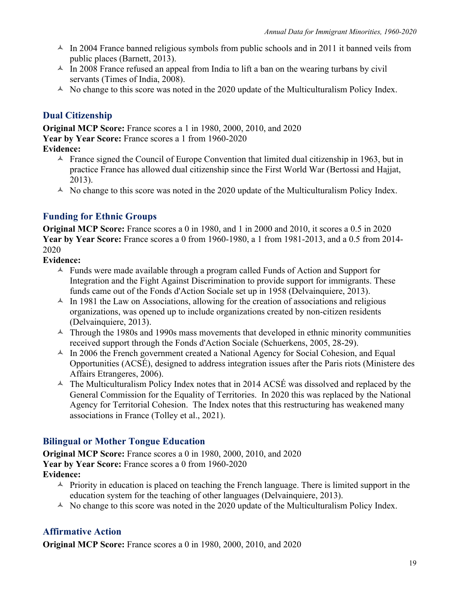- $\sim$  In 2004 France banned religious symbols from public schools and in 2011 it banned veils from public places (Barnett, 2013).
- $\text{A}$  In 2008 France refused an appeal from India to lift a ban on the wearing turbans by civil servants (Times of India, 2008).
- $\triangle$  No change to this score was noted in the 2020 update of the Multiculturalism Policy Index.

## **Dual Citizenship**

**Original MCP Score:** France scores a 1 in 1980, 2000, 2010, and 2020 **Year by Year Score:** France scores a 1 from 1960-2020 **Evidence:**

- $\triangle$  France signed the Council of Europe Convention that limited dual citizenship in 1963, but in practice France has allowed dual citizenship since the First World War (Bertossi and Hajjat, 2013).
- $\triangle$  No change to this score was noted in the 2020 update of the Multiculturalism Policy Index.

#### **Funding for Ethnic Groups**

**Original MCP Score:** France scores a 0 in 1980, and 1 in 2000 and 2010, it scores a 0.5 in 2020 **Year by Year Score:** France scores a 0 from 1960-1980, a 1 from 1981-2013, and a 0.5 from 2014- 2020

#### **Evidence:**

- $\triangle$  Funds were made available through a program called Funds of Action and Support for Integration and the Fight Against Discrimination to provide support for immigrants. These funds came out of the Fonds d'Action Sociale set up in 1958 (Delvainquiere, 2013).
- $\triangle$  In 1981 the Law on Associations, allowing for the creation of associations and religious organizations, was opened up to include organizations created by non-citizen residents (Delvainquiere, 2013).
- $\triangle$  Through the 1980s and 1990s mass movements that developed in ethnic minority communities received support through the Fonds d'Action Sociale (Schuerkens, 2005, 28-29).
- $\text{A}$  In 2006 the French government created a National Agency for Social Cohesion, and Equal Opportunities (ACSÉ), designed to address integration issues after the Paris riots (Ministere des Affairs Etrangeres, 2006).
- $\triangle$  The Multiculturalism Policy Index notes that in 2014 ACSÉ was dissolved and replaced by the General Commission for the Equality of Territories. In 2020 this was replaced by the National Agency for Territorial Cohesion. The Index notes that this restructuring has weakened many associations in France (Tolley et al., 2021).

#### **Bilingual or Mother Tongue Education**

**Original MCP Score:** France scores a 0 in 1980, 2000, 2010, and 2020 **Year by Year Score:** France scores a 0 from 1960-2020 **Evidence:**

- $\triangle$  Priority in education is placed on teaching the French language. There is limited support in the education system for the teaching of other languages (Delvainquiere, 2013).
- $\triangle$  No change to this score was noted in the 2020 update of the Multiculturalism Policy Index.

#### **Affirmative Action**

**Original MCP Score:** France scores a 0 in 1980, 2000, 2010, and 2020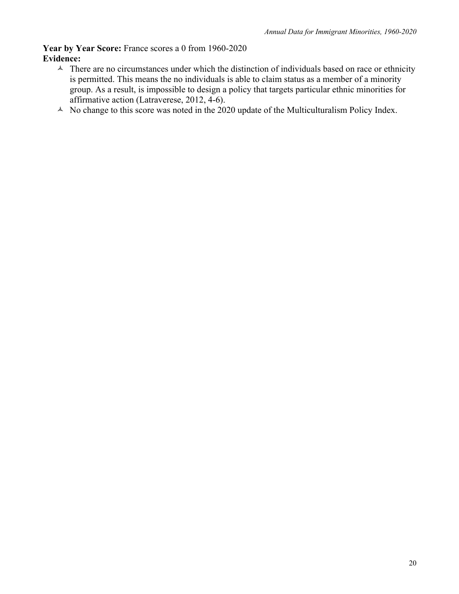**Year by Year Score:** France scores a 0 from 1960-2020 **Evidence:**

- $\triangle$  There are no circumstances under which the distinction of individuals based on race or ethnicity is permitted. This means the no individuals is able to claim status as a member of a minority group. As a result, is impossible to design a policy that targets particular ethnic minorities for affirmative action (Latraverese, 2012, 4-6).
- $\triangle$  No change to this score was noted in the 2020 update of the Multiculturalism Policy Index.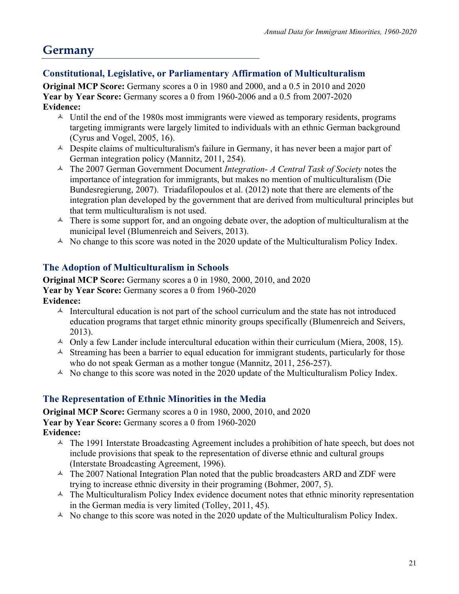# **Germany**

## **Constitutional, Legislative, or Parliamentary Affirmation of Multiculturalism**

**Original MCP Score:** Germany scores a 0 in 1980 and 2000, and a 0.5 in 2010 and 2020 **Year by Year Score:** Germany scores a 0 from 1960-2006 and a 0.5 from 2007-2020 **Evidence:**

- $\sim$  Until the end of the 1980s most immigrants were viewed as temporary residents, programs targeting immigrants were largely limited to individuals with an ethnic German background (Cyrus and Vogel, 2005, 16).
- $\triangle$  Despite claims of multiculturalism's failure in Germany, it has never been a major part of German integration policy (Mannitz, 2011, 254).
- ñ The 2007 German Government Document *Integration- A Central Task of Society* notes the importance of integration for immigrants, but makes no mention of multiculturalism (Die Bundesregierung, 2007). Triadafilopoulos et al. (2012) note that there are elements of the integration plan developed by the government that are derived from multicultural principles but that term multiculturalism is not used.
- $\triangle$  There is some support for, and an ongoing debate over, the adoption of multiculturalism at the municipal level (Blumenreich and Seivers, 2013).
- $\triangle$  No change to this score was noted in the 2020 update of the Multiculturalism Policy Index.

## **The Adoption of Multiculturalism in Schools**

**Original MCP Score:** Germany scores a 0 in 1980, 2000, 2010, and 2020 Year by Year Score: Germany scores a 0 from 1960-2020 **Evidence:**

- $\triangle$  Intercultural education is not part of the school curriculum and the state has not introduced education programs that target ethnic minority groups specifically (Blumenreich and Seivers, 2013).
- $\triangle$  Only a few Lander include intercultural education within their curriculum (Miera, 2008, 15).
- $\triangle$  Streaming has been a barrier to equal education for immigrant students, particularly for those who do not speak German as a mother tongue (Mannitz, 2011, 256-257).
- $\triangle$  No change to this score was noted in the 2020 update of the Multiculturalism Policy Index.

#### **The Representation of Ethnic Minorities in the Media**

**Original MCP Score:** Germany scores a 0 in 1980, 2000, 2010, and 2020 **Year by Year Score:** Germany scores a 0 from 1960-2020 **Evidence:**

- $\triangle$  The 1991 Interstate Broadcasting Agreement includes a prohibition of hate speech, but does not include provisions that speak to the representation of diverse ethnic and cultural groups (Interstate Broadcasting Agreement, 1996).
- $\triangle$  The 2007 National Integration Plan noted that the public broadcasters ARD and ZDF were trying to increase ethnic diversity in their programing (Bohmer, 2007, 5).
- $\triangle$  The Multiculturalism Policy Index evidence document notes that ethnic minority representation in the German media is very limited (Tolley, 2011, 45).
- $\triangle$  No change to this score was noted in the 2020 update of the Multiculturalism Policy Index.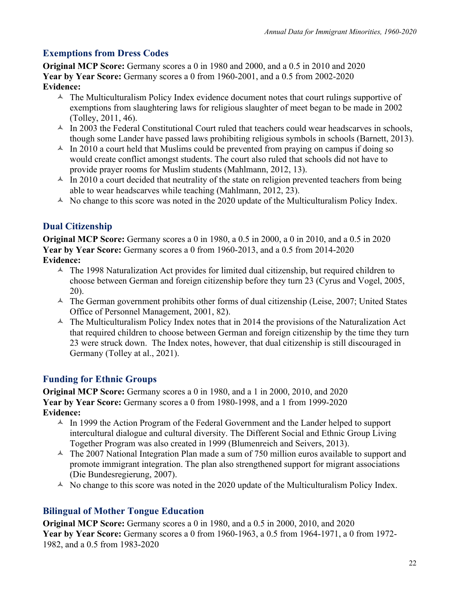# **Exemptions from Dress Codes**

**Original MCP Score:** Germany scores a 0 in 1980 and 2000, and a 0.5 in 2010 and 2020 **Year by Year Score:** Germany scores a 0 from 1960-2001, and a 0.5 from 2002-2020 **Evidence:**

- $\triangle$  The Multiculturalism Policy Index evidence document notes that court rulings supportive of exemptions from slaughtering laws for religious slaughter of meet began to be made in 2002 (Tolley, 2011, 46).
- $\triangle$  In 2003 the Federal Constitutional Court ruled that teachers could wear headscarves in schools, though some Lander have passed laws prohibiting religious symbols in schools (Barnett, 2013).
- $\triangle$  In 2010 a court held that Muslims could be prevented from praying on campus if doing so would create conflict amongst students. The court also ruled that schools did not have to provide prayer rooms for Muslim students (Mahlmann, 2012, 13).
- $\triangle$  In 2010 a court decided that neutrality of the state on religion prevented teachers from being able to wear headscarves while teaching (Mahlmann, 2012, 23).
- $\triangle$  No change to this score was noted in the 2020 update of the Multiculturalism Policy Index.

# **Dual Citizenship**

**Original MCP Score:** Germany scores a 0 in 1980, a 0.5 in 2000, a 0 in 2010, and a 0.5 in 2020 **Year by Year Score:** Germany scores a 0 from 1960-2013, and a 0.5 from 2014-2020 **Evidence:**

- $\triangle$  The 1998 Naturalization Act provides for limited dual citizenship, but required children to choose between German and foreign citizenship before they turn 23 (Cyrus and Vogel, 2005, 20).
- $\sim$  The German government prohibits other forms of dual citizenship (Leise, 2007; United States Office of Personnel Management, 2001, 82).
- $\triangle$  The Multiculturalism Policy Index notes that in 2014 the provisions of the Naturalization Act that required children to choose between German and foreign citizenship by the time they turn 23 were struck down. The Index notes, however, that dual citizenship is still discouraged in Germany (Tolley at al., 2021).

#### **Funding for Ethnic Groups**

**Original MCP Score:** Germany scores a 0 in 1980, and a 1 in 2000, 2010, and 2020 **Year by Year Score:** Germany scores a 0 from 1980-1998, and a 1 from 1999-2020 **Evidence:**

- $\triangle$  In 1999 the Action Program of the Federal Government and the Lander helped to support intercultural dialogue and cultural diversity. The Different Social and Ethnic Group Living Together Program was also created in 1999 (Blumenreich and Seivers, 2013).
- $\triangle$  The 2007 National Integration Plan made a sum of 750 million euros available to support and promote immigrant integration. The plan also strengthened support for migrant associations (Die Bundesregierung, 2007).
- $\triangle$  No change to this score was noted in the 2020 update of the Multiculturalism Policy Index.

#### **Bilingual of Mother Tongue Education**

**Original MCP Score:** Germany scores a 0 in 1980, and a 0.5 in 2000, 2010, and 2020 **Year by Year Score:** Germany scores a 0 from 1960-1963, a 0.5 from 1964-1971, a 0 from 1972- 1982, and a 0.5 from 1983-2020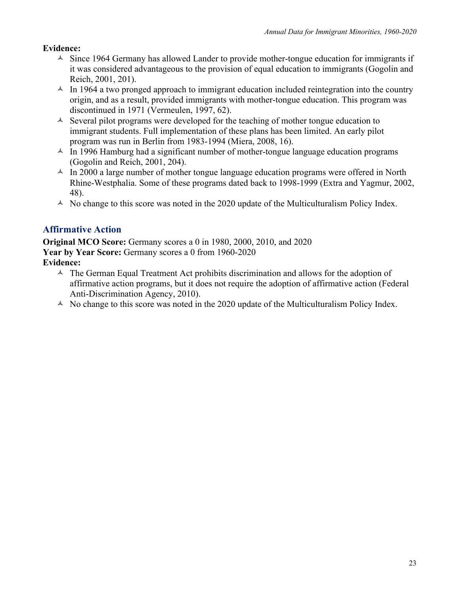#### **Evidence:**

- $\triangle$  Since 1964 Germany has allowed Lander to provide mother-tongue education for immigrants if it was considered advantageous to the provision of equal education to immigrants (Gogolin and Reich, 2001, 201).
- $\triangle$  In 1964 a two pronged approach to immigrant education included reintegration into the country origin, and as a result, provided immigrants with mother-tongue education. This program was discontinued in 1971 (Vermeulen, 1997, 62).
- $\triangle$  Several pilot programs were developed for the teaching of mother tongue education to immigrant students. Full implementation of these plans has been limited. An early pilot program was run in Berlin from 1983-1994 (Miera, 2008, 16).
- $\triangle$  In 1996 Hamburg had a significant number of mother-tongue language education programs (Gogolin and Reich, 2001, 204).
- $\triangle$  In 2000 a large number of mother tongue language education programs were offered in North Rhine-Westphalia. Some of these programs dated back to 1998-1999 (Extra and Yagmur, 2002, 48).
- $\triangle$  No change to this score was noted in the 2020 update of the Multiculturalism Policy Index.

#### **Affirmative Action**

**Original MCO Score:** Germany scores a 0 in 1980, 2000, 2010, and 2020 **Year by Year Score:** Germany scores a 0 from 1960-2020

#### **Evidence:**

- $\triangle$  The German Equal Treatment Act prohibits discrimination and allows for the adoption of affirmative action programs, but it does not require the adoption of affirmative action (Federal Anti-Discrimination Agency, 2010).
- $\triangle$  No change to this score was noted in the 2020 update of the Multiculturalism Policy Index.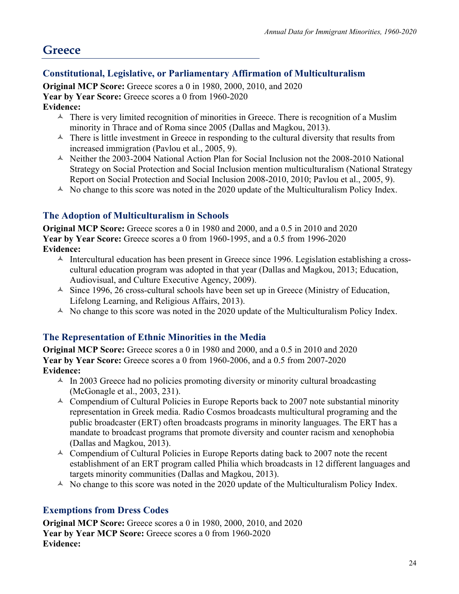# **Greece**

## **Constitutional, Legislative, or Parliamentary Affirmation of Multiculturalism**

**Original MCP Score:** Greece scores a 0 in 1980, 2000, 2010, and 2020 **Year by Year Score:** Greece scores a 0 from 1960-2020 **Evidence:**

- $\triangle$  There is very limited recognition of minorities in Greece. There is recognition of a Muslim minority in Thrace and of Roma since 2005 (Dallas and Magkou, 2013).
- $\triangle$  There is little investment in Greece in responding to the cultural diversity that results from increased immigration (Pavlou et al., 2005, 9).
- $\triangle$  Neither the 2003-2004 National Action Plan for Social Inclusion not the 2008-2010 National Strategy on Social Protection and Social Inclusion mention multiculturalism (National Strategy Report on Social Protection and Social Inclusion 2008-2010, 2010; Pavlou et al., 2005, 9).
- $\triangle$  No change to this score was noted in the 2020 update of the Multiculturalism Policy Index.

## **The Adoption of Multiculturalism in Schools**

**Original MCP Score:** Greece scores a 0 in 1980 and 2000, and a 0.5 in 2010 and 2020 **Year by Year Score:** Greece scores a 0 from 1960-1995, and a 0.5 from 1996-2020 **Evidence:**

- $\uparrow$  Intercultural education has been present in Greece since 1996. Legislation establishing a crosscultural education program was adopted in that year (Dallas and Magkou, 2013; Education, Audiovisual, and Culture Executive Agency, 2009).
- $\triangle$  Since 1996, 26 cross-cultural schools have been set up in Greece (Ministry of Education, Lifelong Learning, and Religious Affairs, 2013).
- $\triangle$  No change to this score was noted in the 2020 update of the Multiculturalism Policy Index.

#### **The Representation of Ethnic Minorities in the Media**

**Original MCP Score:** Greece scores a 0 in 1980 and 2000, and a 0.5 in 2010 and 2020 **Year by Year Score:** Greece scores a 0 from 1960-2006, and a 0.5 from 2007-2020 **Evidence:**

- $\text{\AA}$  In 2003 Greece had no policies promoting diversity or minority cultural broadcasting (McGonagle et al., 2003, 231).
- $\triangle$  Compendium of Cultural Policies in Europe Reports back to 2007 note substantial minority representation in Greek media. Radio Cosmos broadcasts multicultural programing and the public broadcaster (ERT) often broadcasts programs in minority languages. The ERT has a mandate to broadcast programs that promote diversity and counter racism and xenophobia (Dallas and Magkou, 2013).
- $\triangle$  Compendium of Cultural Policies in Europe Reports dating back to 2007 note the recent establishment of an ERT program called Philia which broadcasts in 12 different languages and targets minority communities (Dallas and Magkou, 2013).
- $\triangle$  No change to this score was noted in the 2020 update of the Multiculturalism Policy Index.

#### **Exemptions from Dress Codes**

**Original MCP Score:** Greece scores a 0 in 1980, 2000, 2010, and 2020 **Year by Year MCP Score:** Greece scores a 0 from 1960-2020 **Evidence:**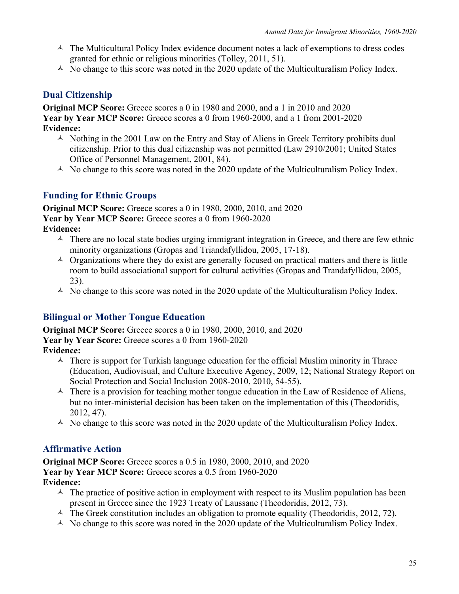- $\triangle$  The Multicultural Policy Index evidence document notes a lack of exemptions to dress codes granted for ethnic or religious minorities (Tolley, 2011, 51).
- $\triangle$  No change to this score was noted in the 2020 update of the Multiculturalism Policy Index.

#### **Dual Citizenship**

**Original MCP Score:** Greece scores a 0 in 1980 and 2000, and a 1 in 2010 and 2020 **Year by Year MCP Score:** Greece scores a 0 from 1960-2000, and a 1 from 2001-2020 **Evidence:**

- $\triangle$  Nothing in the 2001 Law on the Entry and Stay of Aliens in Greek Territory prohibits dual citizenship. Prior to this dual citizenship was not permitted (Law 2910/2001; United States Office of Personnel Management, 2001, 84).
- $\triangle$  No change to this score was noted in the 2020 update of the Multiculturalism Policy Index.

#### **Funding for Ethnic Groups**

**Original MCP Score:** Greece scores a 0 in 1980, 2000, 2010, and 2020 **Year by Year MCP Score:** Greece scores a 0 from 1960-2020 **Evidence:**

- $\triangle$  There are no local state bodies urging immigrant integration in Greece, and there are few ethnic minority organizations (Gropas and Triandafyllidou, 2005, 17-18).
- $\triangle$  Organizations where they do exist are generally focused on practical matters and there is little room to build associational support for cultural activities (Gropas and Trandafyllidou, 2005, 23).
- $\triangle$  No change to this score was noted in the 2020 update of the Multiculturalism Policy Index.

#### **Bilingual or Mother Tongue Education**

**Original MCP Score:** Greece scores a 0 in 1980, 2000, 2010, and 2020 **Year by Year Score:** Greece scores a 0 from 1960-2020 **Evidence:**

- $\triangle$  There is support for Turkish language education for the official Muslim minority in Thrace (Education, Audiovisual, and Culture Executive Agency, 2009, 12; National Strategy Report on Social Protection and Social Inclusion 2008-2010, 2010, 54-55).
- $\triangle$  There is a provision for teaching mother tongue education in the Law of Residence of Aliens, but no inter-ministerial decision has been taken on the implementation of this (Theodoridis, 2012, 47).
- $\triangle$  No change to this score was noted in the 2020 update of the Multiculturalism Policy Index.

#### **Affirmative Action**

**Original MCP Score:** Greece scores a 0.5 in 1980, 2000, 2010, and 2020 **Year by Year MCP Score:** Greece scores a 0.5 from 1960-2020 **Evidence:**

- $\triangle$  The practice of positive action in employment with respect to its Muslim population has been present in Greece since the 1923 Treaty of Laussane (Theodoridis, 2012, 73).
- $\blacktriangle$  The Greek constitution includes an obligation to promote equality (Theodoridis, 2012, 72).
- $\triangle$  No change to this score was noted in the 2020 update of the Multiculturalism Policy Index.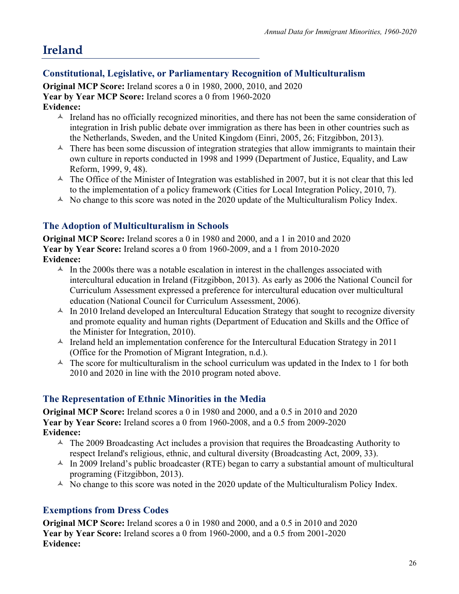# **Ireland**

# **Constitutional, Legislative, or Parliamentary Recognition of Multiculturalism**

**Original MCP Score:** Ireland scores a 0 in 1980, 2000, 2010, and 2020 **Year by Year MCP Score:** Ireland scores a 0 from 1960-2020 **Evidence:**

- $\triangle$  Ireland has no officially recognized minorities, and there has not been the same consideration of integration in Irish public debate over immigration as there has been in other countries such as the Netherlands, Sweden, and the United Kingdom (Einri, 2005, 26; Fitzgibbon, 2013).
- $\triangle$  There has been some discussion of integration strategies that allow immigrants to maintain their own culture in reports conducted in 1998 and 1999 (Department of Justice, Equality, and Law Reform, 1999, 9, 48).
- $\triangle$  The Office of the Minister of Integration was established in 2007, but it is not clear that this led to the implementation of a policy framework (Cities for Local Integration Policy, 2010, 7).
- $\triangle$  No change to this score was noted in the 2020 update of the Multiculturalism Policy Index.

## **The Adoption of Multiculturalism in Schools**

**Original MCP Score:** Ireland scores a 0 in 1980 and 2000, and a 1 in 2010 and 2020 **Year by Year Score:** Ireland scores a 0 from 1960-2009, and a 1 from 2010-2020 **Evidence:**

- $\sim$  In the 2000s there was a notable escalation in interest in the challenges associated with intercultural education in Ireland (Fitzgibbon, 2013). As early as 2006 the National Council for Curriculum Assessment expressed a preference for intercultural education over multicultural education (National Council for Curriculum Assessment, 2006).
- $\sim$  In 2010 Ireland developed an Intercultural Education Strategy that sought to recognize diversity and promote equality and human rights (Department of Education and Skills and the Office of the Minister for Integration, 2010).
- $\lambda$  Ireland held an implementation conference for the Intercultural Education Strategy in 2011 (Office for the Promotion of Migrant Integration, n.d.).
- $\triangle$  The score for multiculturalism in the school curriculum was updated in the Index to 1 for both 2010 and 2020 in line with the 2010 program noted above.

# **The Representation of Ethnic Minorities in the Media**

**Original MCP Score:** Ireland scores a 0 in 1980 and 2000, and a 0.5 in 2010 and 2020 **Year by Year Score:** Ireland scores a 0 from 1960-2008, and a 0.5 from 2009-2020 **Evidence:**

- $\triangle$  The 2009 Broadcasting Act includes a provision that requires the Broadcasting Authority to respect Ireland's religious, ethnic, and cultural diversity (Broadcasting Act, 2009, 33).
- $\triangle$  In 2009 Ireland's public broadcaster (RTE) began to carry a substantial amount of multicultural programing (Fitzgibbon, 2013).
- $\triangle$  No change to this score was noted in the 2020 update of the Multiculturalism Policy Index.

#### **Exemptions from Dress Codes**

**Original MCP Score:** Ireland scores a 0 in 1980 and 2000, and a 0.5 in 2010 and 2020 **Year by Year Score:** Ireland scores a 0 from 1960-2000, and a 0.5 from 2001-2020 **Evidence:**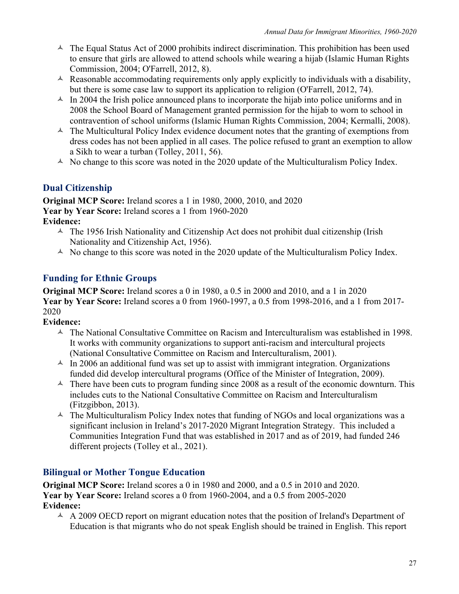- $\triangle$  The Equal Status Act of 2000 prohibits indirect discrimination. This prohibition has been used to ensure that girls are allowed to attend schools while wearing a hijab (Islamic Human Rights Commission, 2004; O'Farrell, 2012, 8).
- $\triangle$  Reasonable accommodating requirements only apply explicitly to individuals with a disability, but there is some case law to support its application to religion (O'Farrell, 2012, 74).
- $\triangle$  In 2004 the Irish police announced plans to incorporate the hijab into police uniforms and in 2008 the School Board of Management granted permission for the hijab to worn to school in contravention of school uniforms (Islamic Human Rights Commission, 2004; Kermalli, 2008).
- $\triangle$  The Multicultural Policy Index evidence document notes that the granting of exemptions from dress codes has not been applied in all cases. The police refused to grant an exemption to allow a Sikh to wear a turban (Tolley, 2011, 56).
- $\triangle$  No change to this score was noted in the 2020 update of the Multiculturalism Policy Index.

#### **Dual Citizenship**

**Original MCP Score:** Ireland scores a 1 in 1980, 2000, 2010, and 2020 **Year by Year Score:** Ireland scores a 1 from 1960-2020 **Evidence:**

- $\triangle$  The 1956 Irish Nationality and Citizenship Act does not prohibit dual citizenship (Irish Nationality and Citizenship Act, 1956).
- $\triangle$  No change to this score was noted in the 2020 update of the Multiculturalism Policy Index.

## **Funding for Ethnic Groups**

**Original MCP Score:** Ireland scores a 0 in 1980, a 0.5 in 2000 and 2010, and a 1 in 2020 **Year by Year Score:** Ireland scores a 0 from 1960-1997, a 0.5 from 1998-2016, and a 1 from 2017- 2020

#### **Evidence:**

- $\triangle$  The National Consultative Committee on Racism and Interculturalism was established in 1998. It works with community organizations to support anti-racism and intercultural projects (National Consultative Committee on Racism and Interculturalism, 2001).
- $\sim$  In 2006 an additional fund was set up to assist with immigrant integration. Organizations funded did develop intercultural programs (Office of the Minister of Integration, 2009).
- $\triangle$  There have been cuts to program funding since 2008 as a result of the economic downturn. This includes cuts to the National Consultative Committee on Racism and Interculturalism (Fitzgibbon, 2013).
- $\triangle$  The Multiculturalism Policy Index notes that funding of NGOs and local organizations was a significant inclusion in Ireland's 2017-2020 Migrant Integration Strategy. This included a Communities Integration Fund that was established in 2017 and as of 2019, had funded 246 different projects (Tolley et al., 2021).

#### **Bilingual or Mother Tongue Education**

**Original MCP Score:** Ireland scores a 0 in 1980 and 2000, and a 0.5 in 2010 and 2020. **Year by Year Score:** Ireland scores a 0 from 1960-2004, and a 0.5 from 2005-2020 **Evidence:**

 $\triangle$  A 2009 OECD report on migrant education notes that the position of Ireland's Department of Education is that migrants who do not speak English should be trained in English. This report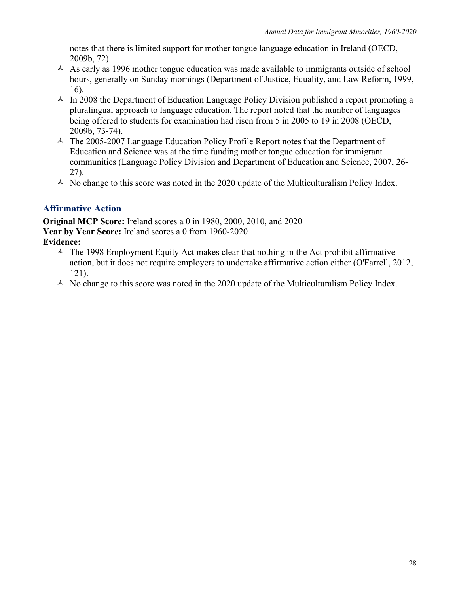notes that there is limited support for mother tongue language education in Ireland (OECD, 2009b, 72).

- $\triangle$  As early as 1996 mother tongue education was made available to immigrants outside of school hours, generally on Sunday mornings (Department of Justice, Equality, and Law Reform, 1999, 16).
- $\triangle$  In 2008 the Department of Education Language Policy Division published a report promoting a pluralingual approach to language education. The report noted that the number of languages being offered to students for examination had risen from 5 in 2005 to 19 in 2008 (OECD, 2009b, 73-74).
- $\triangle$  The 2005-2007 Language Education Policy Profile Report notes that the Department of Education and Science was at the time funding mother tongue education for immigrant communities (Language Policy Division and Department of Education and Science, 2007, 26- 27).
- $\triangle$  No change to this score was noted in the 2020 update of the Multiculturalism Policy Index.

#### **Affirmative Action**

**Original MCP Score:** Ireland scores a 0 in 1980, 2000, 2010, and 2020 **Year by Year Score:** Ireland scores a 0 from 1960-2020 **Evidence:**

- $\triangle$  The 1998 Employment Equity Act makes clear that nothing in the Act prohibit affirmative action, but it does not require employers to undertake affirmative action either (O'Farrell, 2012, 121).
- $\triangle$  No change to this score was noted in the 2020 update of the Multiculturalism Policy Index.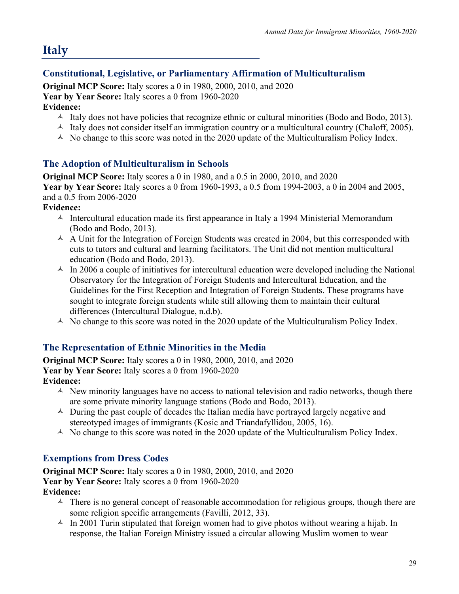# **Italy**

# **Constitutional, Legislative, or Parliamentary Affirmation of Multiculturalism**

**Original MCP Score:** Italy scores a 0 in 1980, 2000, 2010, and 2020 **Year by Year Score:** Italy scores a 0 from 1960-2020

#### **Evidence:**

- $\triangle$  Italy does not have policies that recognize ethnic or cultural minorities (Bodo and Bodo, 2013).
- $\lambda$  Italy does not consider itself an immigration country or a multicultural country (Chaloff, 2005).
- $\triangle$  No change to this score was noted in the 2020 update of the Multiculturalism Policy Index.

#### **The Adoption of Multiculturalism in Schools**

**Original MCP Score:** Italy scores a 0 in 1980, and a 0.5 in 2000, 2010, and 2020 **Year by Year Score:** Italy scores a 0 from 1960-1993, a 0.5 from 1994-2003, a 0 in 2004 and 2005, and a 0.5 from 2006-2020

#### **Evidence:**

- $\uparrow$  Intercultural education made its first appearance in Italy a 1994 Ministerial Memorandum (Bodo and Bodo, 2013).
- $\triangle$  A Unit for the Integration of Foreign Students was created in 2004, but this corresponded with cuts to tutors and cultural and learning facilitators. The Unit did not mention multicultural education (Bodo and Bodo, 2013).
- $\text{A}$  In 2006 a couple of initiatives for intercultural education were developed including the National Observatory for the Integration of Foreign Students and Intercultural Education, and the Guidelines for the First Reception and Integration of Foreign Students. These programs have sought to integrate foreign students while still allowing them to maintain their cultural differences (Intercultural Dialogue, n.d.b).
- $\triangle$  No change to this score was noted in the 2020 update of the Multiculturalism Policy Index.

#### **The Representation of Ethnic Minorities in the Media**

**Original MCP Score:** Italy scores a 0 in 1980, 2000, 2010, and 2020 **Year by Year Score:** Italy scores a 0 from 1960-2020

- **Evidence:**
	- $\triangle$  New minority languages have no access to national television and radio networks, though there are some private minority language stations (Bodo and Bodo, 2013).
	- $\triangle$  During the past couple of decades the Italian media have portrayed largely negative and stereotyped images of immigrants (Kosic and Triandafyllidou, 2005, 16).
	- $\triangle$  No change to this score was noted in the 2020 update of the Multiculturalism Policy Index.

#### **Exemptions from Dress Codes**

**Original MCP Score:** Italy scores a 0 in 1980, 2000, 2010, and 2020 **Year by Year Score:** Italy scores a 0 from 1960-2020 **Evidence:**

- $\uparrow$  There is no general concept of reasonable accommodation for religious groups, though there are some religion specific arrangements (Favilli, 2012, 33).
- $\text{A}$  In 2001 Turin stipulated that foreign women had to give photos without wearing a hijab. In response, the Italian Foreign Ministry issued a circular allowing Muslim women to wear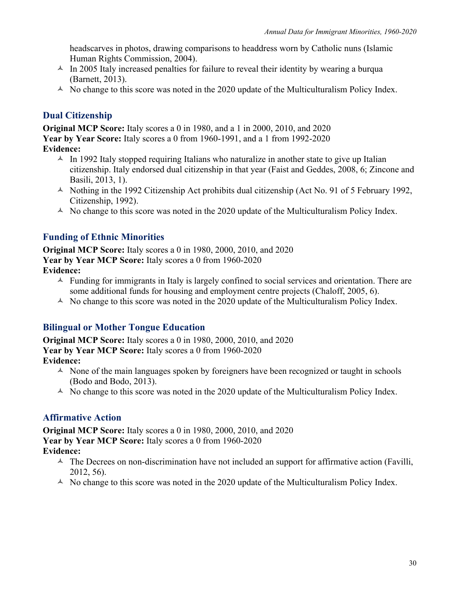headscarves in photos, drawing comparisons to headdress worn by Catholic nuns (Islamic Human Rights Commission, 2004).

- $\text{A}$  In 2005 Italy increased penalties for failure to reveal their identity by wearing a burqua (Barnett, 2013).
- $\triangle$  No change to this score was noted in the 2020 update of the Multiculturalism Policy Index.

#### **Dual Citizenship**

**Original MCP Score:** Italy scores a 0 in 1980, and a 1 in 2000, 2010, and 2020 **Year by Year Score:** Italy scores a 0 from 1960-1991, and a 1 from 1992-2020 **Evidence:**

- $\triangle$  In 1992 Italy stopped requiring Italians who naturalize in another state to give up Italian citizenship. Italy endorsed dual citizenship in that year (Faist and Geddes, 2008, 6; Zincone and Basili, 2013, 1).
- $\triangle$  Nothing in the 1992 Citizenship Act prohibits dual citizenship (Act No. 91 of 5 February 1992, Citizenship, 1992).
- $\triangle$  No change to this score was noted in the 2020 update of the Multiculturalism Policy Index.

#### **Funding of Ethnic Minorities**

**Original MCP Score:** Italy scores a 0 in 1980, 2000, 2010, and 2020 **Year by Year MCP Score:** Italy scores a 0 from 1960-2020 **Evidence:**

- $\triangle$  Funding for immigrants in Italy is largely confined to social services and orientation. There are some additional funds for housing and employment centre projects (Chaloff, 2005, 6).
- $\triangle$  No change to this score was noted in the 2020 update of the Multiculturalism Policy Index.

#### **Bilingual or Mother Tongue Education**

**Original MCP Score:** Italy scores a 0 in 1980, 2000, 2010, and 2020 **Year by Year MCP Score:** Italy scores a 0 from 1960-2020 **Evidence:**

- $\triangle$  None of the main languages spoken by foreigners have been recognized or taught in schools (Bodo and Bodo, 2013).
- $\triangle$  No change to this score was noted in the 2020 update of the Multiculturalism Policy Index.

#### **Affirmative Action**

**Original MCP Score:** Italy scores a 0 in 1980, 2000, 2010, and 2020 **Year by Year MCP Score:** Italy scores a 0 from 1960-2020 **Evidence:**

- $\triangle$  The Decrees on non-discrimination have not included an support for affirmative action (Favilli, 2012, 56).
- $\triangle$  No change to this score was noted in the 2020 update of the Multiculturalism Policy Index.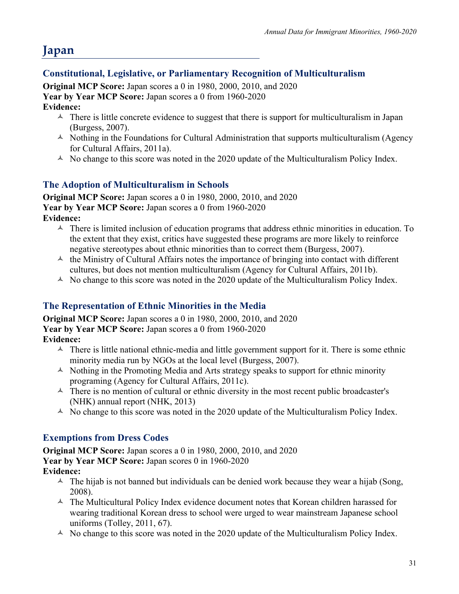## **Constitutional, Legislative, or Parliamentary Recognition of Multiculturalism**

**Original MCP Score:** Japan scores a 0 in 1980, 2000, 2010, and 2020 **Year by Year MCP Score:** Japan scores a 0 from 1960-2020 **Evidence:**

- $\triangle$  There is little concrete evidence to suggest that there is support for multiculturalism in Japan (Burgess, 2007).
- $\triangle$  Nothing in the Foundations for Cultural Administration that supports multiculturalism (Agency for Cultural Affairs, 2011a).
- $\triangle$  No change to this score was noted in the 2020 update of the Multiculturalism Policy Index.

#### **The Adoption of Multiculturalism in Schools**

**Original MCP Score:** Japan scores a 0 in 1980, 2000, 2010, and 2020 **Year by Year MCP Score:** Japan scores a 0 from 1960-2020

**Evidence:**

- $\triangle$  There is limited inclusion of education programs that address ethnic minorities in education. To the extent that they exist, critics have suggested these programs are more likely to reinforce negative stereotypes about ethnic minorities than to correct them (Burgess, 2007).
- $\lambda$  the Ministry of Cultural Affairs notes the importance of bringing into contact with different cultures, but does not mention multiculturalism (Agency for Cultural Affairs, 2011b).
- $\triangle$  No change to this score was noted in the 2020 update of the Multiculturalism Policy Index.

#### **The Representation of Ethnic Minorities in the Media**

**Original MCP Score:** Japan scores a 0 in 1980, 2000, 2010, and 2020

**Year by Year MCP Score:** Japan scores a 0 from 1960-2020

**Evidence:**

- $\triangle$  There is little national ethnic-media and little government support for it. There is some ethnic minority media run by NGOs at the local level (Burgess, 2007).
- $\triangle$  Nothing in the Promoting Media and Arts strategy speaks to support for ethnic minority programing (Agency for Cultural Affairs, 2011c).
- $\triangle$  There is no mention of cultural or ethnic diversity in the most recent public broadcaster's (NHK) annual report (NHK, 2013)
- $\triangle$  No change to this score was noted in the 2020 update of the Multiculturalism Policy Index.

#### **Exemptions from Dress Codes**

**Original MCP Score:** Japan scores a 0 in 1980, 2000, 2010, and 2020 **Year by Year MCP Score:** Japan scores 0 in 1960-2020 **Evidence:**

- $\triangle$  The hijab is not banned but individuals can be denied work because they wear a hijab (Song, 2008).
- $\triangle$  The Multicultural Policy Index evidence document notes that Korean children harassed for wearing traditional Korean dress to school were urged to wear mainstream Japanese school uniforms (Tolley, 2011, 67).
- $\triangle$  No change to this score was noted in the 2020 update of the Multiculturalism Policy Index.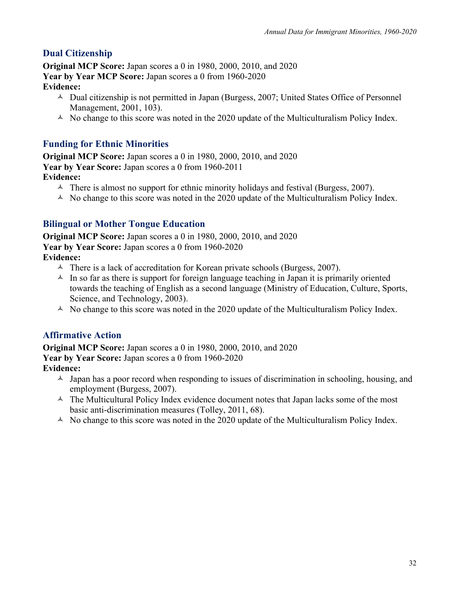## **Dual Citizenship**

**Original MCP Score:** Japan scores a 0 in 1980, 2000, 2010, and 2020 **Year by Year MCP Score:** Japan scores a 0 from 1960-2020 **Evidence:**

- $\triangle$  Dual citizenship is not permitted in Japan (Burgess, 2007; United States Office of Personnel Management, 2001, 103).
- $\triangle$  No change to this score was noted in the 2020 update of the Multiculturalism Policy Index.

# **Funding for Ethnic Minorities**

**Original MCP Score:** Japan scores a 0 in 1980, 2000, 2010, and 2020 **Year by Year Score:** Japan scores a 0 from 1960-2011 **Evidence:**

- $\triangle$  There is almost no support for ethnic minority holidays and festival (Burgess, 2007).
- $\triangle$  No change to this score was noted in the 2020 update of the Multiculturalism Policy Index.

## **Bilingual or Mother Tongue Education**

**Original MCP Score:** Japan scores a 0 in 1980, 2000, 2010, and 2020 **Year by Year Score:** Japan scores a 0 from 1960-2020 **Evidence:**

- $\triangle$  There is a lack of accreditation for Korean private schools (Burgess, 2007).
- $\lambda$  In so far as there is support for foreign language teaching in Japan it is primarily oriented towards the teaching of English as a second language (Ministry of Education, Culture, Sports, Science, and Technology, 2003).
- $\triangle$  No change to this score was noted in the 2020 update of the Multiculturalism Policy Index.

#### **Affirmative Action**

**Original MCP Score:** Japan scores a 0 in 1980, 2000, 2010, and 2020 **Year by Year Score:** Japan scores a 0 from 1960-2020 **Evidence:**

- $\lambda$  Japan has a poor record when responding to issues of discrimination in schooling, housing, and employment (Burgess, 2007).
- $\triangle$  The Multicultural Policy Index evidence document notes that Japan lacks some of the most basic anti-discrimination measures (Tolley, 2011, 68).
- $\triangle$  No change to this score was noted in the 2020 update of the Multiculturalism Policy Index.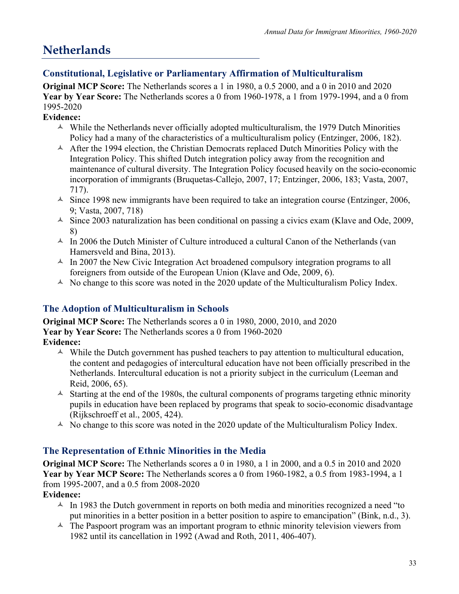# **Netherlands**

## **Constitutional, Legislative or Parliamentary Affirmation of Multiculturalism**

**Original MCP Score:** The Netherlands scores a 1 in 1980, a 0.5 2000, and a 0 in 2010 and 2020 **Year by Year Score:** The Netherlands scores a 0 from 1960-1978, a 1 from 1979-1994, and a 0 from 1995-2020

#### **Evidence:**

- $\triangle$  While the Netherlands never officially adopted multiculturalism, the 1979 Dutch Minorities Policy had a many of the characteristics of a multiculturalism policy (Entzinger, 2006, 182).
- $\triangle$  After the 1994 election, the Christian Democrats replaced Dutch Minorities Policy with the Integration Policy. This shifted Dutch integration policy away from the recognition and maintenance of cultural diversity. The Integration Policy focused heavily on the socio-economic incorporation of immigrants (Bruquetas-Callejo, 2007, 17; Entzinger, 2006, 183; Vasta, 2007, 717).
- $\triangle$  Since 1998 new immigrants have been required to take an integration course (Entzinger, 2006, 9; Vasta, 2007, 718)
- $\triangle$  Since 2003 naturalization has been conditional on passing a civics exam (Klave and Ode, 2009, 8)
- $\text{A}$  In 2006 the Dutch Minister of Culture introduced a cultural Canon of the Netherlands (van Hamersveld and Bina, 2013).
- $\triangle$  In 2007 the New Civic Integration Act broadened compulsory integration programs to all foreigners from outside of the European Union (Klave and Ode, 2009, 6).
- $\triangle$  No change to this score was noted in the 2020 update of the Multiculturalism Policy Index.

# **The Adoption of Multiculturalism in Schools**

**Original MCP Score:** The Netherlands scores a 0 in 1980, 2000, 2010, and 2020 **Year by Year Score:** The Netherlands scores a 0 from 1960-2020 **Evidence:**

- $\triangle$  While the Dutch government has pushed teachers to pay attention to multicultural education, the content and pedagogies of intercultural education have not been officially prescribed in the Netherlands. Intercultural education is not a priority subject in the curriculum (Leeman and Reid, 2006, 65).
- $\triangle$  Starting at the end of the 1980s, the cultural components of programs targeting ethnic minority pupils in education have been replaced by programs that speak to socio-economic disadvantage (Rijkschroeff et al., 2005, 424).
- $\triangle$  No change to this score was noted in the 2020 update of the Multiculturalism Policy Index.

# **The Representation of Ethnic Minorities in the Media**

**Original MCP Score:** The Netherlands scores a 0 in 1980, a 1 in 2000, and a 0.5 in 2010 and 2020 **Year by Year MCP Score:** The Netherlands scores a 0 from 1960-1982, a 0.5 from 1983-1994, a 1 from 1995-2007, and a 0.5 from 2008-2020

#### **Evidence:**

- $\sim$  In 1983 the Dutch government in reports on both media and minorities recognized a need "to" put minorities in a better position in a better position to aspire to emancipation" (Bink, n.d., 3).
- $\triangle$  The Paspoort program was an important program to ethnic minority television viewers from 1982 until its cancellation in 1992 (Awad and Roth, 2011, 406-407).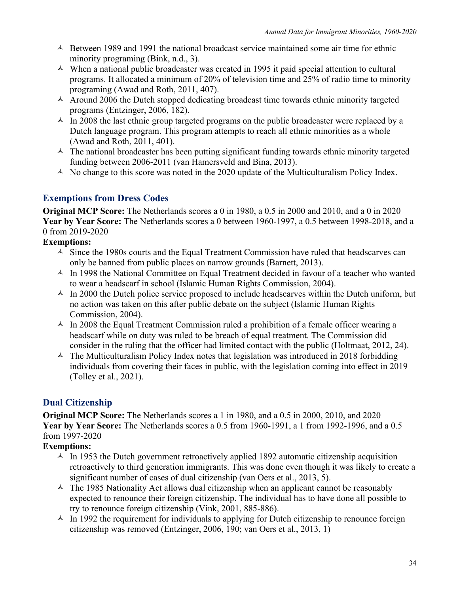- $\triangle$  Between 1989 and 1991 the national broadcast service maintained some air time for ethnic minority programing (Bink, n.d., 3).
- $\triangle$  When a national public broadcaster was created in 1995 it paid special attention to cultural programs. It allocated a minimum of 20% of television time and 25% of radio time to minority programing (Awad and Roth, 2011, 407).
- $\lambda$  Around 2006 the Dutch stopped dedicating broadcast time towards ethnic minority targeted programs (Entzinger, 2006, 182).
- $\sim$  In 2008 the last ethnic group targeted programs on the public broadcaster were replaced by a Dutch language program. This program attempts to reach all ethnic minorities as a whole (Awad and Roth, 2011, 401).
- $\triangle$  The national broadcaster has been putting significant funding towards ethnic minority targeted funding between 2006-2011 (van Hamersveld and Bina, 2013).
- $\triangle$  No change to this score was noted in the 2020 update of the Multiculturalism Policy Index.

#### **Exemptions from Dress Codes**

**Original MCP Score:** The Netherlands scores a 0 in 1980, a 0.5 in 2000 and 2010, and a 0 in 2020 **Year by Year Score:** The Netherlands scores a 0 between 1960-1997, a 0.5 between 1998-2018, and a 0 from 2019-2020

#### **Exemptions:**

- $\triangle$  Since the 1980s courts and the Equal Treatment Commission have ruled that headscarves can only be banned from public places on narrow grounds (Barnett, 2013).
- $\triangle$  In 1998 the National Committee on Equal Treatment decided in favour of a teacher who wanted to wear a headscarf in school (Islamic Human Rights Commission, 2004).
- $\text{A}$  In 2000 the Dutch police service proposed to include headscarves within the Dutch uniform, but no action was taken on this after public debate on the subject (Islamic Human Rights Commission, 2004).
- $\sim$  In 2008 the Equal Treatment Commission ruled a prohibition of a female officer wearing a headscarf while on duty was ruled to be breach of equal treatment. The Commission did consider in the ruling that the officer had limited contact with the public (Holtmaat, 2012, 24).
- $\triangle$  The Multiculturalism Policy Index notes that legislation was introduced in 2018 forbidding individuals from covering their faces in public, with the legislation coming into effect in 2019 (Tolley et al., 2021).

#### **Dual Citizenship**

**Original MCP Score:** The Netherlands scores a 1 in 1980, and a 0.5 in 2000, 2010, and 2020 **Year by Year Score:** The Netherlands scores a 0.5 from 1960-1991, a 1 from 1992-1996, and a 0.5 from 1997-2020

#### **Exemptions:**

- $\sim$  In 1953 the Dutch government retroactively applied 1892 automatic citizenship acquisition retroactively to third generation immigrants. This was done even though it was likely to create a significant number of cases of dual citizenship (van Oers et al., 2013, 5).
- $\triangle$  The 1985 Nationality Act allows dual citizenship when an applicant cannot be reasonably expected to renounce their foreign citizenship. The individual has to have done all possible to try to renounce foreign citizenship (Vink, 2001, 885-886).
- $\triangle$  In 1992 the requirement for individuals to applying for Dutch citizenship to renounce foreign citizenship was removed (Entzinger, 2006, 190; van Oers et al., 2013, 1)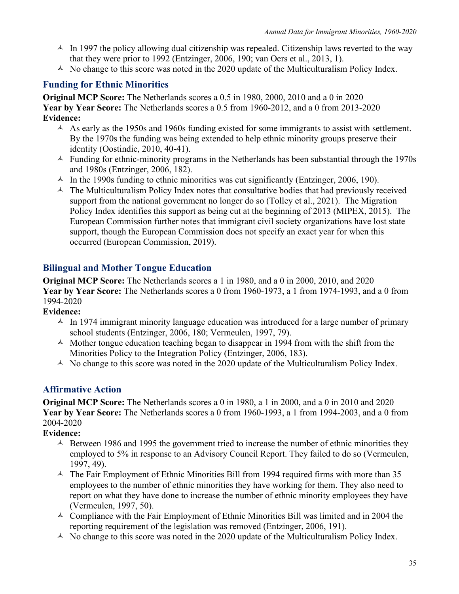- $\triangle$  In 1997 the policy allowing dual citizenship was repealed. Citizenship laws reverted to the way that they were prior to 1992 (Entzinger, 2006, 190; van Oers et al., 2013, 1).
- $\triangle$  No change to this score was noted in the 2020 update of the Multiculturalism Policy Index.

### **Funding for Ethnic Minorities**

**Original MCP Score:** The Netherlands scores a 0.5 in 1980, 2000, 2010 and a 0 in 2020 **Year by Year Score:** The Netherlands scores a 0.5 from 1960-2012, and a 0 from 2013-2020 **Evidence:**

- $\triangle$  As early as the 1950s and 1960s funding existed for some immigrants to assist with settlement. By the 1970s the funding was being extended to help ethnic minority groups preserve their identity (Oostindie, 2010, 40-41).
- $\triangle$  Funding for ethnic-minority programs in the Netherlands has been substantial through the 1970s and 1980s (Entzinger, 2006, 182).
- $\uparrow$  In the 1990s funding to ethnic minorities was cut significantly (Entzinger, 2006, 190).
- $\triangle$  The Multiculturalism Policy Index notes that consultative bodies that had previously received support from the national government no longer do so (Tolley et al., 2021). The Migration Policy Index identifies this support as being cut at the beginning of 2013 (MIPEX, 2015). The European Commission further notes that immigrant civil society organizations have lost state support, though the European Commission does not specify an exact year for when this occurred (European Commission, 2019).

### **Bilingual and Mother Tongue Education**

**Original MCP Score:** The Netherlands scores a 1 in 1980, and a 0 in 2000, 2010, and 2020 **Year by Year Score:** The Netherlands scores a 0 from 1960-1973, a 1 from 1974-1993, and a 0 from 1994-2020

**Evidence:**

- $\triangle$  In 1974 immigrant minority language education was introduced for a large number of primary school students (Entzinger, 2006, 180; Vermeulen, 1997, 79).
- $\triangle$  Mother tongue education teaching began to disappear in 1994 from with the shift from the Minorities Policy to the Integration Policy (Entzinger, 2006, 183).
- $\triangle$  No change to this score was noted in the 2020 update of the Multiculturalism Policy Index.

### **Affirmative Action**

**Original MCP Score:** The Netherlands scores a 0 in 1980, a 1 in 2000, and a 0 in 2010 and 2020 **Year by Year Score:** The Netherlands scores a 0 from 1960-1993, a 1 from 1994-2003, and a 0 from 2004-2020

**Evidence:**

- $\triangle$  Between 1986 and 1995 the government tried to increase the number of ethnic minorities they employed to 5% in response to an Advisory Council Report. They failed to do so (Vermeulen, 1997, 49).
- $\triangle$  The Fair Employment of Ethnic Minorities Bill from 1994 required firms with more than 35 employees to the number of ethnic minorities they have working for them. They also need to report on what they have done to increase the number of ethnic minority employees they have (Vermeulen, 1997, 50).
- $\triangle$  Compliance with the Fair Employment of Ethnic Minorities Bill was limited and in 2004 the reporting requirement of the legislation was removed (Entzinger, 2006, 191).
- $\triangle$  No change to this score was noted in the 2020 update of the Multiculturalism Policy Index.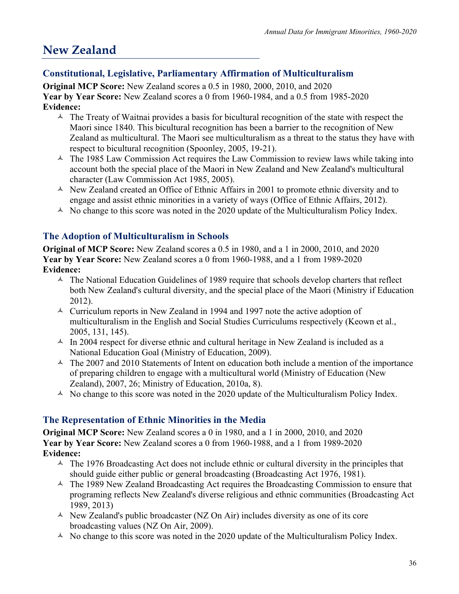# **New Zealand**

# **Constitutional, Legislative, Parliamentary Affirmation of Multiculturalism**

**Original MCP Score:** New Zealand scores a 0.5 in 1980, 2000, 2010, and 2020 **Year by Year Score:** New Zealand scores a 0 from 1960-1984, and a 0.5 from 1985-2020 **Evidence:**

- $\triangle$  The Treaty of Waitnai provides a basis for bicultural recognition of the state with respect the Maori since 1840. This bicultural recognition has been a barrier to the recognition of New Zealand as multicultural. The Maori see multiculturalism as a threat to the status they have with respect to bicultural recognition (Spoonley, 2005, 19-21).
- $\triangle$  The 1985 Law Commission Act requires the Law Commission to review laws while taking into account both the special place of the Maori in New Zealand and New Zealand's multicultural character (Law Commission Act 1985, 2005).
- $\triangle$  New Zealand created an Office of Ethnic Affairs in 2001 to promote ethnic diversity and to engage and assist ethnic minorities in a variety of ways (Office of Ethnic Affairs, 2012).
- $\triangle$  No change to this score was noted in the 2020 update of the Multiculturalism Policy Index.

# **The Adoption of Multiculturalism in Schools**

**Original of MCP Score:** New Zealand scores a 0.5 in 1980, and a 1 in 2000, 2010, and 2020 **Year by Year Score:** New Zealand scores a 0 from 1960-1988, and a 1 from 1989-2020 **Evidence:**

- $\triangle$  The National Education Guidelines of 1989 require that schools develop charters that reflect both New Zealand's cultural diversity, and the special place of the Maori (Ministry if Education 2012).
- $\sim$  Curriculum reports in New Zealand in 1994 and 1997 note the active adoption of multiculturalism in the English and Social Studies Curriculums respectively (Keown et al., 2005, 131, 145).
- $\text{A}$  In 2004 respect for diverse ethnic and cultural heritage in New Zealand is included as a National Education Goal (Ministry of Education, 2009).
- $\sim$  The 2007 and 2010 Statements of Intent on education both include a mention of the importance of preparing children to engage with a multicultural world (Ministry of Education (New Zealand), 2007, 26; Ministry of Education, 2010a, 8).
- $\triangle$  No change to this score was noted in the 2020 update of the Multiculturalism Policy Index.

# **The Representation of Ethnic Minorities in the Media**

**Original MCP Score:** New Zealand scores a 0 in 1980, and a 1 in 2000, 2010, and 2020 **Year by Year Score:** New Zealand scores a 0 from 1960-1988, and a 1 from 1989-2020 **Evidence:**

- $\triangle$  The 1976 Broadcasting Act does not include ethnic or cultural diversity in the principles that should guide either public or general broadcasting (Broadcasting Act 1976, 1981).
- $\triangle$  The 1989 New Zealand Broadcasting Act requires the Broadcasting Commission to ensure that programing reflects New Zealand's diverse religious and ethnic communities (Broadcasting Act 1989, 2013)
- $\triangle$  New Zealand's public broadcaster (NZ On Air) includes diversity as one of its core broadcasting values (NZ On Air, 2009).
- $\triangle$  No change to this score was noted in the 2020 update of the Multiculturalism Policy Index.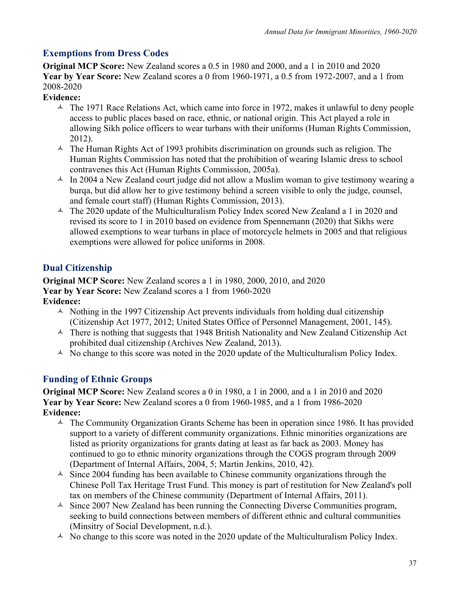## **Exemptions from Dress Codes**

**Original MCP Score:** New Zealand scores a 0.5 in 1980 and 2000, and a 1 in 2010 and 2020 **Year by Year Score:** New Zealand scores a 0 from 1960-1971, a 0.5 from 1972-2007, and a 1 from 2008-2020

**Evidence:**

- $\triangle$  The 1971 Race Relations Act, which came into force in 1972, makes it unlawful to deny people access to public places based on race, ethnic, or national origin. This Act played a role in allowing Sikh police officers to wear turbans with their uniforms (Human Rights Commission, 2012).
- $\triangle$  The Human Rights Act of 1993 prohibits discrimination on grounds such as religion. The Human Rights Commission has noted that the prohibition of wearing Islamic dress to school contravenes this Act (Human Rights Commission, 2005a).
- $\triangle$  In 2004 a New Zealand court judge did not allow a Muslim woman to give testimony wearing a burqa, but did allow her to give testimony behind a screen visible to only the judge, counsel, and female court staff) (Human Rights Commission, 2013).
- $\text{A}$  The 2020 update of the Multiculturalism Policy Index scored New Zealand a 1 in 2020 and revised its score to 1 in 2010 based on evidence from Spennemann (2020) that Sikhs were allowed exemptions to wear turbans in place of motorcycle helmets in 2005 and that religious exemptions were allowed for police uniforms in 2008.

# **Dual Citizenship**

**Original MCP Score:** New Zealand scores a 1 in 1980, 2000, 2010, and 2020 **Year by Year Score:** New Zealand scores a 1 from 1960-2020 **Evidence:**

- $\triangle$  Nothing in the 1997 Citizenship Act prevents individuals from holding dual citizenship (Citizenship Act 1977, 2012; United States Office of Personnel Management, 2001, 145).
- $\triangle$  There is nothing that suggests that 1948 British Nationality and New Zealand Citizenship Act prohibited dual citizenship (Archives New Zealand, 2013).
- $\triangle$  No change to this score was noted in the 2020 update of the Multiculturalism Policy Index.

# **Funding of Ethnic Groups**

**Original MCP Score:** New Zealand scores a 0 in 1980, a 1 in 2000, and a 1 in 2010 and 2020 **Year by Year Score:** New Zealand scores a 0 from 1960-1985, and a 1 from 1986-2020 **Evidence:**

- $\triangle$  The Community Organization Grants Scheme has been in operation since 1986. It has provided support to a variety of different community organizations. Ethnic minorities organizations are listed as priority organizations for grants dating at least as far back as 2003. Money has continued to go to ethnic minority organizations through the COGS program through 2009 (Department of Internal Affairs, 2004, 5; Martin Jenkins, 2010, 42).
- $\triangle$  Since 2004 funding has been available to Chinese community organizations through the Chinese Poll Tax Heritage Trust Fund. This money is part of restitution for New Zealand's poll tax on members of the Chinese community (Department of Internal Affairs, 2011).
- $\triangle$  Since 2007 New Zealand has been running the Connecting Diverse Communities program, seeking to build connections between members of different ethnic and cultural communities (Minsitry of Social Development, n.d.).
- $\triangle$  No change to this score was noted in the 2020 update of the Multiculturalism Policy Index.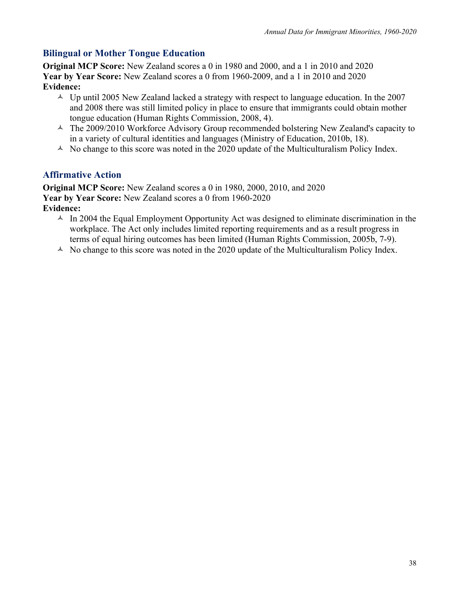# **Bilingual or Mother Tongue Education**

**Original MCP Score:** New Zealand scores a 0 in 1980 and 2000, and a 1 in 2010 and 2020 **Year by Year Score:** New Zealand scores a 0 from 1960-2009, and a 1 in 2010 and 2020 **Evidence:**

- $\triangle$  Up until 2005 New Zealand lacked a strategy with respect to language education. In the 2007 and 2008 there was still limited policy in place to ensure that immigrants could obtain mother tongue education (Human Rights Commission, 2008, 4).
- $\triangle$  The 2009/2010 Workforce Advisory Group recommended bolstering New Zealand's capacity to in a variety of cultural identities and languages (Ministry of Education, 2010b, 18).
- $\triangle$  No change to this score was noted in the 2020 update of the Multiculturalism Policy Index.

# **Affirmative Action**

**Original MCP Score:** New Zealand scores a 0 in 1980, 2000, 2010, and 2020 **Year by Year Score:** New Zealand scores a 0 from 1960-2020 **Evidence:**

- $\triangle$  In 2004 the Equal Employment Opportunity Act was designed to eliminate discrimination in the workplace. The Act only includes limited reporting requirements and as a result progress in terms of equal hiring outcomes has been limited (Human Rights Commission, 2005b, 7-9).
- $\triangle$  No change to this score was noted in the 2020 update of the Multiculturalism Policy Index.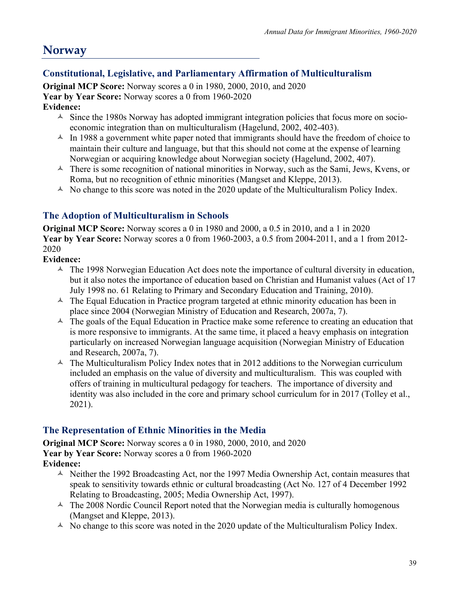# **Norway**

# **Constitutional, Legislative, and Parliamentary Affirmation of Multiculturalism**

**Original MCP Score:** Norway scores a 0 in 1980, 2000, 2010, and 2020 **Year by Year Score:** Norway scores a 0 from 1960-2020

## **Evidence:**

- $\triangle$  Since the 1980s Norway has adopted immigrant integration policies that focus more on socioeconomic integration than on multiculturalism (Hagelund, 2002, 402-403).
- $\triangle$  In 1988 a government white paper noted that immigrants should have the freedom of choice to maintain their culture and language, but that this should not come at the expense of learning Norwegian or acquiring knowledge about Norwegian society (Hagelund, 2002, 407).
- $\triangle$  There is some recognition of national minorities in Norway, such as the Sami, Jews, Kvens, or Roma, but no recognition of ethnic minorities (Mangset and Kleppe, 2013).
- $\triangle$  No change to this score was noted in the 2020 update of the Multiculturalism Policy Index.

## **The Adoption of Multiculturalism in Schools**

**Original MCP Score:** Norway scores a 0 in 1980 and 2000, a 0.5 in 2010, and a 1 in 2020 **Year by Year Score:** Norway scores a 0 from 1960-2003, a 0.5 from 2004-2011, and a 1 from 2012- 2020

### **Evidence:**

- $\triangle$  The 1998 Norwegian Education Act does note the importance of cultural diversity in education, but it also notes the importance of education based on Christian and Humanist values (Act of 17 July 1998 no. 61 Relating to Primary and Secondary Education and Training, 2010).
- $\triangle$  The Equal Education in Practice program targeted at ethnic minority education has been in place since 2004 (Norwegian Ministry of Education and Research, 2007a, 7).
- $\triangle$  The goals of the Equal Education in Practice make some reference to creating an education that is more responsive to immigrants. At the same time, it placed a heavy emphasis on integration particularly on increased Norwegian language acquisition (Norwegian Ministry of Education and Research, 2007a, 7).
- $\triangle$  The Multiculturalism Policy Index notes that in 2012 additions to the Norwegian curriculum included an emphasis on the value of diversity and multiculturalism. This was coupled with offers of training in multicultural pedagogy for teachers. The importance of diversity and identity was also included in the core and primary school curriculum for in 2017 (Tolley et al., 2021).

## **The Representation of Ethnic Minorities in the Media**

**Original MCP Score:** Norway scores a 0 in 1980, 2000, 2010, and 2020 **Year by Year Score:** Norway scores a 0 from 1960-2020 **Evidence:**

- $\triangle$  Neither the 1992 Broadcasting Act, nor the 1997 Media Ownership Act, contain measures that speak to sensitivity towards ethnic or cultural broadcasting (Act No. 127 of 4 December 1992 Relating to Broadcasting, 2005; Media Ownership Act, 1997).
- $\triangle$  The 2008 Nordic Council Report noted that the Norwegian media is culturally homogenous (Mangset and Kleppe, 2013).
- $\triangle$  No change to this score was noted in the 2020 update of the Multiculturalism Policy Index.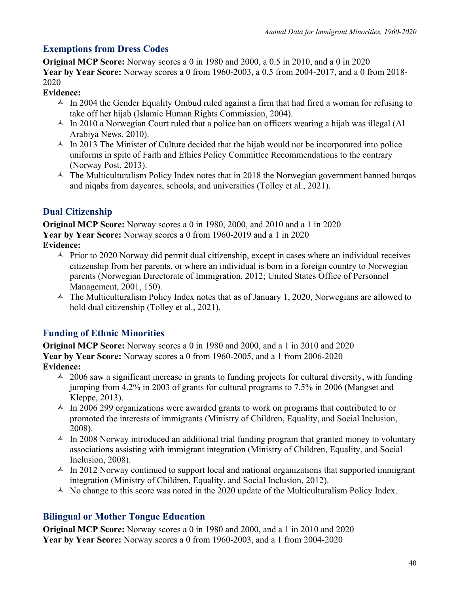# **Exemptions from Dress Codes**

**Original MCP Score:** Norway scores a 0 in 1980 and 2000, a 0.5 in 2010, and a 0 in 2020 **Year by Year Score:** Norway scores a 0 from 1960-2003, a 0.5 from 2004-2017, and a 0 from 2018- 2020

### **Evidence:**

- $\triangle$  In 2004 the Gender Equality Ombud ruled against a firm that had fired a woman for refusing to take off her hijab (Islamic Human Rights Commission, 2004).
- $\triangle$  In 2010 a Norwegian Court ruled that a police ban on officers wearing a hijab was illegal (Al Arabiya News, 2010).
- $\triangle$  In 2013 The Minister of Culture decided that the hijab would not be incorporated into police uniforms in spite of Faith and Ethics Policy Committee Recommendations to the contrary (Norway Post, 2013).
- $\triangle$  The Multiculturalism Policy Index notes that in 2018 the Norwegian government banned burgas and niqabs from daycares, schools, and universities (Tolley et al., 2021).

# **Dual Citizenship**

**Original MCP Score:** Norway scores a 0 in 1980, 2000, and 2010 and a 1 in 2020 **Year by Year Score:** Norway scores a 0 from 1960-2019 and a 1 in 2020 **Evidence:**

- $\triangle$  Prior to 2020 Norway did permit dual citizenship, except in cases where an individual receives citizenship from her parents, or where an individual is born in a foreign country to Norwegian parents (Norwegian Directorate of Immigration, 2012; United States Office of Personnel Management, 2001, 150).
- $\triangle$  The Multiculturalism Policy Index notes that as of January 1, 2020, Norwegians are allowed to hold dual citizenship (Tolley et al., 2021).

# **Funding of Ethnic Minorities**

**Original MCP Score:** Norway scores a 0 in 1980 and 2000, and a 1 in 2010 and 2020 **Year by Year Score:** Norway scores a 0 from 1960-2005, and a 1 from 2006-2020 **Evidence:**

- $\lambda$  2006 saw a significant increase in grants to funding projects for cultural diversity, with funding jumping from 4.2% in 2003 of grants for cultural programs to 7.5% in 2006 (Mangset and Kleppe, 2013).
- $\text{A}$  In 2006 299 organizations were awarded grants to work on programs that contributed to or promoted the interests of immigrants (Ministry of Children, Equality, and Social Inclusion, 2008).
- $\triangle$  In 2008 Norway introduced an additional trial funding program that granted money to voluntary associations assisting with immigrant integration (Ministry of Children, Equality, and Social Inclusion, 2008).
- $\text{A}$  In 2012 Norway continued to support local and national organizations that supported immigrant integration (Ministry of Children, Equality, and Social Inclusion, 2012).
- $\triangle$  No change to this score was noted in the 2020 update of the Multiculturalism Policy Index.

# **Bilingual or Mother Tongue Education**

**Original MCP Score:** Norway scores a 0 in 1980 and 2000, and a 1 in 2010 and 2020 **Year by Year Score:** Norway scores a 0 from 1960-2003, and a 1 from 2004-2020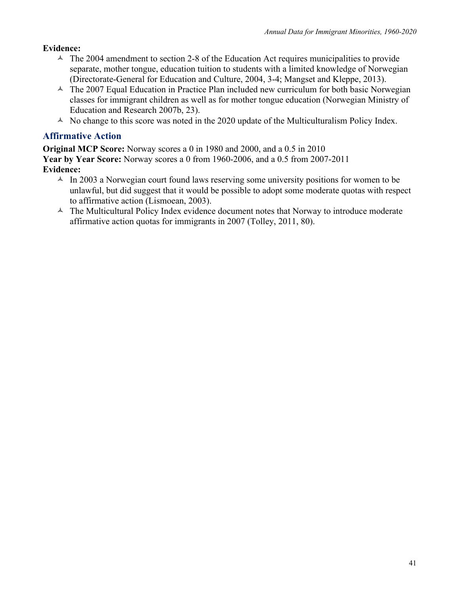#### **Evidence:**

- $\triangle$  The 2004 amendment to section 2-8 of the Education Act requires municipalities to provide separate, mother tongue, education tuition to students with a limited knowledge of Norwegian (Directorate-General for Education and Culture, 2004, 3-4; Mangset and Kleppe, 2013).
- $\triangle$  The 2007 Equal Education in Practice Plan included new curriculum for both basic Norwegian classes for immigrant children as well as for mother tongue education (Norwegian Ministry of Education and Research 2007b, 23).
- $\triangle$  No change to this score was noted in the 2020 update of the Multiculturalism Policy Index.

#### **Affirmative Action**

**Original MCP Score:** Norway scores a 0 in 1980 and 2000, and a 0.5 in 2010 **Year by Year Score:** Norway scores a 0 from 1960-2006, and a 0.5 from 2007-2011 **Evidence:**

- $\text{A}$  In 2003 a Norwegian court found laws reserving some university positions for women to be unlawful, but did suggest that it would be possible to adopt some moderate quotas with respect to affirmative action (Lismoean, 2003).
- $\triangle$  The Multicultural Policy Index evidence document notes that Norway to introduce moderate affirmative action quotas for immigrants in 2007 (Tolley, 2011, 80).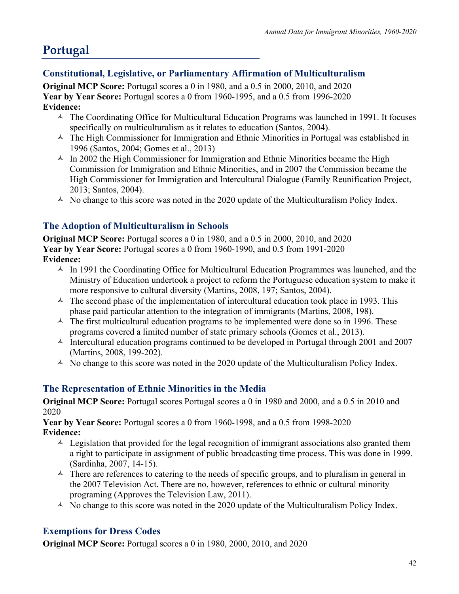# **Portugal**

# **Constitutional, Legislative, or Parliamentary Affirmation of Multiculturalism**

**Original MCP Score:** Portugal scores a 0 in 1980, and a 0.5 in 2000, 2010, and 2020 **Year by Year Score:** Portugal scores a 0 from 1960-1995, and a 0.5 from 1996-2020 **Evidence:**

- $\triangle$  The Coordinating Office for Multicultural Education Programs was launched in 1991. It focuses specifically on multiculturalism as it relates to education (Santos, 2004).
- $\triangle$  The High Commissioner for Immigration and Ethnic Minorities in Portugal was established in 1996 (Santos, 2004; Gomes et al., 2013)
- $\triangle$  In 2002 the High Commissioner for Immigration and Ethnic Minorities became the High Commission for Immigration and Ethnic Minorities, and in 2007 the Commission became the High Commissioner for Immigration and Intercultural Dialogue (Family Reunification Project, 2013; Santos, 2004).
- $\triangle$  No change to this score was noted in the 2020 update of the Multiculturalism Policy Index.

# **The Adoption of Multiculturalism in Schools**

**Original MCP Score:** Portugal scores a 0 in 1980, and a 0.5 in 2000, 2010, and 2020 **Year by Year Score:** Portugal scores a 0 from 1960-1990, and 0.5 from 1991-2020 **Evidence:**

- $\triangle$  In 1991 the Coordinating Office for Multicultural Education Programmes was launched, and the Ministry of Education undertook a project to reform the Portuguese education system to make it more responsive to cultural diversity (Martins, 2008, 197; Santos, 2004).
- $\triangle$  The second phase of the implementation of intercultural education took place in 1993. This phase paid particular attention to the integration of immigrants (Martins, 2008, 198).
- $\triangle$  The first multicultural education programs to be implemented were done so in 1996. These programs covered a limited number of state primary schools (Gomes et al., 2013).
- $\text{A}$  Intercultural education programs continued to be developed in Portugal through 2001 and 2007 (Martins, 2008, 199-202).
- $\triangle$  No change to this score was noted in the 2020 update of the Multiculturalism Policy Index.

## **The Representation of Ethnic Minorities in the Media**

**Original MCP Score:** Portugal scores Portugal scores a 0 in 1980 and 2000, and a 0.5 in 2010 and 2020

**Year by Year Score:** Portugal scores a 0 from 1960-1998, and a 0.5 from 1998-2020 **Evidence:**

- $\triangle$  Legislation that provided for the legal recognition of immigrant associations also granted them a right to participate in assignment of public broadcasting time process. This was done in 1999. (Sardinha, 2007, 14-15).
- $\uparrow$  There are references to catering to the needs of specific groups, and to pluralism in general in the 2007 Television Act. There are no, however, references to ethnic or cultural minority programing (Approves the Television Law, 2011).
- $\triangle$  No change to this score was noted in the 2020 update of the Multiculturalism Policy Index.

# **Exemptions for Dress Codes**

**Original MCP Score:** Portugal scores a 0 in 1980, 2000, 2010, and 2020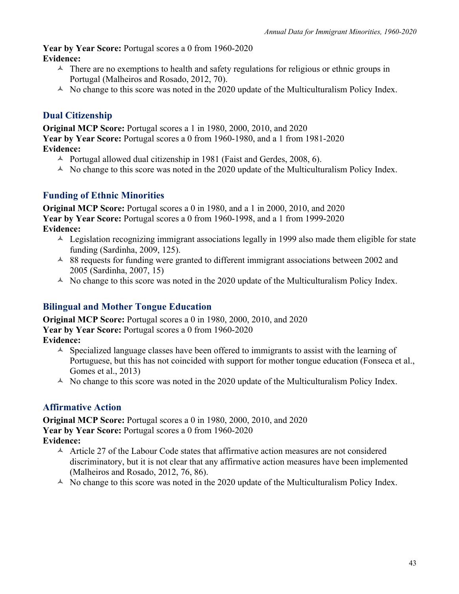**Year by Year Score:** Portugal scores a 0 from 1960-2020 **Evidence:**

- $\uparrow$  There are no exemptions to health and safety regulations for religious or ethnic groups in Portugal (Malheiros and Rosado, 2012, 70).
- $\triangle$  No change to this score was noted in the 2020 update of the Multiculturalism Policy Index.

# **Dual Citizenship**

**Original MCP Score:** Portugal scores a 1 in 1980, 2000, 2010, and 2020 **Year by Year Score:** Portugal scores a 0 from 1960-1980, and a 1 from 1981-2020 **Evidence:**

- $\triangle$  Portugal allowed dual citizenship in 1981 (Faist and Gerdes, 2008, 6).
- $\triangle$  No change to this score was noted in the 2020 update of the Multiculturalism Policy Index.

# **Funding of Ethnic Minorities**

**Original MCP Score:** Portugal scores a 0 in 1980, and a 1 in 2000, 2010, and 2020 **Year by Year Score:** Portugal scores a 0 from 1960-1998, and a 1 from 1999-2020 **Evidence:**

- $\triangle$  Legislation recognizing immigrant associations legally in 1999 also made them eligible for state funding (Sardinha, 2009, 125).
- $\sim$  88 requests for funding were granted to different immigrant associations between 2002 and 2005 (Sardinha, 2007, 15)
- $\triangle$  No change to this score was noted in the 2020 update of the Multiculturalism Policy Index.

# **Bilingual and Mother Tongue Education**

**Original MCP Score:** Portugal scores a 0 in 1980, 2000, 2010, and 2020 **Year by Year Score:** Portugal scores a 0 from 1960-2020 **Evidence:**

- $\triangle$  Specialized language classes have been offered to immigrants to assist with the learning of Portuguese, but this has not coincided with support for mother tongue education (Fonseca et al., Gomes et al., 2013)
- $\triangle$  No change to this score was noted in the 2020 update of the Multiculturalism Policy Index.

## **Affirmative Action**

**Original MCP Score:** Portugal scores a 0 in 1980, 2000, 2010, and 2020 **Year by Year Score:** Portugal scores a 0 from 1960-2020 **Evidence:**

- $\triangle$  Article 27 of the Labour Code states that affirmative action measures are not considered discriminatory, but it is not clear that any affirmative action measures have been implemented (Malheiros and Rosado, 2012, 76, 86).
- $\triangle$  No change to this score was noted in the 2020 update of the Multiculturalism Policy Index.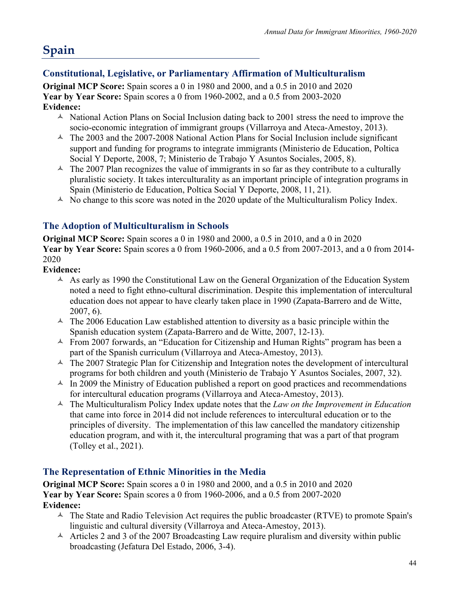# **Spain**

# **Constitutional, Legislative, or Parliamentary Affirmation of Multiculturalism**

**Original MCP Score:** Spain scores a 0 in 1980 and 2000, and a 0.5 in 2010 and 2020 **Year by Year Score:** Spain scores a 0 from 1960-2002, and a 0.5 from 2003-2020 **Evidence:**

- $\triangle$  National Action Plans on Social Inclusion dating back to 2001 stress the need to improve the socio-economic integration of immigrant groups (Villarroya and Ateca-Amestoy, 2013).
- $\sim$  The 2003 and the 2007-2008 National Action Plans for Social Inclusion include significant support and funding for programs to integrate immigrants (Ministerio de Education, Poltica Social Y Deporte, 2008, 7; Ministerio de Trabajo Y Asuntos Sociales, 2005, 8).
- $\triangle$  The 2007 Plan recognizes the value of immigrants in so far as they contribute to a culturally pluralistic society. It takes interculturality as an important principle of integration programs in Spain (Ministerio de Education, Poltica Social Y Deporte, 2008, 11, 21).
- $\triangle$  No change to this score was noted in the 2020 update of the Multiculturalism Policy Index.

# **The Adoption of Multiculturalism in Schools**

**Original MCP Score:** Spain scores a 0 in 1980 and 2000, a 0.5 in 2010, and a 0 in 2020 **Year by Year Score:** Spain scores a 0 from 1960-2006, and a 0.5 from 2007-2013, and a 0 from 2014- 2020

#### **Evidence:**

- $\triangle$  As early as 1990 the Constitutional Law on the General Organization of the Education System noted a need to fight ethno-cultural discrimination. Despite this implementation of intercultural education does not appear to have clearly taken place in 1990 (Zapata-Barrero and de Witte, 2007, 6).
- $\triangle$  The 2006 Education Law established attention to diversity as a basic principle within the Spanish education system (Zapata-Barrero and de Witte, 2007, 12-13).
- $\triangle$  From 2007 forwards, an "Education for Citizenship and Human Rights" program has been a part of the Spanish curriculum (Villarroya and Ateca-Amestoy, 2013).
- $\triangle$  The 2007 Strategic Plan for Citizenship and Integration notes the development of intercultural programs for both children and youth (Ministerio de Trabajo Y Asuntos Sociales, 2007, 32).
- $\triangle$  In 2009 the Ministry of Education published a report on good practices and recommendations for intercultural education programs (Villarroya and Ateca-Amestoy, 2013).
- <sup> $\triangle$ </sup> The Multiculturalism Policy Index update notes that the *Law on the Improvement in Education* that came into force in 2014 did not include references to intercultural education or to the principles of diversity. The implementation of this law cancelled the mandatory citizenship education program, and with it, the intercultural programing that was a part of that program (Tolley et al., 2021).

## **The Representation of Ethnic Minorities in the Media**

**Original MCP Score:** Spain scores a 0 in 1980 and 2000, and a 0.5 in 2010 and 2020 **Year by Year Score:** Spain scores a 0 from 1960-2006, and a 0.5 from 2007-2020 **Evidence:**

- $\triangle$  The State and Radio Television Act requires the public broadcaster (RTVE) to promote Spain's linguistic and cultural diversity (Villarroya and Ateca-Amestoy, 2013).
- $\triangle$  Articles 2 and 3 of the 2007 Broadcasting Law require pluralism and diversity within public broadcasting (Jefatura Del Estado, 2006, 3-4).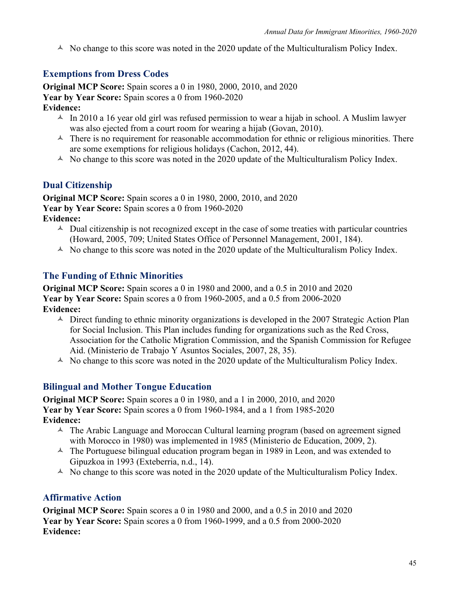$\triangle$  No change to this score was noted in the 2020 update of the Multiculturalism Policy Index.

## **Exemptions from Dress Codes**

**Original MCP Score:** Spain scores a 0 in 1980, 2000, 2010, and 2020 **Year by Year Score:** Spain scores a 0 from 1960-2020 **Evidence:**

- $\sim$  In 2010 a 16 year old girl was refused permission to wear a hijab in school. A Muslim lawyer was also ejected from a court room for wearing a hijab (Govan, 2010).
- $\triangle$  There is no requirement for reasonable accommodation for ethnic or religious minorities. There are some exemptions for religious holidays (Cachon, 2012, 44).
- $\triangle$  No change to this score was noted in the 2020 update of the Multiculturalism Policy Index.

## **Dual Citizenship**

**Original MCP Score:** Spain scores a 0 in 1980, 2000, 2010, and 2020 **Year by Year Score:** Spain scores a 0 from 1960-2020 **Evidence:**

- $\triangle$  Dual citizenship is not recognized except in the case of some treaties with particular countries (Howard, 2005, 709; United States Office of Personnel Management, 2001, 184).
- $\triangle$  No change to this score was noted in the 2020 update of the Multiculturalism Policy Index.

### **The Funding of Ethnic Minorities**

**Original MCP Score:** Spain scores a 0 in 1980 and 2000, and a 0.5 in 2010 and 2020 **Year by Year Score:** Spain scores a 0 from 1960-2005, and a 0.5 from 2006-2020 **Evidence:**

- $\triangle$  Direct funding to ethnic minority organizations is developed in the 2007 Strategic Action Plan for Social Inclusion. This Plan includes funding for organizations such as the Red Cross, Association for the Catholic Migration Commission, and the Spanish Commission for Refugee Aid. (Ministerio de Trabajo Y Asuntos Sociales, 2007, 28, 35).
- $\triangle$  No change to this score was noted in the 2020 update of the Multiculturalism Policy Index.

### **Bilingual and Mother Tongue Education**

**Original MCP Score:** Spain scores a 0 in 1980, and a 1 in 2000, 2010, and 2020 **Year by Year Score:** Spain scores a 0 from 1960-1984, and a 1 from 1985-2020 **Evidence:**

- $\triangle$  The Arabic Language and Moroccan Cultural learning program (based on agreement signed with Morocco in 1980) was implemented in 1985 (Ministerio de Education, 2009, 2).
- $\triangle$  The Portuguese bilingual education program began in 1989 in Leon, and was extended to Gipuzkoa in 1993 (Exteberria, n.d., 14).
- $\triangle$  No change to this score was noted in the 2020 update of the Multiculturalism Policy Index.

### **Affirmative Action**

**Original MCP Score:** Spain scores a 0 in 1980 and 2000, and a 0.5 in 2010 and 2020 **Year by Year Score:** Spain scores a 0 from 1960-1999, and a 0.5 from 2000-2020 **Evidence:**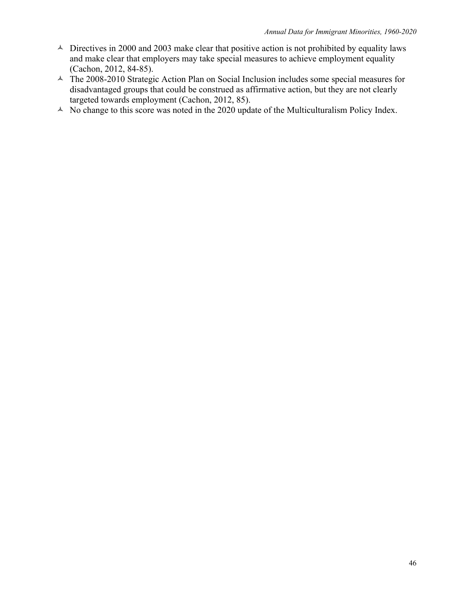- $\triangle$  Directives in 2000 and 2003 make clear that positive action is not prohibited by equality laws and make clear that employers may take special measures to achieve employment equality (Cachon, 2012, 84-85).
- $\triangle$  The 2008-2010 Strategic Action Plan on Social Inclusion includes some special measures for disadvantaged groups that could be construed as affirmative action, but they are not clearly targeted towards employment (Cachon, 2012, 85).
- $\sim$  No change to this score was noted in the 2020 update of the Multiculturalism Policy Index.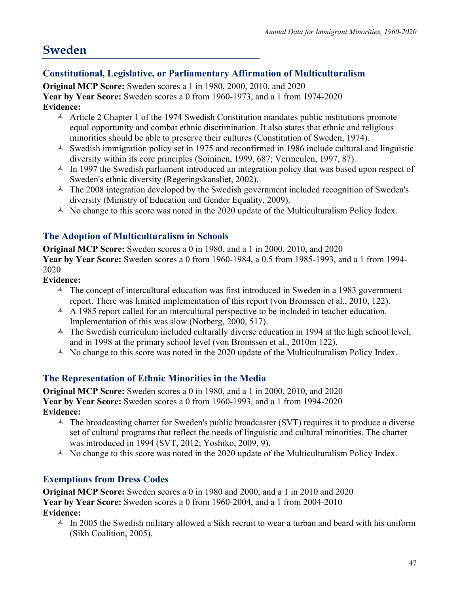# **Sweden**

# **Constitutional, Legislative, or Parliamentary Affirmation of Multiculturalism**

**Original MCP Score:** Sweden scores a 1 in 1980, 2000, 2010, and 2020 **Year by Year Score:** Sweden scores a 0 from 1960-1973, and a 1 from 1974-2020 **Evidence:**

- $\triangle$  Article 2 Chapter 1 of the 1974 Swedish Constitution mandates public institutions promote equal opportunity and combat ethnic discrimination. It also states that ethnic and religious minorities should be able to preserve their cultures (Constitution of Sweden, 1974).
- $\triangle$  Swedish immigration policy set in 1975 and reconfirmed in 1986 include cultural and linguistic diversity within its core principles (Soininen, 1999, 687; Vermeulen, 1997, 87).
- $\triangle$  In 1997 the Swedish parliament introduced an integration policy that was based upon respect of Sweden's ethnic diversity (Regeringskansliet, 2002).
- $\triangle$  The 2008 integration developed by the Swedish government included recognition of Sweden's diversity (Ministry of Education and Gender Equality, 2009).
- $\triangle$  No change to this score was noted in the 2020 update of the Multiculturalism Policy Index.

# **The Adoption of Multiculturalism in Schools**

**Original MCP Score:** Sweden scores a 0 in 1980, and a 1 in 2000, 2010, and 2020 **Year by Year Score:** Sweden scores a 0 from 1960-1984, a 0.5 from 1985-1993, and a 1 from 1994- 2020

### **Evidence:**

- $\triangle$  The concept of intercultural education was first introduced in Sweden in a 1983 government report. There was limited implementation of this report (von Bromssen et al., 2010, 122).
- $\triangle$  A 1985 report called for an intercultural perspective to be included in teacher education. Implementation of this was slow (Norberg, 2000, 517).
- $\triangle$  The Swedish curriculum included culturally diverse education in 1994 at the high school level, and in 1998 at the primary school level (von Bromssen et al., 2010m 122).
- $\triangle$  No change to this score was noted in the 2020 update of the Multiculturalism Policy Index.

## **The Representation of Ethnic Minorities in the Media**

**Original MCP Score:** Sweden scores a 0 in 1980, and a 1 in 2000, 2010, and 2020 **Year by Year Score:** Sweden scores a 0 from 1960-1993, and a 1 from 1994-2020 **Evidence:**

- $\triangle$  The broadcasting charter for Sweden's public broadcaster (SVT) requires it to produce a diverse set of cultural programs that reflect the needs of linguistic and cultural minorities. The charter was introduced in 1994 (SVT, 2012; Yoshiko, 2009, 9).
- $\triangle$  No change to this score was noted in the 2020 update of the Multiculturalism Policy Index.

# **Exemptions from Dress Codes**

**Original MCP Score:** Sweden scores a 0 in 1980 and 2000, and a 1 in 2010 and 2020 **Year by Year Score:** Sweden scores a 0 from 1960-2004, and a 1 from 2004-2010 **Evidence:**

 $\text{A}$  In 2005 the Swedish military allowed a Sikh recruit to wear a turban and beard with his uniform (Sikh Coalition, 2005).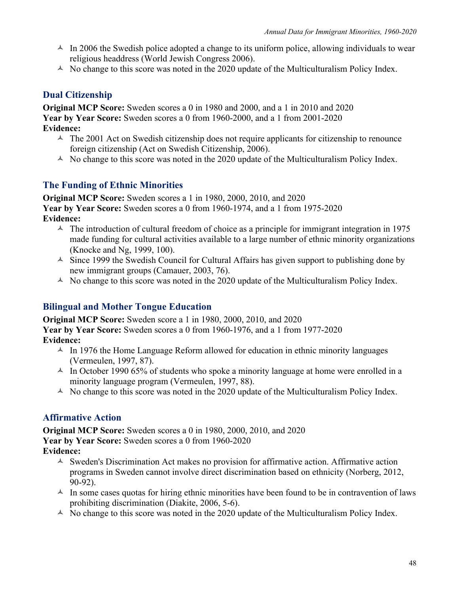- $\triangle$  In 2006 the Swedish police adopted a change to its uniform police, allowing individuals to wear religious headdress (World Jewish Congress 2006).
- $\triangle$  No change to this score was noted in the 2020 update of the Multiculturalism Policy Index.

## **Dual Citizenship**

**Original MCP Score:** Sweden scores a 0 in 1980 and 2000, and a 1 in 2010 and 2020 **Year by Year Score:** Sweden scores a 0 from 1960-2000, and a 1 from 2001-2020 **Evidence:**

- $\triangle$  The 2001 Act on Swedish citizenship does not require applicants for citizenship to renounce foreign citizenship (Act on Swedish Citizenship, 2006).
- $\triangle$  No change to this score was noted in the 2020 update of the Multiculturalism Policy Index.

### **The Funding of Ethnic Minorities**

**Original MCP Score:** Sweden scores a 1 in 1980, 2000, 2010, and 2020 **Year by Year Score:** Sweden scores a 0 from 1960-1974, and a 1 from 1975-2020 **Evidence:**

- $\sim$  The introduction of cultural freedom of choice as a principle for immigrant integration in 1975 made funding for cultural activities available to a large number of ethnic minority organizations (Knocke and Ng, 1999, 100).
- $\triangle$  Since 1999 the Swedish Council for Cultural Affairs has given support to publishing done by new immigrant groups (Camauer, 2003, 76).
- $\triangle$  No change to this score was noted in the 2020 update of the Multiculturalism Policy Index.

### **Bilingual and Mother Tongue Education**

**Original MCP Score:** Sweden score a 1 in 1980, 2000, 2010, and 2020

#### **Year by Year Score:** Sweden scores a 0 from 1960-1976, and a 1 from 1977-2020 **Evidence:**

- $\text{\AA}$  In 1976 the Home Language Reform allowed for education in ethnic minority languages (Vermeulen, 1997, 87).
- $\triangle$  In October 1990 65% of students who spoke a minority language at home were enrolled in a minority language program (Vermeulen, 1997, 88).
- $\triangle$  No change to this score was noted in the 2020 update of the Multiculturalism Policy Index.

## **Affirmative Action**

**Original MCP Score:** Sweden scores a 0 in 1980, 2000, 2010, and 2020 **Year by Year Score:** Sweden scores a 0 from 1960-2020 **Evidence:**

- $\triangle$  Sweden's Discrimination Act makes no provision for affirmative action. Affirmative action programs in Sweden cannot involve direct discrimination based on ethnicity (Norberg, 2012, 90-92).
- $\uparrow$  In some cases quotas for hiring ethnic minorities have been found to be in contravention of laws prohibiting discrimination (Diakite, 2006, 5-6).
- $\triangle$  No change to this score was noted in the 2020 update of the Multiculturalism Policy Index.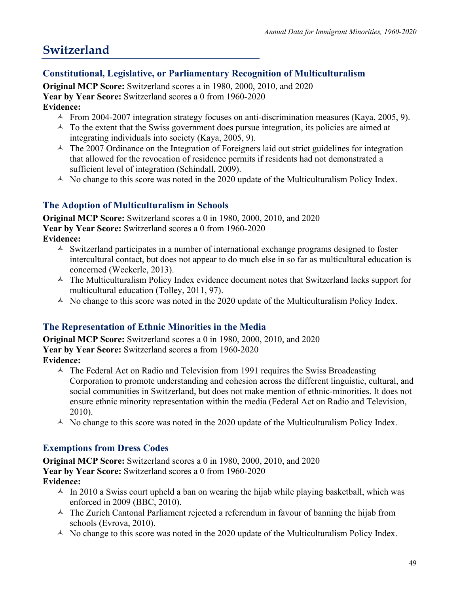# **Switzerland**

## **Constitutional, Legislative, or Parliamentary Recognition of Multiculturalism**

**Original MCP Score:** Switzerland scores a in 1980, 2000, 2010, and 2020 **Year by Year Score:** Switzerland scores a 0 from 1960-2020 **Evidence:**

- $\sim$  From 2004-2007 integration strategy focuses on anti-discrimination measures (Kaya, 2005, 9).
- $\lambda$  To the extent that the Swiss government does pursue integration, its policies are aimed at integrating individuals into society (Kaya, 2005, 9).
- $\triangle$  The 2007 Ordinance on the Integration of Foreigners laid out strict guidelines for integration that allowed for the revocation of residence permits if residents had not demonstrated a sufficient level of integration (Schindall, 2009).
- $\triangle$  No change to this score was noted in the 2020 update of the Multiculturalism Policy Index.

## **The Adoption of Multiculturalism in Schools**

**Original MCP Score:** Switzerland scores a 0 in 1980, 2000, 2010, and 2020 **Year by Year Score:** Switzerland scores a 0 from 1960-2020

**Evidence:**

- $\triangle$  Switzerland participates in a number of international exchange programs designed to foster intercultural contact, but does not appear to do much else in so far as multicultural education is concerned (Weckerle, 2013).
- $\triangle$  The Multiculturalism Policy Index evidence document notes that Switzerland lacks support for multicultural education (Tolley, 2011, 97).
- $\triangle$  No change to this score was noted in the 2020 update of the Multiculturalism Policy Index.

## **The Representation of Ethnic Minorities in the Media**

**Original MCP Score:** Switzerland scores a 0 in 1980, 2000, 2010, and 2020 **Year by Year Score:** Switzerland scores a from 1960-2020

- **Evidence:**
	- $\triangle$  The Federal Act on Radio and Television from 1991 requires the Swiss Broadcasting Corporation to promote understanding and cohesion across the different linguistic, cultural, and social communities in Switzerland, but does not make mention of ethnic-minorities. It does not ensure ethnic minority representation within the media (Federal Act on Radio and Television, 2010).
	- $\triangle$  No change to this score was noted in the 2020 update of the Multiculturalism Policy Index.

## **Exemptions from Dress Codes**

**Original MCP Score:** Switzerland scores a 0 in 1980, 2000, 2010, and 2020 **Year by Year Score:** Switzerland scores a 0 from 1960-2020 **Evidence:**

- $\triangle$  In 2010 a Swiss court upheld a ban on wearing the hijab while playing basketball, which was enforced in 2009 (BBC, 2010).
- $\triangle$  The Zurich Cantonal Parliament rejected a referendum in favour of banning the hijab from schools (Evrova, 2010).
- $\triangle$  No change to this score was noted in the 2020 update of the Multiculturalism Policy Index.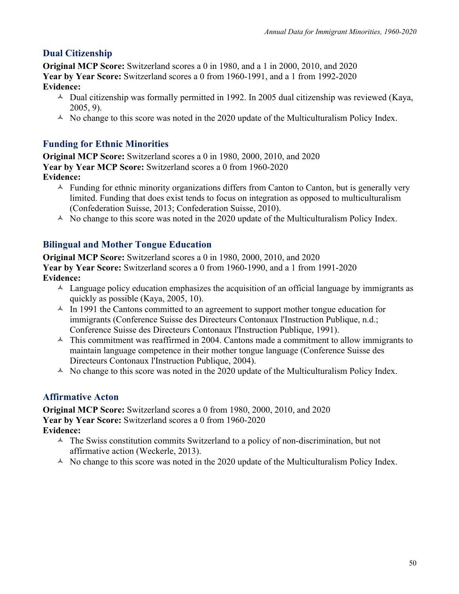# **Dual Citizenship**

**Original MCP Score:** Switzerland scores a 0 in 1980, and a 1 in 2000, 2010, and 2020 **Year by Year Score:** Switzerland scores a 0 from 1960-1991, and a 1 from 1992-2020 **Evidence:**

- $\triangle$  Dual citizenship was formally permitted in 1992. In 2005 dual citizenship was reviewed (Kaya, 2005, 9).
- $\triangle$  No change to this score was noted in the 2020 update of the Multiculturalism Policy Index.

# **Funding for Ethnic Minorities**

**Original MCP Score:** Switzerland scores a 0 in 1980, 2000, 2010, and 2020 **Year by Year MCP Score:** Switzerland scores a 0 from 1960-2020 **Evidence:**

- $\triangle$  Funding for ethnic minority organizations differs from Canton to Canton, but is generally very limited. Funding that does exist tends to focus on integration as opposed to multiculturalism (Confederation Suisse, 2013; Confederation Suisse, 2010).
- $\triangle$  No change to this score was noted in the 2020 update of the Multiculturalism Policy Index.

# **Bilingual and Mother Tongue Education**

**Original MCP Score:** Switzerland scores a 0 in 1980, 2000, 2010, and 2020 **Year by Year Score:** Switzerland scores a 0 from 1960-1990, and a 1 from 1991-2020 **Evidence:**

- $\triangle$  Language policy education emphasizes the acquisition of an official language by immigrants as quickly as possible (Kaya, 2005, 10).
- $\triangle$  In 1991 the Cantons committed to an agreement to support mother tongue education for immigrants (Conference Suisse des Directeurs Contonaux l'Instruction Publique, n.d.; Conference Suisse des Directeurs Contonaux l'Instruction Publique, 1991).
- $\sim$  This commitment was reaffirmed in 2004. Cantons made a commitment to allow immigrants to maintain language competence in their mother tongue language (Conference Suisse des Directeurs Contonaux l'Instruction Publique, 2004).
- $\triangle$  No change to this score was noted in the 2020 update of the Multiculturalism Policy Index.

## **Affirmative Acton**

**Original MCP Score:** Switzerland scores a 0 from 1980, 2000, 2010, and 2020 **Year by Year Score:** Switzerland scores a 0 from 1960-2020 **Evidence:**

- $\triangle$  The Swiss constitution commits Switzerland to a policy of non-discrimination, but not affirmative action (Weckerle, 2013).
- $\triangle$  No change to this score was noted in the 2020 update of the Multiculturalism Policy Index.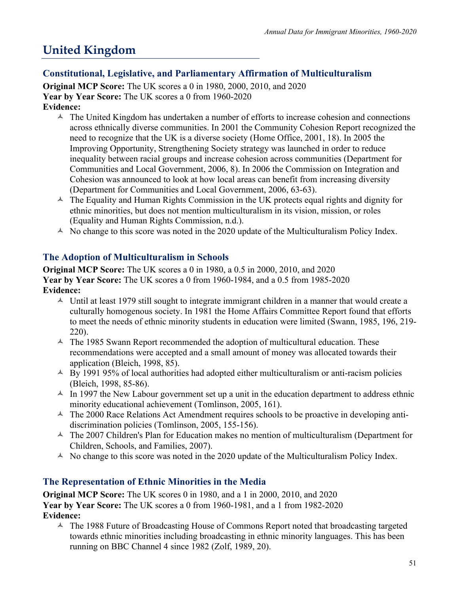# **United Kingdom**

## **Constitutional, Legislative, and Parliamentary Affirmation of Multiculturalism**

**Original MCP Score:** The UK scores a 0 in 1980, 2000, 2010, and 2020 **Year by Year Score:** The UK scores a 0 from 1960-2020 **Evidence:**

- $\triangle$  The United Kingdom has undertaken a number of efforts to increase cohesion and connections across ethnically diverse communities. In 2001 the Community Cohesion Report recognized the need to recognize that the UK is a diverse society (Home Office, 2001, 18). In 2005 the Improving Opportunity, Strengthening Society strategy was launched in order to reduce inequality between racial groups and increase cohesion across communities (Department for Communities and Local Government, 2006, 8). In 2006 the Commission on Integration and Cohesion was announced to look at how local areas can benefit from increasing diversity (Department for Communities and Local Government, 2006, 63-63).
- $\triangle$  The Equality and Human Rights Commission in the UK protects equal rights and dignity for ethnic minorities, but does not mention multiculturalism in its vision, mission, or roles (Equality and Human Rights Commission, n.d.).
- $\triangle$  No change to this score was noted in the 2020 update of the Multiculturalism Policy Index.

# **The Adoption of Multiculturalism in Schools**

**Original MCP Score:** The UK scores a 0 in 1980, a 0.5 in 2000, 2010, and 2020 **Year by Year Score:** The UK scores a 0 from 1960-1984, and a 0.5 from 1985-2020 **Evidence:**

- $\sim$  Until at least 1979 still sought to integrate immigrant children in a manner that would create a culturally homogenous society. In 1981 the Home Affairs Committee Report found that efforts to meet the needs of ethnic minority students in education were limited (Swann, 1985, 196, 219- 220).
- $\text{A}$  The 1985 Swann Report recommended the adoption of multicultural education. These recommendations were accepted and a small amount of money was allocated towards their application (Bleich, 1998, 85).
- $\triangle$  By 1991 95% of local authorities had adopted either multiculturalism or anti-racism policies (Bleich, 1998, 85-86).
- $\triangle$  In 1997 the New Labour government set up a unit in the education department to address ethnic minority educational achievement (Tomlinson, 2005, 161).
- $\triangle$  The 2000 Race Relations Act Amendment requires schools to be proactive in developing antidiscrimination policies (Tomlinson, 2005, 155-156).
- $\triangle$  The 2007 Children's Plan for Education makes no mention of multiculturalism (Department for Children, Schools, and Families, 2007).
- $\triangle$  No change to this score was noted in the 2020 update of the Multiculturalism Policy Index.

## **The Representation of Ethnic Minorities in the Media**

**Original MCP Score:** The UK scores 0 in 1980, and a 1 in 2000, 2010, and 2020 **Year by Year Score:** The UK scores a 0 from 1960-1981, and a 1 from 1982-2020 **Evidence:**

 $\triangle$  The 1988 Future of Broadcasting House of Commons Report noted that broadcasting targeted towards ethnic minorities including broadcasting in ethnic minority languages. This has been running on BBC Channel 4 since 1982 (Zolf, 1989, 20).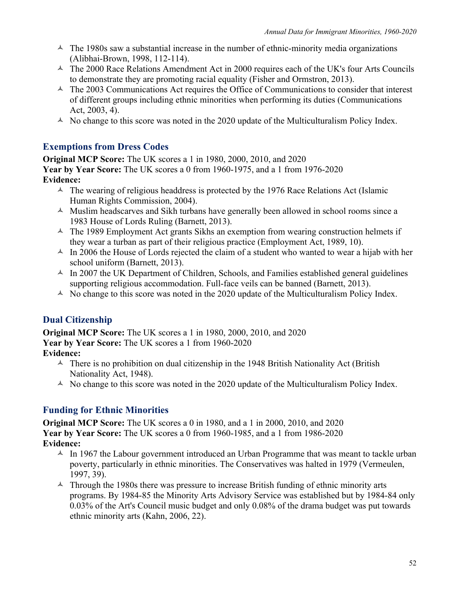- $\sim$  The 1980s saw a substantial increase in the number of ethnic-minority media organizations (Alibhai-Brown, 1998, 112-114).
- $\text{A}$  The 2000 Race Relations Amendment Act in 2000 requires each of the UK's four Arts Councils to demonstrate they are promoting racial equality (Fisher and Ormstron, 2013).
- $\triangle$  The 2003 Communications Act requires the Office of Communications to consider that interest of different groups including ethnic minorities when performing its duties (Communications Act, 2003, 4).
- $\triangle$  No change to this score was noted in the 2020 update of the Multiculturalism Policy Index.

## **Exemptions from Dress Codes**

**Original MCP Score:** The UK scores a 1 in 1980, 2000, 2010, and 2020 **Year by Year Score:** The UK scores a 0 from 1960-1975, and a 1 from 1976-2020 **Evidence:**

- $\triangle$  The wearing of religious headdress is protected by the 1976 Race Relations Act (Islamic Human Rights Commission, 2004).
- $\triangle$  Muslim headscarves and Sikh turbans have generally been allowed in school rooms since a 1983 House of Lords Ruling (Barnett, 2013).
- $\triangle$  The 1989 Employment Act grants Sikhs an exemption from wearing construction helmets if they wear a turban as part of their religious practice (Employment Act, 1989, 10).
- $\triangle$  In 2006 the House of Lords rejected the claim of a student who wanted to wear a hijab with her school uniform (Barnett, 2013).
- $\text{A}$  In 2007 the UK Department of Children, Schools, and Families established general guidelines supporting religious accommodation. Full-face veils can be banned (Barnett, 2013).
- $\triangle$  No change to this score was noted in the 2020 update of the Multiculturalism Policy Index.

## **Dual Citizenship**

**Original MCP Score:** The UK scores a 1 in 1980, 2000, 2010, and 2020 **Year by Year Score:** The UK scores a 1 from 1960-2020 **Evidence:**

- $\triangle$  There is no prohibition on dual citizenship in the 1948 British Nationality Act (British Nationality Act, 1948).
- $\triangle$  No change to this score was noted in the 2020 update of the Multiculturalism Policy Index.

### **Funding for Ethnic Minorities**

**Original MCP Score:** The UK scores a 0 in 1980, and a 1 in 2000, 2010, and 2020 **Year by Year Score:** The UK scores a 0 from 1960-1985, and a 1 from 1986-2020 **Evidence:**

- $\sim$  In 1967 the Labour government introduced an Urban Programme that was meant to tackle urban poverty, particularly in ethnic minorities. The Conservatives was halted in 1979 (Vermeulen, 1997, 39).
- $\sim$  Through the 1980s there was pressure to increase British funding of ethnic minority arts programs. By 1984-85 the Minority Arts Advisory Service was established but by 1984-84 only 0.03% of the Art's Council music budget and only 0.08% of the drama budget was put towards ethnic minority arts (Kahn, 2006, 22).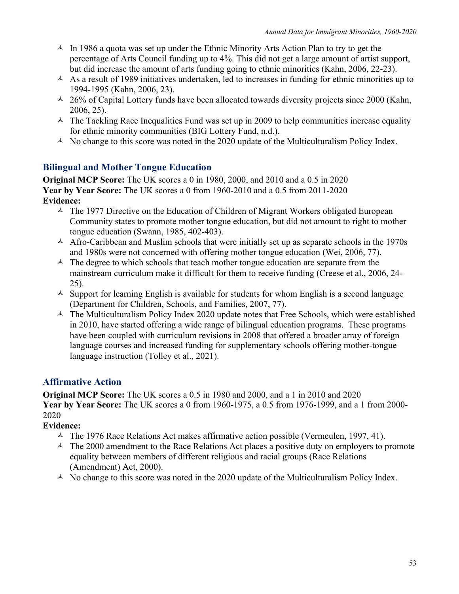- $\sim$  In 1986 a quota was set up under the Ethnic Minority Arts Action Plan to try to get the percentage of Arts Council funding up to 4%. This did not get a large amount of artist support, but did increase the amount of arts funding going to ethnic minorities (Kahn, 2006, 22-23).
- $\triangle$  As a result of 1989 initiatives undertaken, led to increases in funding for ethnic minorities up to 1994-1995 (Kahn, 2006, 23).
- $\triangle$  26% of Capital Lottery funds have been allocated towards diversity projects since 2000 (Kahn, 2006, 25).
- $\triangle$  The Tackling Race Inequalities Fund was set up in 2009 to help communities increase equality for ethnic minority communities (BIG Lottery Fund, n.d.).
- $\triangle$  No change to this score was noted in the 2020 update of the Multiculturalism Policy Index.

#### **Bilingual and Mother Tongue Education**

**Original MCP Score:** The UK scores a 0 in 1980, 2000, and 2010 and a 0.5 in 2020 **Year by Year Score:** The UK scores a 0 from 1960-2010 and a 0.5 from 2011-2020 **Evidence:**

- $\triangle$  The 1977 Directive on the Education of Children of Migrant Workers obligated European Community states to promote mother tongue education, but did not amount to right to mother tongue education (Swann, 1985, 402-403).
- $\triangle$  Afro-Caribbean and Muslim schools that were initially set up as separate schools in the 1970s and 1980s were not concerned with offering mother tongue education (Wei, 2006, 77).
- $\triangle$  The degree to which schools that teach mother tongue education are separate from the mainstream curriculum make it difficult for them to receive funding (Creese et al., 2006, 24- 25).
- $\triangle$  Support for learning English is available for students for whom English is a second language (Department for Children, Schools, and Families, 2007, 77).
- $\triangle$  The Multiculturalism Policy Index 2020 update notes that Free Schools, which were established in 2010, have started offering a wide range of bilingual education programs. These programs have been coupled with curriculum revisions in 2008 that offered a broader array of foreign language courses and increased funding for supplementary schools offering mother-tongue language instruction (Tolley et al., 2021).

### **Affirmative Action**

**Original MCP Score:** The UK scores a 0.5 in 1980 and 2000, and a 1 in 2010 and 2020 **Year by Year Score:** The UK scores a 0 from 1960-1975, a 0.5 from 1976-1999, and a 1 from 2000- 2020

### **Evidence:**

- $\triangle$  The 1976 Race Relations Act makes affirmative action possible (Vermeulen, 1997, 41).
- $\triangle$  The 2000 amendment to the Race Relations Act places a positive duty on employers to promote equality between members of different religious and racial groups (Race Relations (Amendment) Act, 2000).
- $\triangle$  No change to this score was noted in the 2020 update of the Multiculturalism Policy Index.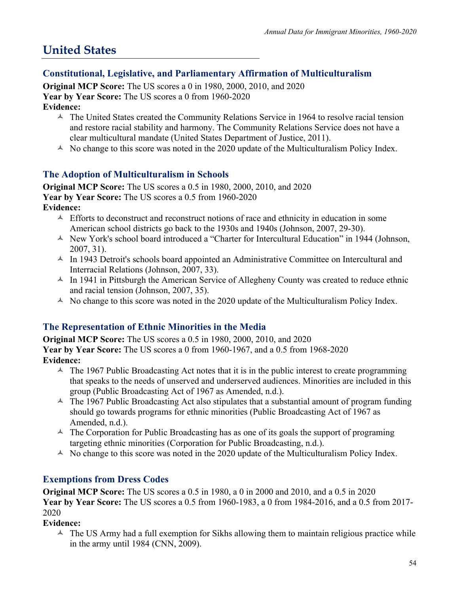# **United States**

## **Constitutional, Legislative, and Parliamentary Affirmation of Multiculturalism**

**Original MCP Score:** The US scores a 0 in 1980, 2000, 2010, and 2020 **Year by Year Score:** The US scores a 0 from 1960-2020 **Evidence:**

- $\sim$  The United States created the Community Relations Service in 1964 to resolve racial tension and restore racial stability and harmony. The Community Relations Service does not have a clear multicultural mandate (United States Department of Justice, 2011).
- $\triangle$  No change to this score was noted in the 2020 update of the Multiculturalism Policy Index.

## **The Adoption of Multiculturalism in Schools**

**Original MCP Score:** The US scores a 0.5 in 1980, 2000, 2010, and 2020 **Year by Year Score:** The US scores a 0.5 from 1960-2020 **Evidence:**

- $\triangle$  Efforts to deconstruct and reconstruct notions of race and ethnicity in education in some American school districts go back to the 1930s and 1940s (Johnson, 2007, 29-30).
- $\triangle$  New York's school board introduced a "Charter for Intercultural Education" in 1944 (Johnson, 2007, 31).
- $\text{A}$  In 1943 Detroit's schools board appointed an Administrative Committee on Intercultural and Interracial Relations (Johnson, 2007, 33).
- $\triangle$  In 1941 in Pittsburgh the American Service of Allegheny County was created to reduce ethnic and racial tension (Johnson, 2007, 35).
- $\triangle$  No change to this score was noted in the 2020 update of the Multiculturalism Policy Index.

### **The Representation of Ethnic Minorities in the Media**

**Original MCP Score:** The US scores a 0.5 in 1980, 2000, 2010, and 2020 **Year by Year Score:** The US scores a 0 from 1960-1967, and a 0.5 from 1968-2020 **Evidence:**

- $\triangle$  The 1967 Public Broadcasting Act notes that it is in the public interest to create programming that speaks to the needs of unserved and underserved audiences. Minorities are included in this group (Public Broadcasting Act of 1967 as Amended, n.d.).
- $\triangle$  The 1967 Public Broadcasting Act also stipulates that a substantial amount of program funding should go towards programs for ethnic minorities (Public Broadcasting Act of 1967 as Amended, n.d.).
- $\triangle$  The Corporation for Public Broadcasting has as one of its goals the support of programing targeting ethnic minorities (Corporation for Public Broadcasting, n.d.).
- $\triangle$  No change to this score was noted in the 2020 update of the Multiculturalism Policy Index.

## **Exemptions from Dress Codes**

**Original MCP Score:** The US scores a 0.5 in 1980, a 0 in 2000 and 2010, and a 0.5 in 2020 **Year by Year Score:** The US scores a 0.5 from 1960-1983, a 0 from 1984-2016, and a 0.5 from 2017- 2020

#### **Evidence:**

 $\triangle$  The US Army had a full exemption for Sikhs allowing them to maintain religious practice while in the army until 1984 (CNN, 2009).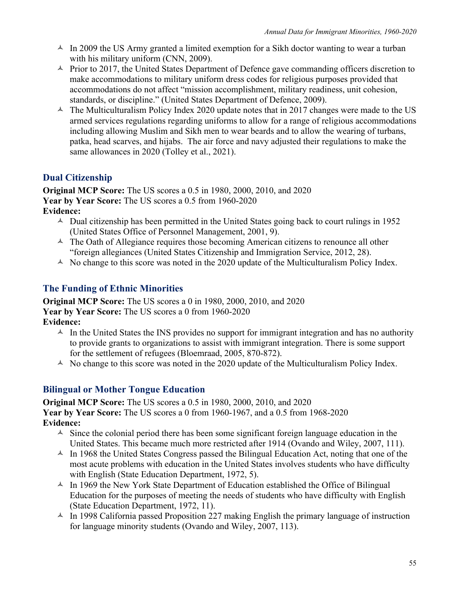- $\text{A}$  In 2009 the US Army granted a limited exemption for a Sikh doctor wanting to wear a turban with his military uniform (CNN, 2009).
- $\triangle$  Prior to 2017, the United States Department of Defence gave commanding officers discretion to make accommodations to military uniform dress codes for religious purposes provided that accommodations do not affect "mission accomplishment, military readiness, unit cohesion, standards, or discipline." (United States Department of Defence, 2009).
- $\triangle$  The Multiculturalism Policy Index 2020 update notes that in 2017 changes were made to the US armed services regulations regarding uniforms to allow for a range of religious accommodations including allowing Muslim and Sikh men to wear beards and to allow the wearing of turbans, patka, head scarves, and hijabs. The air force and navy adjusted their regulations to make the same allowances in 2020 (Tolley et al., 2021).

# **Dual Citizenship**

**Original MCP Score:** The US scores a 0.5 in 1980, 2000, 2010, and 2020 **Year by Year Score:** The US scores a 0.5 from 1960-2020 **Evidence:**

- $\triangle$  Dual citizenship has been permitted in the United States going back to court rulings in 1952 (United States Office of Personnel Management, 2001, 9).
- $\triangle$  The Oath of Allegiance requires those becoming American citizens to renounce all other "foreign allegiances (United States Citizenship and Immigration Service, 2012, 28).
- $\triangle$  No change to this score was noted in the 2020 update of the Multiculturalism Policy Index.

# **The Funding of Ethnic Minorities**

**Original MCP Score:** The US scores a 0 in 1980, 2000, 2010, and 2020 **Year by Year Score:** The US scores a 0 from 1960-2020 **Evidence:**

- $\triangle$  In the United States the INS provides no support for immigrant integration and has no authority to provide grants to organizations to assist with immigrant integration. There is some support for the settlement of refugees (Bloemraad, 2005, 870-872).
- $\triangle$  No change to this score was noted in the 2020 update of the Multiculturalism Policy Index.

## **Bilingual or Mother Tongue Education**

**Original MCP Score:** The US scores a 0.5 in 1980, 2000, 2010, and 2020 **Year by Year Score:** The US scores a 0 from 1960-1967, and a 0.5 from 1968-2020 **Evidence:**

- $\triangle$  Since the colonial period there has been some significant foreign language education in the United States. This became much more restricted after 1914 (Ovando and Wiley, 2007, 111).
- $\triangle$  In 1968 the United States Congress passed the Bilingual Education Act, noting that one of the most acute problems with education in the United States involves students who have difficulty with English (State Education Department, 1972, 5).
- $\triangle$  In 1969 the New York State Department of Education established the Office of Bilingual Education for the purposes of meeting the needs of students who have difficulty with English (State Education Department, 1972, 11).
- $\triangle$  In 1998 California passed Proposition 227 making English the primary language of instruction for language minority students (Ovando and Wiley, 2007, 113).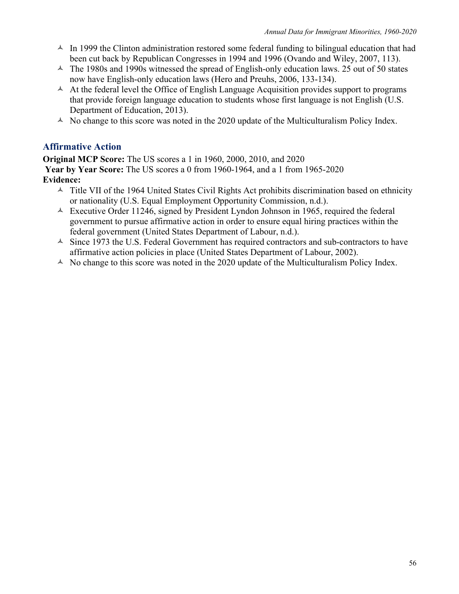- $\triangle$  In 1999 the Clinton administration restored some federal funding to bilingual education that had been cut back by Republican Congresses in 1994 and 1996 (Ovando and Wiley, 2007, 113).
- $\triangle$  The 1980s and 1990s witnessed the spread of English-only education laws. 25 out of 50 states now have English-only education laws (Hero and Preuhs, 2006, 133-134).
- $\triangle$  At the federal level the Office of English Language Acquisition provides support to programs that provide foreign language education to students whose first language is not English (U.S. Department of Education, 2013).
- $\triangle$  No change to this score was noted in the 2020 update of the Multiculturalism Policy Index.

#### **Affirmative Action**

**Original MCP Score:** The US scores a 1 in 1960, 2000, 2010, and 2020 **Year by Year Score:** The US scores a 0 from 1960-1964, and a 1 from 1965-2020 **Evidence:**

- $\triangle$  Title VII of the 1964 United States Civil Rights Act prohibits discrimination based on ethnicity or nationality (U.S. Equal Employment Opportunity Commission, n.d.).
- $\triangle$  Executive Order 11246, signed by President Lyndon Johnson in 1965, required the federal government to pursue affirmative action in order to ensure equal hiring practices within the federal government (United States Department of Labour, n.d.).
- $\triangle$  Since 1973 the U.S. Federal Government has required contractors and sub-contractors to have affirmative action policies in place (United States Department of Labour, 2002).
- $\triangle$  No change to this score was noted in the 2020 update of the Multiculturalism Policy Index.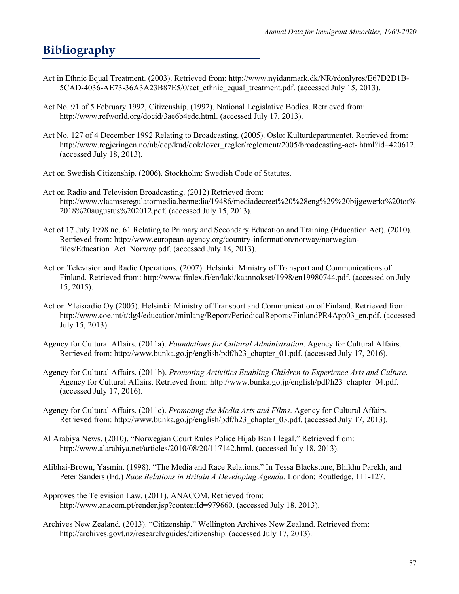# **Bibliography**

- Act in Ethnic Equal Treatment. (2003). Retrieved from: http://www.nyidanmark.dk/NR/rdonlyres/E67D2D1B-5CAD-4036-AE73-36A3A23B87E5/0/act\_ethnic\_equal\_treatment.pdf. (accessed July 15, 2013).
- Act No. 91 of 5 February 1992, Citizenship. (1992). National Legislative Bodies. Retrieved from: http://www.refworld.org/docid/3ae6b4edc.html. (accessed July 17, 2013).
- Act No. 127 of 4 December 1992 Relating to Broadcasting. (2005). Oslo: Kulturdepartmentet. Retrieved from: http://www.regjeringen.no/nb/dep/kud/dok/lover\_regler/reglement/2005/broadcasting-act-.html?id=420612. (accessed July 18, 2013).
- Act on Swedish Citizenship. (2006). Stockholm: Swedish Code of Statutes.
- Act on Radio and Television Broadcasting. (2012) Retrieved from: http://www.vlaamseregulatormedia.be/media/19486/mediadecreet%20%28eng%29%20bijgewerkt%20tot% 2018%20augustus%202012.pdf. (accessed July 15, 2013).
- Act of 17 July 1998 no. 61 Relating to Primary and Secondary Education and Training (Education Act). (2010). Retrieved from: http://www.european-agency.org/country-information/norway/norwegianfiles/Education Act Norway.pdf. (accessed July 18, 2013).
- Act on Television and Radio Operations. (2007). Helsinki: Ministry of Transport and Communications of Finland. Retrieved from: http://www.finlex.fi/en/laki/kaannokset/1998/en19980744.pdf. (accessed on July 15, 2015).
- Act on Yleisradio Oy (2005). Helsinki: Ministry of Transport and Communication of Finland. Retrieved from: http://www.coe.int/t/dg4/education/minlang/Report/PeriodicalReports/FinlandPR4App03\_en.pdf. (accessed July 15, 2013).
- Agency for Cultural Affairs. (2011a). *Foundations for Cultural Administration*. Agency for Cultural Affairs. Retrieved from: http://www.bunka.go.jp/english/pdf/h23\_chapter\_01.pdf. (accessed July 17, 2016).
- Agency for Cultural Affairs. (2011b). *Promoting Activities Enabling Children to Experience Arts and Culture*. Agency for Cultural Affairs. Retrieved from: http://www.bunka.go.jp/english/pdf/h23\_chapter\_04.pdf. (accessed July 17, 2016).
- Agency for Cultural Affairs. (2011c). *Promoting the Media Arts and Films*. Agency for Cultural Affairs. Retrieved from: http://www.bunka.go.jp/english/pdf/h23\_chapter\_03.pdf. (accessed July 17, 2013).
- Al Arabiya News. (2010). "Norwegian Court Rules Police Hijab Ban Illegal." Retrieved from: http://www.alarabiya.net/articles/2010/08/20/117142.html. (accessed July 18, 2013).
- Alibhai-Brown, Yasmin. (1998). "The Media and Race Relations." In Tessa Blackstone, Bhikhu Parekh, and Peter Sanders (Ed.) *Race Relations in Britain A Developing Agenda*. London: Routledge, 111-127.
- Approves the Television Law. (2011). ANACOM. Retrieved from: http://www.anacom.pt/render.jsp?contentId=979660. (accessed July 18. 2013).
- Archives New Zealand. (2013). "Citizenship." Wellington Archives New Zealand. Retrieved from: http://archives.govt.nz/research/guides/citizenship. (accessed July 17, 2013).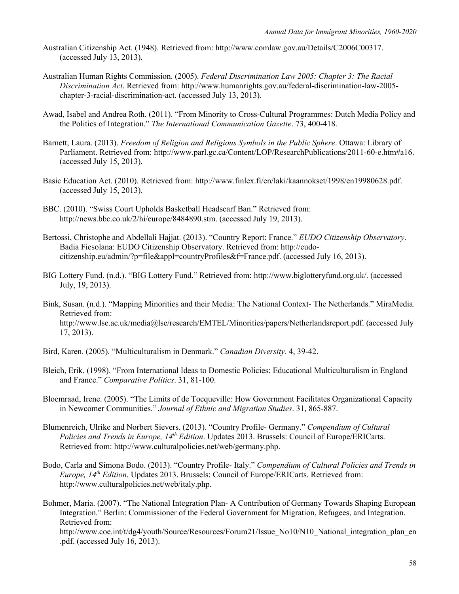- Australian Citizenship Act. (1948). Retrieved from: http://www.comlaw.gov.au/Details/C2006C00317. (accessed July 13, 2013).
- Australian Human Rights Commission. (2005). *Federal Discrimination Law 2005: Chapter 3: The Racial Discrimination Act*. Retrieved from: http://www.humanrights.gov.au/federal-discrimination-law-2005 chapter-3-racial-discrimination-act. (accessed July 13, 2013).
- Awad, Isabel and Andrea Roth. (2011). "From Minority to Cross-Cultural Programmes: Dutch Media Policy and the Politics of Integration." *The International Communication Gazette*. 73, 400-418.
- Barnett, Laura. (2013). *Freedom of Religion and Religious Symbols in the Public Sphere*. Ottawa: Library of Parliament. Retrieved from: http://www.parl.gc.ca/Content/LOP/ResearchPublications/2011-60-e.htm#a16. (accessed July 15, 2013).
- Basic Education Act. (2010). Retrieved from: http://www.finlex.fi/en/laki/kaannokset/1998/en19980628.pdf. (accessed July 15, 2013).
- BBC. (2010). "Swiss Court Upholds Basketball Headscarf Ban." Retrieved from: http://news.bbc.co.uk/2/hi/europe/8484890.stm. (accessed July 19, 2013).
- Bertossi, Christophe and Abdellali Hajjat. (2013). "Country Report: France." *EUDO Citizenship Observatory*. Badia Fiesolana: EUDO Citizenship Observatory. Retrieved from: http://eudocitizenship.eu/admin/?p=file&appl=countryProfiles&f=France.pdf. (accessed July 16, 2013).
- BIG Lottery Fund. (n.d.). "BIG Lottery Fund." Retrieved from: http://www.biglotteryfund.org.uk/. (accessed July, 19, 2013).
- Bink, Susan. (n.d.). "Mapping Minorities and their Media: The National Context- The Netherlands." MiraMedia. Retrieved from: http://www.lse.ac.uk/media@lse/research/EMTEL/Minorities/papers/Netherlandsreport.pdf. (accessed July 17, 2013).
- Bird, Karen. (2005). "Multiculturalism in Denmark." *Canadian Diversity*. 4, 39-42.
- Bleich, Erik. (1998). "From International Ideas to Domestic Policies: Educational Multiculturalism in England and France." *Comparative Politics*. 31, 81-100.
- Bloemraad, Irene. (2005). "The Limits of de Tocqueville: How Government Facilitates Organizational Capacity in Newcomer Communities." *Journal of Ethnic and Migration Studies*. 31, 865-887.
- Blumenreich, Ulrike and Norbert Sievers. (2013). "Country Profile- Germany." *Compendium of Cultural Policies and Trends in Europe, 14th Edition*. Updates 2013. Brussels: Council of Europe/ERICarts. Retrieved from: http://www.culturalpolicies.net/web/germany.php.
- Bodo, Carla and Simona Bodo. (2013). "Country Profile- Italy." *Compendium of Cultural Policies and Trends in Europe, 14th Edition*. Updates 2013. Brussels: Council of Europe/ERICarts. Retrieved from: http://www.culturalpolicies.net/web/italy.php.

Bohmer, Maria. (2007). "The National Integration Plan- A Contribution of Germany Towards Shaping European Integration." Berlin: Commissioner of the Federal Government for Migration, Refugees, and Integration. Retrieved from: http://www.coe.int/t/dg4/youth/Source/Resources/Forum21/Issue\_No10/N10\_National\_integration\_plan\_en .pdf. (accessed July 16, 2013).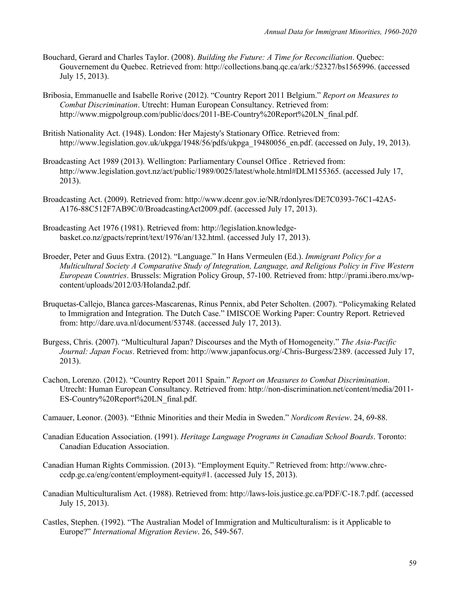- Bouchard, Gerard and Charles Taylor. (2008). *Building the Future: A Time for Reconciliation*. Quebec: Gouvernement du Quebec. Retrieved from: http://collections.banq.qc.ca/ark:/52327/bs1565996. (accessed July 15, 2013).
- Bribosia, Emmanuelle and Isabelle Rorive (2012). "Country Report 2011 Belgium." *Report on Measures to Combat Discrimination*. Utrecht: Human European Consultancy. Retrieved from: http://www.migpolgroup.com/public/docs/2011-BE-Country%20Report%20LN\_final.pdf.
- British Nationality Act. (1948). London: Her Majesty's Stationary Office. Retrieved from: http://www.legislation.gov.uk/ukpga/1948/56/pdfs/ukpga\_19480056\_en.pdf. (accessed on July, 19, 2013).
- Broadcasting Act 1989 (2013). Wellington: Parliamentary Counsel Office . Retrieved from: http://www.legislation.govt.nz/act/public/1989/0025/latest/whole.html#DLM155365. (accessed July 17, 2013).
- Broadcasting Act. (2009). Retrieved from: http://www.dcenr.gov.ie/NR/rdonlyres/DE7C0393-76C1-42A5- A176-88C512F7AB9C/0/BroadcastingAct2009.pdf. (accessed July 17, 2013).
- Broadcasting Act 1976 (1981). Retrieved from: http://legislation.knowledgebasket.co.nz/gpacts/reprint/text/1976/an/132.html. (accessed July 17, 2013).
- Broeder, Peter and Guus Extra. (2012). "Language." In Hans Vermeulen (Ed.). *Immigrant Policy for a Multicultural Society A Comparative Study of Integration, Language, and Religious Policy in Five Western European Countries*. Brussels: Migration Policy Group, 57-100. Retrieved from: http://prami.ibero.mx/wpcontent/uploads/2012/03/Holanda2.pdf.
- Bruquetas-Callejo, Blanca garces-Mascarenas, Rinus Pennix, abd Peter Scholten. (2007). "Policymaking Related to Immigration and Integration. The Dutch Case." IMISCOE Working Paper: Country Report. Retrieved from: http://dare.uva.nl/document/53748. (accessed July 17, 2013).
- Burgess, Chris. (2007). "Multicultural Japan? Discourses and the Myth of Homogeneity." *The Asia-Pacific Journal: Japan Focus*. Retrieved from: http://www.japanfocus.org/-Chris-Burgess/2389. (accessed July 17, 2013).
- Cachon, Lorenzo. (2012). "Country Report 2011 Spain." *Report on Measures to Combat Discrimination*. Utrecht: Human European Consultancy. Retrieved from: http://non-discrimination.net/content/media/2011- ES-Country%20Report%20LN\_final.pdf.
- Camauer, Leonor. (2003). "Ethnic Minorities and their Media in Sweden." *Nordicom Review*. 24, 69-88.
- Canadian Education Association. (1991). *Heritage Language Programs in Canadian School Boards*. Toronto: Canadian Education Association.
- Canadian Human Rights Commission. (2013). "Employment Equity." Retrieved from: http://www.chrcccdp.gc.ca/eng/content/employment-equity#1. (accessed July 15, 2013).
- Canadian Multiculturalism Act. (1988). Retrieved from: http://laws-lois.justice.gc.ca/PDF/C-18.7.pdf. (accessed July 15, 2013).
- Castles, Stephen. (1992). "The Australian Model of Immigration and Multiculturalism: is it Applicable to Europe?" *International Migration Review*. 26, 549-567.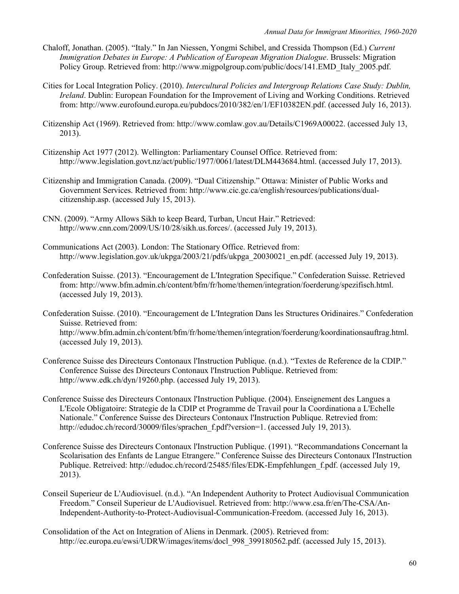- Chaloff, Jonathan. (2005). "Italy." In Jan Niessen, Yongmi Schibel, and Cressida Thompson (Ed.) *Current Immigration Debates in Europe: A Publication of European Migration Dialogue*. Brussels: Migration Policy Group. Retrieved from: http://www.migpolgroup.com/public/docs/141.EMD\_Italy\_2005.pdf.
- Cities for Local Integration Policy. (2010). *Intercultural Policies and Intergroup Relations Case Study: Dublin, Ireland*. Dublin: European Foundation for the Improvement of Living and Working Conditions. Retrieved from: http://www.eurofound.europa.eu/pubdocs/2010/382/en/1/EF10382EN.pdf. (accessed July 16, 2013).
- Citizenship Act (1969). Retrieved from: http://www.comlaw.gov.au/Details/C1969A00022. (accessed July 13, 2013).
- Citizenship Act 1977 (2012). Wellington: Parliamentary Counsel Office. Retrieved from: http://www.legislation.govt.nz/act/public/1977/0061/latest/DLM443684.html. (accessed July 17, 2013).
- Citizenship and Immigration Canada. (2009). "Dual Citizenship." Ottawa: Minister of Public Works and Government Services. Retrieved from: http://www.cic.gc.ca/english/resources/publications/dualcitizenship.asp. (accessed July 15, 2013).
- CNN. (2009). "Army Allows Sikh to keep Beard, Turban, Uncut Hair." Retrieved: http://www.cnn.com/2009/US/10/28/sikh.us.forces/. (accessed July 19, 2013).
- Communications Act (2003). London: The Stationary Office. Retrieved from: http://www.legislation.gov.uk/ukpga/2003/21/pdfs/ukpga\_20030021\_en.pdf. (accessed July 19, 2013).
- Confederation Suisse. (2013). "Encouragement de L'Integration Specifique." Confederation Suisse. Retrieved from: http://www.bfm.admin.ch/content/bfm/fr/home/themen/integration/foerderung/spezifisch.html. (accessed July 19, 2013).
- Confederation Suisse. (2010). "Encouragement de L'Integration Dans les Structures Oridinaires." Confederation Suisse. Retrieved from: http://www.bfm.admin.ch/content/bfm/fr/home/themen/integration/foerderung/koordinationsauftrag.html. (accessed July 19, 2013).
- Conference Suisse des Directeurs Contonaux l'Instruction Publique. (n.d.). "Textes de Reference de la CDIP." Conference Suisse des Directeurs Contonaux l'Instruction Publique. Retrieved from: http://www.edk.ch/dyn/19260.php. (accessed July 19, 2013).
- Conference Suisse des Directeurs Contonaux l'Instruction Publique. (2004). Enseignement des Langues a L'Ecole Obligatoire: Strategie de la CDIP et Programme de Travail pour la Coordinationa a L'Echelle Nationale." Conference Suisse des Directeurs Contonaux l'Instruction Publique. Retrevied from: http://edudoc.ch/record/30009/files/sprachen\_f.pdf?version=1. (accessed July 19, 2013).
- Conference Suisse des Directeurs Contonaux l'Instruction Publique. (1991). "Recommandations Concernant la Scolarisation des Enfants de Langue Etrangere." Conference Suisse des Directeurs Contonaux l'Instruction Publique. Retreived: http://edudoc.ch/record/25485/files/EDK-Empfehlungen\_f.pdf. (accessed July 19, 2013).
- Conseil Superieur de L'Audiovisuel. (n.d.). "An Independent Authority to Protect Audiovisual Communication Freedom." Conseil Superieur de L'Audiovisuel. Retrieved from: http://www.csa.fr/en/The-CSA/An-Independent-Authority-to-Protect-Audiovisual-Communication-Freedom. (accessed July 16, 2013).
- Consolidation of the Act on Integration of Aliens in Denmark. (2005). Retrieved from: http://ec.europa.eu/ewsi/UDRW/images/items/docl 998 399180562.pdf. (accessed July 15, 2013).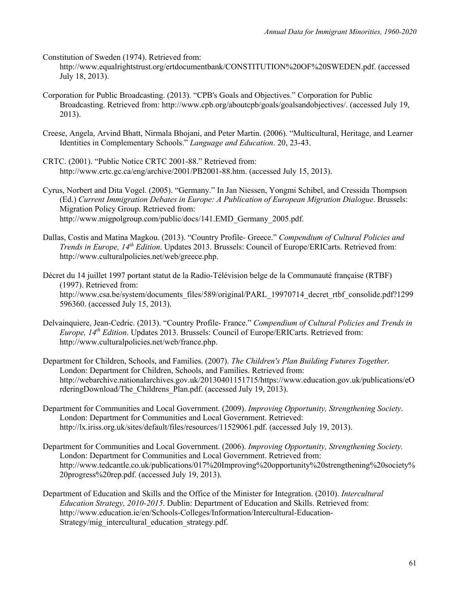Constitution of Sweden (1974). Retrieved from:

http://www.equalrightstrust.org/ertdocumentbank/CONSTITUTION%20OF%20SWEDEN.pdf. (accessed July 18, 2013).

- Corporation for Public Broadcasting. (2013). "CPB's Goals and Objectives." Corporation for Public Broadcasting. Retrieved from: http://www.cpb.org/aboutcpb/goals/goalsandobjectives/. (accessed July 19, 2013).
- Creese, Angela, Arvind Bhatt, Nirmala Bhojani, and Peter Martin. (2006). "Multicultural, Heritage, and Learner Identities in Complementary Schools." *Language and Education*. 20, 23-43.
- CRTC. (2001). "Public Notice CRTC 2001-88." Retrieved from: http://www.crtc.gc.ca/eng/archive/2001/PB2001-88.htm. (accessed July 15, 2013).
- Cyrus, Norbert and Dita Vogel. (2005). "Germany." In Jan Niessen, Yongmi Schibel, and Cressida Thompson (Ed.) *Current Immigration Debates in Europe: A Publication of European Migration Dialogue*. Brussels: Migration Policy Group. Retrieved from: http://www.migpolgroup.com/public/docs/141.EMD\_Germany\_2005.pdf.
- Dallas, Costis and Matina Magkou. (2013). "Country Profile- Greece." *Compendium of Cultural Policies and Trends in Europe, 14th Edition*. Updates 2013. Brussels: Council of Europe/ERICarts. Retrieved from: http://www.culturalpolicies.net/web/greece.php.

Décret du 14 juillet 1997 portant statut de la Radio-Télévision belge de la Communauté française (RTBF) (1997). Retrieved from: http://www.csa.be/system/documents\_files/589/original/PARL\_19970714\_decret\_rtbf\_consolide.pdf?1299 596360. (accessed July 15, 2013).

- Delvainquiere, Jean-Cedric. (2013). "Country Profile- France." *Compendium of Cultural Policies and Trends in Europe, 14<sup>th</sup> Edition.* Updates 2013. Brussels: Council of Europe/ERICarts. Retrieved from: http://www.culturalpolicies.net/web/france.php.
- Department for Children, Schools, and Families. (2007). *The Children's Plan Building Futures Together*. London: Department for Children, Schools, and Families. Retrieved from: http://webarchive.nationalarchives.gov.uk/20130401151715/https://www.education.gov.uk/publications/eO rderingDownload/The Childrens Plan.pdf. (accessed July 19, 2013).
- Department for Communities and Local Government. (2009). *Improving Opportunity, Strengthening Society*. London: Department for Communities and Local Government. Retrieved: http://lx.iriss.org.uk/sites/default/files/resources/11529061.pdf. (accessed July 19, 2013).
- Department for Communities and Local Government. (2006). *Improving Opportunity, Strengthening Society.*  London: Department for Communities and Local Government. Retrieved from: http://www.tedcantle.co.uk/publications/017%20Improving%20opportunity%20strengthening%20society% 20progress%20rep.pdf. (accessed July 19, 2013).
- Department of Education and Skills and the Office of the Minister for Integration. (2010). *Intercultural Education Strategy, 2010-2015*. Dublin: Department of Education and Skills. Retrieved from: http://www.education.ie/en/Schools-Colleges/Information/Intercultural-Education-Strategy/mig\_intercultural\_education\_strategy.pdf.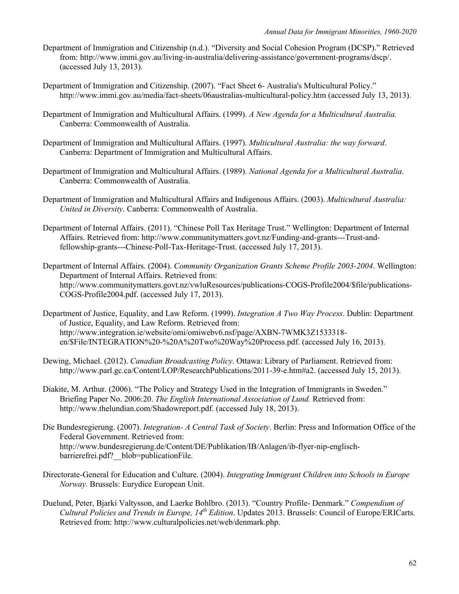- Department of Immigration and Citizenship (n.d.). "Diversity and Social Cohesion Program (DCSP)." Retrieved from: http://www.immi.gov.au/living-in-australia/delivering-assistance/government-programs/dscp/. (accessed July 13, 2013).
- Department of Immigration and Citizenship. (2007). "Fact Sheet 6- Australia's Multicultural Policy." http://www.immi.gov.au/media/fact-sheets/06australias-multicultural-policy.htm (accessed July 13, 2013).
- Department of Immigration and Multicultural Affairs. (1999). *A New Agenda for a Multicultural Australia.* Canberra: Commonwealth of Australia.
- Department of Immigration and Multicultural Affairs. (1997). *Multicultural Australia: the way forward*. Canberra: Department of Immigration and Multicultural Affairs.
- Department of Immigration and Multicultural Affairs. (1989). *National Agenda for a Multicultural Australia*. Canberra: Commonwealth of Australia.
- Department of Immigration and Multicultural Affairs and Indigenous Affairs. (2003). *Multicultural Australia: United in Diversity*. Canberra: Commonwealth of Australia.
- Department of Internal Affairs. (2011). "Chinese Poll Tax Heritage Trust." Wellington: Department of Internal Affairs. Retrieved from: http://www.communitymatters.govt.nz/Funding-and-grants---Trust-andfellowship-grants---Chinese-Poll-Tax-Heritage-Trust. (accessed July 17, 2013).
- Department of Internal Affairs. (2004). *Community Organization Grants Scheme Profile 2003-2004*. Wellington: Department of Internal Affairs. Retrieved from: http://www.communitymatters.govt.nz/vwluResources/publications-COGS-Profile2004/\$file/publications-COGS-Profile2004.pdf. (accessed July 17, 2013).
- Department of Justice, Equality, and Law Reform. (1999). *Integration A Two Way Process*. Dublin: Department of Justice, Equality, and Law Reform. Retrieved from: http://www.integration.ie/website/omi/omiwebv6.nsf/page/AXBN-7WMK3Z1533318 en/\$File/INTEGRATION%20-%20A%20Two%20Way%20Process.pdf. (accessed July 16, 2013).
- Dewing, Michael. (2012). *Canadian Broadcasting Policy*. Ottawa: Library of Parliament. Retrieved from: http://www.parl.gc.ca/Content/LOP/ResearchPublications/2011-39-e.htm#a2. (accessed July 15, 2013).
- Diakite, M. Arthur. (2006). "The Policy and Strategy Used in the Integration of Immigrants in Sweden." Briefing Paper No. 2006:20. *The English International Association of Lund.* Retrieved from: http://www.thelundian.com/Shadowreport.pdf. (accessed July 18, 2013).
- Die Bundesregierung. (2007). *Integration- A Central Task of Society*. Berlin: Press and Information Office of the Federal Government. Retrieved from: http://www.bundesregierung.de/Content/DE/Publikation/IB/Anlagen/ib-flyer-nip-englischbarrierefrei.pdf? blob=publicationFile.
- Directorate-General for Education and Culture. (2004). *Integrating Immigrant Children into Schools in Europe Norway.* Brussels: Eurydice European Unit.
- Duelund, Peter, Bjarki Valtysson, and Laerke Bohlbro. (2013). "Country Profile- Denmark." *Compendium of Cultural Policies and Trends in Europe, 14th Edition*. Updates 2013. Brussels: Council of Europe/ERICarts. Retrieved from: http://www.culturalpolicies.net/web/denmark.php.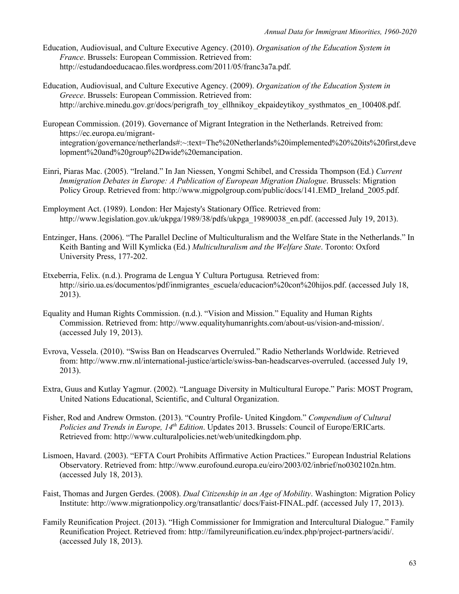- Education, Audiovisual, and Culture Executive Agency. (2010). *Organisation of the Education System in France*. Brussels: European Commission. Retrieved from: http://estudandoeducacao.files.wordpress.com/2011/05/franc3a7a.pdf.
- Education, Audiovisual, and Culture Executive Agency. (2009). *Organization of the Education System in Greece*. Brussels: European Commission. Retrieved from: http://archive.minedu.gov.gr/docs/perigrafh\_toy\_ellhnikoy\_ekpaideytikoy\_systhmatos\_en\_100408.pdf.
- European Commission. (2019). Governance of Migrant Integration in the Netherlands. Retreived from: https://ec.europa.eu/migrantintegration/governance/netherlands#:~:text=The%20Netherlands%20implemented%20%20its%20first,deve lopment%20and%20group%2Dwide%20emancipation.
- Einri, Piaras Mac. (2005). "Ireland." In Jan Niessen, Yongmi Schibel, and Cressida Thompson (Ed.) *Current Immigration Debates in Europe: A Publication of European Migration Dialogue*. Brussels: Migration Policy Group. Retrieved from: http://www.migpolgroup.com/public/docs/141.EMD\_Ireland\_2005.pdf.
- Employment Act. (1989). London: Her Majesty's Stationary Office. Retrieved from: http://www.legislation.gov.uk/ukpga/1989/38/pdfs/ukpga\_19890038\_en.pdf. (accessed July 19, 2013).
- Entzinger, Hans. (2006). "The Parallel Decline of Multiculturalism and the Welfare State in the Netherlands." In Keith Banting and Will Kymlicka (Ed.) *Multiculturalism and the Welfare State*. Toronto: Oxford University Press, 177-202.
- Etxeberria, Felix. (n.d.). Programa de Lengua Y Cultura Portugusa*.* Retrieved from: http://sirio.ua.es/documentos/pdf/inmigrantes\_escuela/educacion%20con%20hijos.pdf. (accessed July 18, 2013).
- Equality and Human Rights Commission. (n.d.). "Vision and Mission." Equality and Human Rights Commission. Retrieved from: http://www.equalityhumanrights.com/about-us/vision-and-mission/. (accessed July 19, 2013).
- Evrova, Vessela. (2010). "Swiss Ban on Headscarves Overruled." Radio Netherlands Worldwide. Retrieved from: http://www.rnw.nl/international-justice/article/swiss-ban-headscarves-overruled. (accessed July 19, 2013).
- Extra, Guus and Kutlay Yagmur. (2002). "Language Diversity in Multicultural Europe." Paris: MOST Program, United Nations Educational, Scientific, and Cultural Organization.
- Fisher, Rod and Andrew Ormston. (2013). "Country Profile- United Kingdom." *Compendium of Cultural Policies and Trends in Europe, 14th Edition*. Updates 2013. Brussels: Council of Europe/ERICarts. Retrieved from: http://www.culturalpolicies.net/web/unitedkingdom.php.
- Lismoen, Havard. (2003). "EFTA Court Prohibits Affirmative Action Practices." European Industrial Relations Observatory. Retrieved from: http://www.eurofound.europa.eu/eiro/2003/02/inbrief/no0302102n.htm. (accessed July 18, 2013).
- Faist, Thomas and Jurgen Gerdes. (2008). *Dual Citizenship in an Age of Mobility*. Washington: Migration Policy Institute: http://www.migrationpolicy.org/transatlantic/ docs/Faist-FINAL.pdf. (accessed July 17, 2013).
- Family Reunification Project. (2013). "High Commissioner for Immigration and Intercultural Dialogue." Family Reunification Project. Retrieved from: http://familyreunification.eu/index.php/project-partners/acidi/. (accessed July 18, 2013).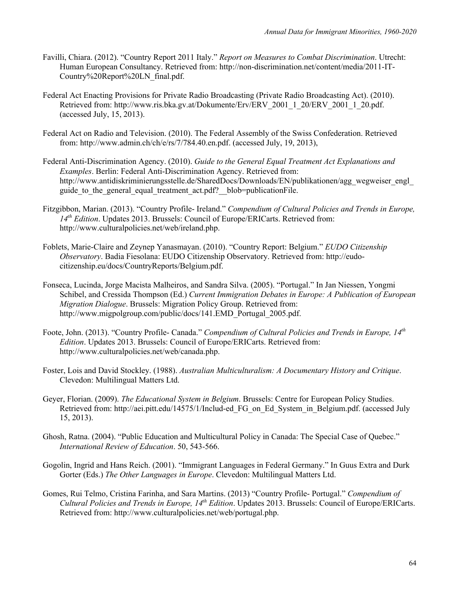- Favilli, Chiara. (2012). "Country Report 2011 Italy." *Report on Measures to Combat Discrimination*. Utrecht: Human European Consultancy. Retrieved from: http://non-discrimination.net/content/media/2011-IT-Country%20Report%20LN\_final.pdf.
- Federal Act Enacting Provisions for Private Radio Broadcasting (Private Radio Broadcasting Act). (2010). Retrieved from: http://www.ris.bka.gv.at/Dokumente/Erv/ERV\_2001\_1\_20/ERV\_2001\_1\_20.pdf. (accessed July, 15, 2013).
- Federal Act on Radio and Television. (2010). The Federal Assembly of the Swiss Confederation. Retrieved from: http://www.admin.ch/ch/e/rs/7/784.40.en.pdf. (accessed July, 19, 2013),
- Federal Anti-Discrimination Agency. (2010). *Guide to the General Equal Treatment Act Explanations and Examples*. Berlin: Federal Anti-Discrimination Agency. Retrieved from: http://www.antidiskriminierungsstelle.de/SharedDocs/Downloads/EN/publikationen/agg\_wegweiser\_engl\_ guide to the general equal treatment act.pdf? blob=publicationFile.
- Fitzgibbon, Marian. (2013). "Country Profile- Ireland." *Compendium of Cultural Policies and Trends in Europe, 14th Edition*. Updates 2013. Brussels: Council of Europe/ERICarts. Retrieved from: http://www.culturalpolicies.net/web/ireland.php.
- Foblets, Marie-Claire and Zeynep Yanasmayan. (2010). "Country Report: Belgium." *EUDO Citizenship Observatory*. Badia Fiesolana: EUDO Citizenship Observatory. Retrieved from: http://eudocitizenship.eu/docs/CountryReports/Belgium.pdf.
- Fonseca, Lucinda, Jorge Macista Malheiros, and Sandra Silva. (2005). "Portugal." In Jan Niessen, Yongmi Schibel, and Cressida Thompson (Ed.) *Current Immigration Debates in Europe: A Publication of European Migration Dialogue*. Brussels: Migration Policy Group. Retrieved from: http://www.migpolgroup.com/public/docs/141.EMD Portugal 2005.pdf.
- Foote, John. (2013). "Country Profile- Canada." *Compendium of Cultural Policies and Trends in Europe, 14th Edition*. Updates 2013. Brussels: Council of Europe/ERICarts. Retrieved from: http://www.culturalpolicies.net/web/canada.php.
- Foster, Lois and David Stockley. (1988). *Australian Multiculturalism: A Documentary History and Critique*. Clevedon: Multilingual Matters Ltd.
- Geyer, Florian. (2009). *The Educational System in Belgium*. Brussels: Centre for European Policy Studies. Retrieved from: http://aei.pitt.edu/14575/1/Includ-ed\_FG\_on\_Ed\_System\_in\_Belgium.pdf. (accessed July 15, 2013).
- Ghosh, Ratna. (2004). "Public Education and Multicultural Policy in Canada: The Special Case of Quebec." *International Review of Education*. 50, 543-566.
- Gogolin, Ingrid and Hans Reich. (2001). "Immigrant Languages in Federal Germany." In Guus Extra and Durk Gorter (Eds.) *The Other Languages in Europe*. Clevedon: Multilingual Matters Ltd.
- Gomes, Rui Telmo, Cristina Farinha, and Sara Martins. (2013) "Country Profile- Portugal." *Compendium of Cultural Policies and Trends in Europe, 14th Edition*. Updates 2013. Brussels: Council of Europe/ERICarts. Retrieved from: http://www.culturalpolicies.net/web/portugal.php.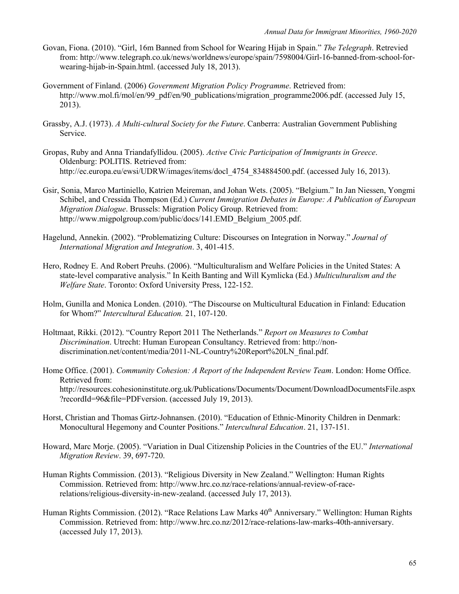- Govan, Fiona. (2010). "Girl, 16m Banned from School for Wearing Hijab in Spain." *The Telegraph*. Retrevied from: http://www.telegraph.co.uk/news/worldnews/europe/spain/7598004/Girl-16-banned-from-school-forwearing-hijab-in-Spain.html. (accessed July 18, 2013).
- Government of Finland. (2006) *Government Migration Policy Programme*. Retrieved from: http://www.mol.fi/mol/en/99\_pdf/en/90\_publications/migration\_programme2006.pdf. (accessed July 15, 2013).
- Grassby, A.J. (1973). *A Multi-cultural Society for the Future*. Canberra: Australian Government Publishing Service.
- Gropas, Ruby and Anna Triandafyllidou. (2005). *Active Civic Participation of Immigrants in Greece*. Oldenburg: POLITIS. Retrieved from: http://ec.europa.eu/ewsi/UDRW/images/items/docl 4754 834884500.pdf. (accessed July 16, 2013).
- Gsir, Sonia, Marco Martiniello, Katrien Meireman, and Johan Wets. (2005). "Belgium." In Jan Niessen, Yongmi Schibel, and Cressida Thompson (Ed.) *Current Immigration Debates in Europe: A Publication of European Migration Dialogue*. Brussels: Migration Policy Group. Retrieved from: http://www.migpolgroup.com/public/docs/141.EMD\_Belgium\_2005.pdf.
- Hagelund, Annekin. (2002). "Problematizing Culture: Discourses on Integration in Norway." *Journal of International Migration and Integration*. 3, 401-415.
- Hero, Rodney E. And Robert Preuhs. (2006). "Multiculturalism and Welfare Policies in the United States: A state-level comparative analysis." In Keith Banting and Will Kymlicka (Ed.) *Multiculturalism and the Welfare State*. Toronto: Oxford University Press, 122-152.
- Holm, Gunilla and Monica Londen. (2010). "The Discourse on Multicultural Education in Finland: Education for Whom?" *Intercultural Education.* 21, 107-120.
- Holtmaat, Rikki. (2012). "Country Report 2011 The Netherlands." *Report on Measures to Combat Discrimination*. Utrecht: Human European Consultancy. Retrieved from: http://nondiscrimination.net/content/media/2011-NL-Country%20Report%20LN\_final.pdf.
- Home Office. (2001). *Community Cohesion: A Report of the Independent Review Team*. London: Home Office. Retrieved from: http://resources.cohesioninstitute.org.uk/Publications/Documents/Document/DownloadDocumentsFile.aspx ?recordId=96&file=PDFversion. (accessed July 19, 2013).
- Horst, Christian and Thomas Girtz-Johnansen. (2010). "Education of Ethnic-Minority Children in Denmark: Monocultural Hegemony and Counter Positions." *Intercultural Education*. 21, 137-151.
- Howard, Marc Morje. (2005). "Variation in Dual Citizenship Policies in the Countries of the EU." *International Migration Review*. 39, 697-720.
- Human Rights Commission. (2013). "Religious Diversity in New Zealand." Wellington: Human Rights Commission. Retrieved from: http://www.hrc.co.nz/race-relations/annual-review-of-racerelations/religious-diversity-in-new-zealand. (accessed July 17, 2013).
- Human Rights Commission. (2012). "Race Relations Law Marks 40<sup>th</sup> Anniversary." Wellington: Human Rights Commission. Retrieved from: http://www.hrc.co.nz/2012/race-relations-law-marks-40th-anniversary. (accessed July 17, 2013).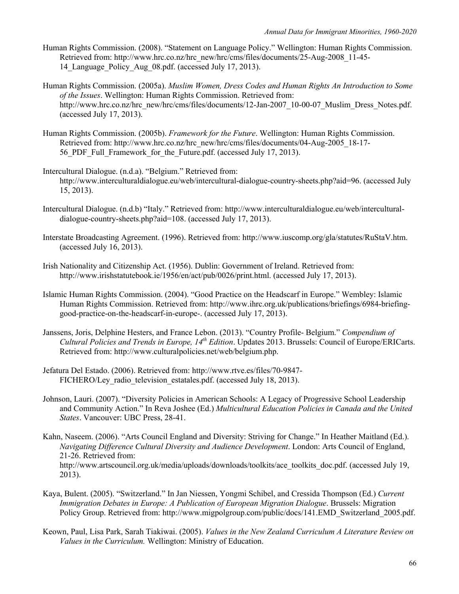- Human Rights Commission. (2008). "Statement on Language Policy." Wellington: Human Rights Commission. Retrieved from: http://www.hrc.co.nz/hrc\_new/hrc/cms/files/documents/25-Aug-2008\_11-45- 14 Language Policy Aug 08.pdf. (accessed July 17, 2013).
- Human Rights Commission. (2005a). *Muslim Women, Dress Codes and Human Rights An Introduction to Some of the Issues*. Wellington: Human Rights Commission. Retrieved from: http://www.hrc.co.nz/hrc\_new/hrc/cms/files/documents/12-Jan-2007\_10-00-07\_Muslim\_Dress\_Notes.pdf. (accessed July 17, 2013).
- Human Rights Commission. (2005b). *Framework for the Future*. Wellington: Human Rights Commission. Retrieved from: http://www.hrc.co.nz/hrc\_new/hrc/cms/files/documents/04-Aug-2005\_18-17- 56 PDF Full Framework for the Future.pdf. (accessed July 17, 2013).
- Intercultural Dialogue. (n.d.a). "Belgium." Retrieved from: http://www.interculturaldialogue.eu/web/intercultural-dialogue-country-sheets.php?aid=96. (accessed July 15, 2013).
- Intercultural Dialogue. (n.d.b) "Italy." Retrieved from: http://www.interculturaldialogue.eu/web/interculturaldialogue-country-sheets.php?aid=108. (accessed July 17, 2013).
- Interstate Broadcasting Agreement. (1996). Retrieved from: http://www.iuscomp.org/gla/statutes/RuStaV.htm. (accessed July 16, 2013).
- Irish Nationality and Citizenship Act. (1956). Dublin: Government of Ireland. Retrieved from: http://www.irishstatutebook.ie/1956/en/act/pub/0026/print.html. (accessed July 17, 2013).
- Islamic Human Rights Commission. (2004). "Good Practice on the Headscarf in Europe." Wembley: Islamic Human Rights Commission. Retrieved from: http://www.ihrc.org.uk/publications/briefings/6984-briefinggood-practice-on-the-headscarf-in-europe-. (accessed July 17, 2013).
- Janssens, Joris, Delphine Hesters, and France Lebon. (2013). "Country Profile- Belgium." *Compendium of Cultural Policies and Trends in Europe, 14th Edition*. Updates 2013. Brussels: Council of Europe/ERICarts. Retrieved from: http://www.culturalpolicies.net/web/belgium.php.
- Jefatura Del Estado. (2006). Retrieved from: http://www.rtve.es/files/70-9847- FICHERO/Ley radio television estatales.pdf. (accessed July 18, 2013).
- Johnson, Lauri. (2007). "Diversity Policies in American Schools: A Legacy of Progressive School Leadership and Community Action." In Reva Joshee (Ed.) *Multicultural Education Policies in Canada and the United States*. Vancouver: UBC Press, 28-41.
- Kahn, Naseem. (2006). "Arts Council England and Diversity: Striving for Change." In Heather Maitland (Ed.). *Navigating Difference Cultural Diversity and Audience Development*. London: Arts Council of England, 21-26. Retrieved from: http://www.artscouncil.org.uk/media/uploads/downloads/toolkits/ace\_toolkits\_doc.pdf. (accessed July 19, 2013).
- Kaya, Bulent. (2005). "Switzerland." In Jan Niessen, Yongmi Schibel, and Cressida Thompson (Ed.) *Current Immigration Debates in Europe: A Publication of European Migration Dialogue*. Brussels: Migration Policy Group. Retrieved from: http://www.migpolgroup.com/public/docs/141.EMD\_Switzerland\_2005.pdf.
- Keown, Paul, Lisa Park, Sarah Tiakiwai. (2005). *Values in the New Zealand Curriculum A Literature Review on Values in the Curriculum.* Wellington: Ministry of Education.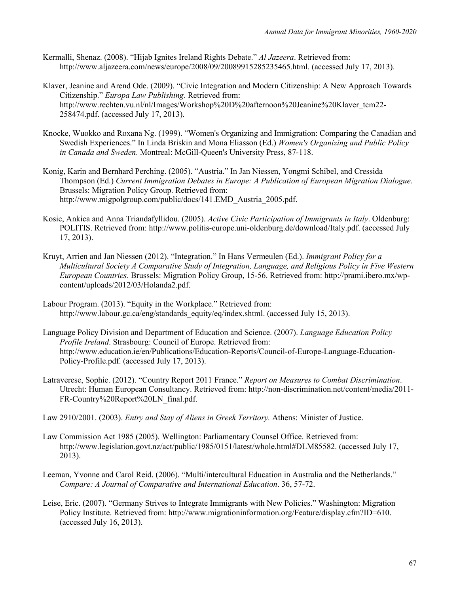- Kermalli, Shenaz. (2008). "Hijab Ignites Ireland Rights Debate." *Al Jazeera*. Retrieved from: http://www.aljazeera.com/news/europe/2008/09/20089915285235465.html. (accessed July 17, 2013).
- Klaver, Jeanine and Arend Ode. (2009). "Civic Integration and Modern Citizenship: A New Approach Towards Citizenship." *Europa Law Publishing*. Retrieved from: http://www.rechten.vu.nl/nl/Images/Workshop%20D%20afternoon%20Jeanine%20Klaver\_tcm22- 258474.pdf. (accessed July 17, 2013).
- Knocke, Wuokko and Roxana Ng. (1999). "Women's Organizing and Immigration: Comparing the Canadian and Swedish Experiences." In Linda Briskin and Mona Eliasson (Ed.) *Women's Organizing and Public Policy in Canada and Sweden*. Montreal: McGill-Queen's University Press, 87-118.
- Konig, Karin and Bernhard Perching. (2005). "Austria." In Jan Niessen, Yongmi Schibel, and Cressida Thompson (Ed.) *Current Immigration Debates in Europe: A Publication of European Migration Dialogue*. Brussels: Migration Policy Group. Retrieved from: http://www.migpolgroup.com/public/docs/141.EMD Austria 2005.pdf.
- Kosic, Ankica and Anna Triandafyllidou. (2005). *Active Civic Participation of Immigrants in Italy*. Oldenburg: POLITIS. Retrieved from: http://www.politis-europe.uni-oldenburg.de/download/Italy.pdf. (accessed July 17, 2013).
- Kruyt, Arrien and Jan Niessen (2012). "Integration." In Hans Vermeulen (Ed.). *Immigrant Policy for a Multicultural Society A Comparative Study of Integration, Language, and Religious Policy in Five Western European Countries*. Brussels: Migration Policy Group, 15-56. Retrieved from: http://prami.ibero.mx/wpcontent/uploads/2012/03/Holanda2.pdf.
- Labour Program. (2013). "Equity in the Workplace." Retrieved from: http://www.labour.gc.ca/eng/standards\_equity/eq/index.shtml. (accessed July 15, 2013).
- Language Policy Division and Department of Education and Science. (2007). *Language Education Policy Profile Ireland*. Strasbourg: Council of Europe. Retrieved from: http://www.education.ie/en/Publications/Education-Reports/Council-of-Europe-Language-Education-Policy-Profile.pdf. (accessed July 17, 2013).
- Latraverese, Sophie. (2012). "Country Report 2011 France." *Report on Measures to Combat Discrimination*. Utrecht: Human European Consultancy. Retrieved from: http://non-discrimination.net/content/media/2011- FR-Country%20Report%20LN\_final.pdf.
- Law 2910/2001. (2003). *Entry and Stay of Aliens in Greek Territory.* Athens: Minister of Justice.
- Law Commission Act 1985 (2005). Wellington: Parliamentary Counsel Office. Retrieved from: http://www.legislation.govt.nz/act/public/1985/0151/latest/whole.html#DLM85582. (accessed July 17, 2013).
- Leeman, Yvonne and Carol Reid. (2006). "Multi/intercultural Education in Australia and the Netherlands." *Compare: A Journal of Comparative and International Education*. 36, 57-72.
- Leise, Eric. (2007). "Germany Strives to Integrate Immigrants with New Policies." Washington: Migration Policy Institute. Retrieved from: http://www.migrationinformation.org/Feature/display.cfm?ID=610. (accessed July 16, 2013).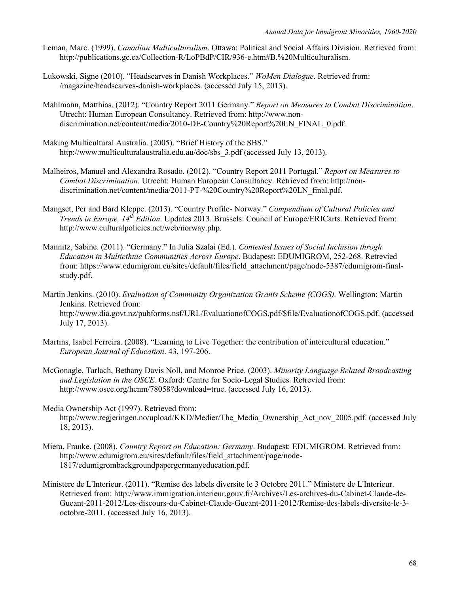- Leman, Marc. (1999). *Canadian Multiculturalism*. Ottawa: Political and Social Affairs Division. Retrieved from: http://publications.gc.ca/Collection-R/LoPBdP/CIR/936-e.htm#B.%20Multiculturalism.
- Lukowski, Signe (2010). "Headscarves in Danish Workplaces." *WoMen Dialogue*. Retrieved from: /magazine/headscarves-danish-workplaces. (accessed July 15, 2013).
- Mahlmann, Matthias. (2012). "Country Report 2011 Germany." *Report on Measures to Combat Discrimination*. Utrecht: Human European Consultancy. Retrieved from: http://www.nondiscrimination.net/content/media/2010-DE-Country%20Report%20LN\_FINAL\_0.pdf.
- Making Multicultural Australia. (2005). "Brief History of the SBS." http://www.multiculturalaustralia.edu.au/doc/sbs\_3.pdf (accessed July 13, 2013).
- Malheiros, Manuel and Alexandra Rosado. (2012). "Country Report 2011 Portugal." *Report on Measures to Combat Discrimination*. Utrecht: Human European Consultancy. Retrieved from: http://nondiscrimination.net/content/media/2011-PT-%20Country%20Report%20LN\_final.pdf.
- Mangset, Per and Bard Kleppe. (2013). "Country Profile- Norway." *Compendium of Cultural Policies and Trends in Europe, 14th Edition*. Updates 2013. Brussels: Council of Europe/ERICarts. Retrieved from: http://www.culturalpolicies.net/web/norway.php.
- Mannitz, Sabine. (2011). "Germany." In Julia Szalai (Ed.). *Contested Issues of Social Inclusion throgh Education in Multiethnic Communities Across Europe*. Budapest: EDUMIGROM, 252-268. Retrevied from: https://www.edumigrom.eu/sites/default/files/field\_attachment/page/node-5387/edumigrom-finalstudy.pdf.
- Martin Jenkins. (2010). *Evaluation of Community Organization Grants Scheme (COGS).* Wellington: Martin Jenkins. Retrieved from: http://www.dia.govt.nz/pubforms.nsf/URL/EvaluationofCOGS.pdf/\$file/EvaluationofCOGS.pdf. (accessed July 17, 2013).
- Martins, Isabel Ferreira. (2008). "Learning to Live Together: the contribution of intercultural education." *European Journal of Education*. 43, 197-206.
- McGonagle, Tarlach, Bethany Davis Noll, and Monroe Price. (2003). *Minority Language Related Broadcasting and Legislation in the OSCE.* Oxford: Centre for Socio-Legal Studies. Retrevied from: http://www.osce.org/hcnm/78058?download=true. (accessed July 16, 2013).
- Media Ownership Act (1997). Retrieved from: http://www.regjeringen.no/upload/KKD/Medier/The\_Media\_Ownership\_Act\_nov\_2005.pdf. (accessed July 18, 2013).
- Miera, Frauke. (2008). *Country Report on Education: Germany*. Budapest: EDUMIGROM. Retrieved from: http://www.edumigrom.eu/sites/default/files/field\_attachment/page/node-1817/edumigrombackgroundpapergermanyeducation.pdf.
- Ministere de L'Interieur. (2011). "Remise des labels diversite le 3 Octobre 2011." Ministere de L'Interieur. Retrieved from: http://www.immigration.interieur.gouv.fr/Archives/Les-archives-du-Cabinet-Claude-de-Gueant-2011-2012/Les-discours-du-Cabinet-Claude-Gueant-2011-2012/Remise-des-labels-diversite-le-3 octobre-2011. (accessed July 16, 2013).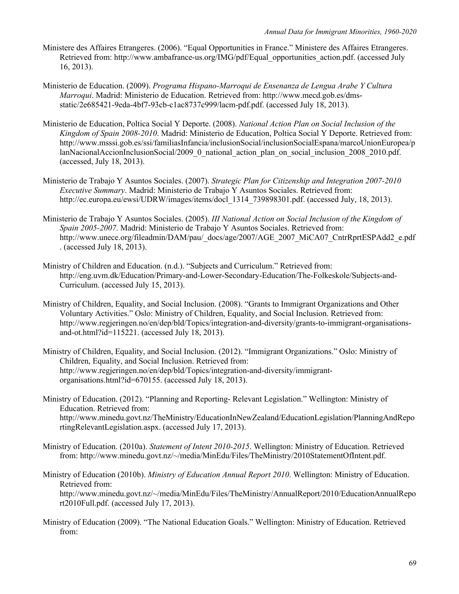- Ministere des Affaires Etrangeres. (2006). "Equal Opportunities in France." Ministere des Affaires Etrangeres. Retrieved from: http://www.ambafrance-us.org/IMG/pdf/Equal\_opportunities\_action.pdf. (accessed July 16, 2013).
- Ministerio de Education. (2009). *Programa Hispano-Marroqui de Ensenanza de Lengua Arabe Y Cultura Marroqui*. Madrid: Ministerio de Education. Retrieved from: http://www.mecd.gob.es/dmsstatic/2e685421-9eda-4bf7-93cb-c1ac8737c999/lacm-pdf.pdf. (accessed July 18, 2013).
- Ministerio de Education, Poltica Social Y Deporte. (2008). *National Action Plan on Social Inclusion of the Kingdom of Spain 2008-2010*. Madrid: Ministerio de Education, Poltica Social Y Deporte. Retrieved from: http://www.msssi.gob.es/ssi/familiasInfancia/inclusionSocial/inclusionSocialEspana/marcoUnionEuropea/p lanNacionalAccionInclusionSocial/2009\_0\_national\_action\_plan\_on\_social\_inclusion\_2008\_2010.pdf. (accessed, July 18, 2013).
- Ministerio de Trabajo Y Asuntos Sociales. (2007). *Strategic Plan for Citizenship and Integration 2007-2010 Executive Summary*. Madrid: Ministerio de Trabajo Y Asuntos Sociales. Retrieved from: http://ec.europa.eu/ewsi/UDRW/images/items/docl 1314 739898301.pdf. (accessed July, 18, 2013).
- Ministerio de Trabajo Y Asuntos Sociales. (2005). *III National Action on Social Inclusion of the Kingdom of Spain 2005-2007*. Madrid: Ministerio de Trabajo Y Asuntos Sociales. Retrieved from: http://www.unece.org/fileadmin/DAM/pau/\_docs/age/2007/AGE\_2007\_MiCA07\_CntrRprtESPAdd2\_e.pdf . (accessed July 18, 2013).
- Ministry of Children and Education. (n.d.). "Subjects and Curriculum." Retrieved from: http://eng.uvm.dk/Education/Primary-and-Lower-Secondary-Education/The-Folkeskole/Subjects-and-Curriculum. (accessed July 15, 2013).
- Ministry of Children, Equality, and Social Inclusion. (2008). "Grants to Immigrant Organizations and Other Voluntary Activities." Oslo: Ministry of Children, Equality, and Social Inclusion. Retrieved from: http://www.regjeringen.no/en/dep/bld/Topics/integration-and-diversity/grants-to-immigrant-organisationsand-ot.html?id=115221. (accessed July 18, 2013).
- Ministry of Children, Equality, and Social Inclusion. (2012). "Immigrant Organizations." Oslo: Ministry of Children, Equality, and Social Inclusion. Retrieved from: http://www.regjeringen.no/en/dep/bld/Topics/integration-and-diversity/immigrantorganisations.html?id=670155. (accessed July 18, 2013).
- Ministry of Education. (2012). "Planning and Reporting- Relevant Legislation." Wellington: Ministry of Education. Retrieved from: http://www.minedu.govt.nz/TheMinistry/EducationInNewZealand/EducationLegislation/PlanningAndRepo rtingRelevantLegislation.aspx. (accessed July 17, 2013).
- Ministry of Education. (2010a). *Statement of Intent 2010-2015*. Wellington: Ministry of Education. Retrieved from: http://www.minedu.govt.nz/~/media/MinEdu/Files/TheMinistry/2010StatementOfIntent.pdf.

Ministry of Education (2010b). *Ministry of Education Annual Report 2010*. Wellington: Ministry of Education. Retrieved from: http://www.minedu.govt.nz/~/media/MinEdu/Files/TheMinistry/AnnualReport/2010/EducationAnnualRepo rt2010Full.pdf. (accessed July 17, 2013).

Ministry of Education (2009). "The National Education Goals." Wellington: Ministry of Education. Retrieved from: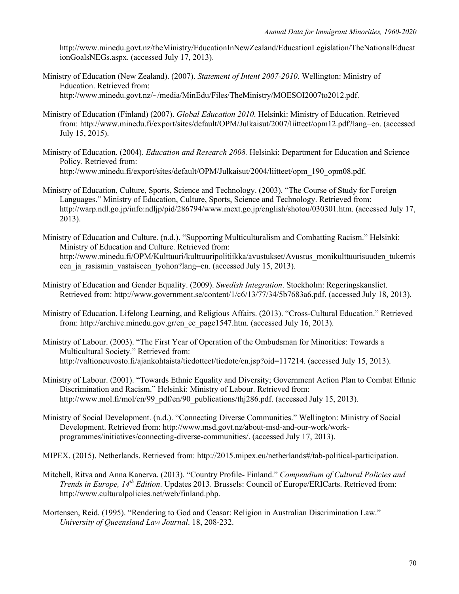http://www.minedu.govt.nz/theMinistry/EducationInNewZealand/EducationLegislation/TheNationalEducat ionGoalsNEGs.aspx. (accessed July 17, 2013).

- Ministry of Education (New Zealand). (2007). *Statement of Intent 2007-2010*. Wellington: Ministry of Education. Retrieved from: http://www.minedu.govt.nz/~/media/MinEdu/Files/TheMinistry/MOESOI2007to2012.pdf.
- Ministry of Education (Finland) (2007). *Global Education 2010*. Helsinki: Ministry of Education. Retrieved from: http://www.minedu.fi/export/sites/default/OPM/Julkaisut/2007/liitteet/opm12.pdf?lang=en. (accessed July 15, 2015).
- Ministry of Education. (2004). *Education and Research 2008.* Helsinki: Department for Education and Science Policy. Retrieved from: http://www.minedu.fi/export/sites/default/OPM/Julkaisut/2004/liitteet/opm\_190\_opm08.pdf.
- Ministry of Education, Culture, Sports, Science and Technology. (2003). "The Course of Study for Foreign Languages." Ministry of Education, Culture, Sports, Science and Technology. Retrieved from: http://warp.ndl.go.jp/info:ndljp/pid/286794/www.mext.go.jp/english/shotou/030301.htm. (accessed July 17, 2013).
- Ministry of Education and Culture. (n.d.). "Supporting Multiculturalism and Combatting Racism." Helsinki: Ministry of Education and Culture. Retrieved from: http://www.minedu.fi/OPM/Kulttuuri/kulttuuripolitiikka/avustukset/Avustus\_monikulttuurisuuden\_tukemis een ja rasismin vastaiseen tyohon?lang=en. (accessed July 15, 2013).
- Ministry of Education and Gender Equality. (2009). *Swedish Integration*. Stockholm: Regeringskansliet. Retrieved from: http://www.government.se/content/1/c6/13/77/34/5b7683a6.pdf. (accessed July 18, 2013).
- Ministry of Education, Lifelong Learning, and Religious Affairs. (2013). "Cross-Cultural Education." Retrieved from: http://archive.minedu.gov.gr/en\_ec\_page1547.htm. (accessed July 16, 2013).
- Ministry of Labour. (2003). "The First Year of Operation of the Ombudsman for Minorities: Towards a Multicultural Society." Retrieved from: http://valtioneuvosto.fi/ajankohtaista/tiedotteet/tiedote/en.jsp?oid=117214. (accessed July 15, 2013).
- Ministry of Labour. (2001). "Towards Ethnic Equality and Diversity; Government Action Plan to Combat Ethnic Discrimination and Racism." Helsinki: Ministry of Labour. Retrieved from: http://www.mol.fi/mol/en/99\_pdf/en/90\_publications/thj286.pdf. (accessed July 15, 2013).
- Ministry of Social Development. (n.d.). "Connecting Diverse Communities." Wellington: Ministry of Social Development. Retrieved from: http://www.msd.govt.nz/about-msd-and-our-work/workprogrammes/initiatives/connecting-diverse-communities/. (accessed July 17, 2013).
- MIPEX. (2015). Netherlands. Retrieved from: http://2015.mipex.eu/netherlands#/tab-political-participation.
- Mitchell, Ritva and Anna Kanerva. (2013). "Country Profile- Finland." *Compendium of Cultural Policies and Trends in Europe, 14th Edition*. Updates 2013. Brussels: Council of Europe/ERICarts. Retrieved from: http://www.culturalpolicies.net/web/finland.php.
- Mortensen, Reid. (1995). "Rendering to God and Ceasar: Religion in Australian Discrimination Law." *University of Queensland Law Journal*. 18, 208-232.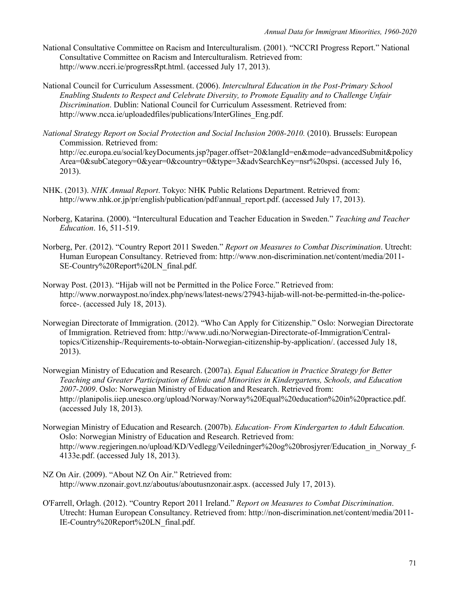- National Consultative Committee on Racism and Interculturalism. (2001). "NCCRI Progress Report." National Consultative Committee on Racism and Interculturalism. Retrieved from: http://www.nccri.ie/progressRpt.html. (accessed July 17, 2013).
- National Council for Curriculum Assessment. (2006). *Intercultural Education in the Post-Primary School Enabling Students to Respect and Celebrate Diversity, to Promote Equality and to Challenge Unfair Discrimination*. Dublin: National Council for Curriculum Assessment. Retrieved from: http://www.ncca.ie/uploadedfiles/publications/InterGlines\_Eng.pdf.
- *National Strategy Report on Social Protection and Social Inclusion 2008-2010.* (2010). Brussels: European Commission. Retrieved from: http://ec.europa.eu/social/keyDocuments.jsp?pager.offset=20&langId=en&mode=advancedSubmit&policy Area=0&subCategory=0&year=0&country=0&type=3&advSearchKey=nsr%20spsi. (accessed July 16, 2013).
- NHK. (2013). *NHK Annual Report*. Tokyo: NHK Public Relations Department. Retrieved from: http://www.nhk.or.jp/pr/english/publication/pdf/annual\_report.pdf. (accessed July 17, 2013).
- Norberg, Katarina. (2000). "Intercultural Education and Teacher Education in Sweden." *Teaching and Teacher Education*. 16, 511-519.
- Norberg, Per. (2012). "Country Report 2011 Sweden." *Report on Measures to Combat Discrimination*. Utrecht: Human European Consultancy. Retrieved from: http://www.non-discrimination.net/content/media/2011- SE-Country%20Report%20LN\_final.pdf.
- Norway Post. (2013). "Hijab will not be Permitted in the Police Force." Retrieved from: http://www.norwaypost.no/index.php/news/latest-news/27943-hijab-will-not-be-permitted-in-the-policeforce-. (accessed July 18, 2013).
- Norwegian Directorate of Immigration. (2012). "Who Can Apply for Citizenship." Oslo: Norwegian Directorate of Immigration. Retrieved from: http://www.udi.no/Norwegian-Directorate-of-Immigration/Centraltopics/Citizenship-/Requirements-to-obtain-Norwegian-citizenship-by-application/. (accessed July 18, 2013).
- Norwegian Ministry of Education and Research. (2007a). *Equal Education in Practice Strategy for Better Teaching and Greater Participation of Ethnic and Minorities in Kindergartens, Schools, and Education 2007-2009*. Oslo: Norwegian Ministry of Education and Research. Retrieved from: http://planipolis.iiep.unesco.org/upload/Norway/Norway%20Equal%20education%20in%20practice.pdf. (accessed July 18, 2013).
- Norwegian Ministry of Education and Research. (2007b). *Education- From Kindergarten to Adult Education.* Oslo: Norwegian Ministry of Education and Research. Retrieved from: http://www.regjeringen.no/upload/KD/Vedlegg/Veiledninger%20og%20brosjyrer/Education\_in\_Norway\_f-4133e.pdf. (accessed July 18, 2013).
- NZ On Air. (2009). "About NZ On Air." Retrieved from: http://www.nzonair.govt.nz/aboutus/aboutusnzonair.aspx. (accessed July 17, 2013).
- O'Farrell, Orlagh. (2012). "Country Report 2011 Ireland." *Report on Measures to Combat Discrimination*. Utrecht: Human European Consultancy. Retrieved from: http://non-discrimination.net/content/media/2011- IE-Country%20Report%20LN\_final.pdf.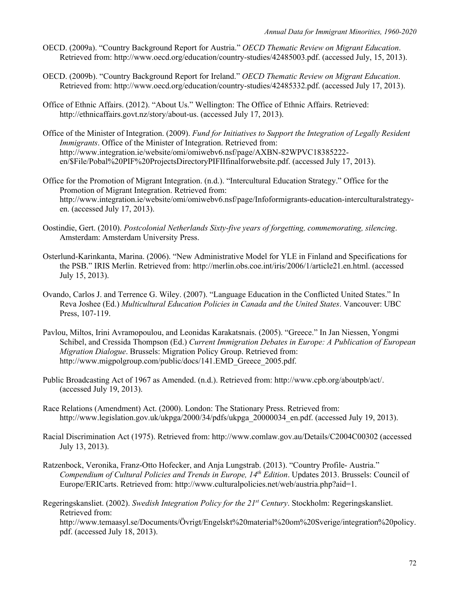- OECD. (2009a). "Country Background Report for Austria." *OECD Thematic Review on Migrant Education*. Retrieved from: http://www.oecd.org/education/country-studies/42485003.pdf. (accessed July, 15, 2013).
- OECD. (2009b). "Country Background Report for Ireland." *OECD Thematic Review on Migrant Education*. Retrieved from: http://www.oecd.org/education/country-studies/42485332.pdf. (accessed July 17, 2013).
- Office of Ethnic Affairs. (2012). "About Us." Wellington: The Office of Ethnic Affairs. Retrieved: http://ethnicaffairs.govt.nz/story/about-us. (accessed July 17, 2013).
- Office of the Minister of Integration. (2009). *Fund for Initiatives to Support the Integration of Legally Resident Immigrants*. Office of the Minister of Integration. Retrieved from: http://www.integration.ie/website/omi/omiwebv6.nsf/page/AXBN-82WPVC18385222 en/\$File/Pobal%20PIF%20ProjectsDirectoryPIFIIfinalforwebsite.pdf. (accessed July 17, 2013).
- Office for the Promotion of Migrant Integration. (n.d.). "Intercultural Education Strategy." Office for the Promotion of Migrant Integration. Retrieved from: http://www.integration.ie/website/omi/omiwebv6.nsf/page/Infoformigrants-education-interculturalstrategyen. (accessed July 17, 2013).
- Oostindie, Gert. (2010). *Postcolonial Netherlands Sixty-five years of forgetting, commemorating, silencing*. Amsterdam: Amsterdam University Press.
- Osterlund-Karinkanta, Marina. (2006). "New Administrative Model for YLE in Finland and Specifications for the PSB." IRIS Merlin. Retrieved from: http://merlin.obs.coe.int/iris/2006/1/article21.en.html. (accessed July 15, 2013).
- Ovando, Carlos J. and Terrence G. Wiley. (2007). "Language Education in the Conflicted United States." In Reva Joshee (Ed.) *Multicultural Education Policies in Canada and the United States*. Vancouver: UBC Press, 107-119.
- Pavlou, Miltos, Irini Avramopoulou, and Leonidas Karakatsnais. (2005). "Greece." In Jan Niessen, Yongmi Schibel, and Cressida Thompson (Ed.) *Current Immigration Debates in Europe: A Publication of European Migration Dialogue*. Brussels: Migration Policy Group. Retrieved from: http://www.migpolgroup.com/public/docs/141.EMD Greece 2005.pdf.
- Public Broadcasting Act of 1967 as Amended. (n.d.). Retrieved from: http://www.cpb.org/aboutpb/act/. (accessed July 19, 2013).
- Race Relations (Amendment) Act. (2000). London: The Stationary Press. Retrieved from: http://www.legislation.gov.uk/ukpga/2000/34/pdfs/ukpga\_20000034\_en.pdf. (accessed July 19, 2013).
- Racial Discrimination Act (1975). Retrieved from: http://www.comlaw.gov.au/Details/C2004C00302 (accessed July 13, 2013).
- Ratzenbock, Veronika, Franz-Otto Hofecker, and Anja Lungstrab. (2013). "Country Profile- Austria." *Compendium of Cultural Policies and Trends in Europe, 14th Edition*. Updates 2013. Brussels: Council of Europe/ERICarts. Retrieved from: http://www.culturalpolicies.net/web/austria.php?aid=1.
- Regeringskansliet. (2002). *Swedish Integration Policy for the 21st Century*. Stockholm: Regeringskansliet. Retrieved from: http://www.temaasyl.se/Documents/Övrigt/Engelskt%20material%20om%20Sverige/integration%20policy. pdf. (accessed July 18, 2013).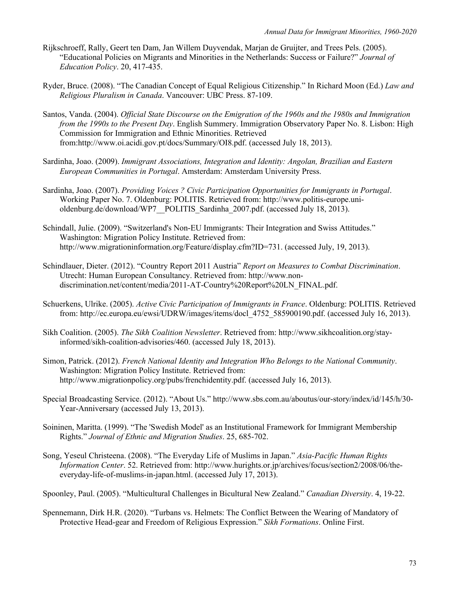- Rijkschroeff, Rally, Geert ten Dam, Jan Willem Duyvendak, Marjan de Gruijter, and Trees Pels. (2005). "Educational Policies on Migrants and Minorities in the Netherlands: Success or Failure?" *Journal of Education Policy*. 20, 417-435.
- Ryder, Bruce. (2008). "The Canadian Concept of Equal Religious Citizenship." In Richard Moon (Ed.) *Law and Religious Pluralism in Canada*. Vancouver: UBC Press. 87-109.
- Santos, Vanda. (2004). *Official State Discourse on the Emigration of the 1960s and the 1980s and Immigration from the 1990s to the Present Day*. English Summery. Immigration Observatory Paper No. 8. Lisbon: High Commission for Immigration and Ethnic Minorities. Retrieved from:http://www.oi.acidi.gov.pt/docs/Summary/OI8.pdf. (accessed July 18, 2013).
- Sardinha, Joao. (2009). *Immigrant Associations, Integration and Identity: Angolan, Brazilian and Eastern European Communities in Portugal*. Amsterdam: Amsterdam University Press.
- Sardinha, Joao. (2007). *Providing Voices ? Civic Participation Opportunities for Immigrants in Portugal*. Working Paper No. 7. Oldenburg: POLITIS. Retrieved from: http://www.politis-europe.unioldenburg.de/download/WP7\_POLITIS\_Sardinha\_2007.pdf. (accessed July 18, 2013).
- Schindall, Julie. (2009). "Switzerland's Non-EU Immigrants: Their Integration and Swiss Attitudes." Washington: Migration Policy Institute. Retrieved from: http://www.migrationinformation.org/Feature/display.cfm?ID=731. (accessed July, 19, 2013).
- Schindlauer, Dieter. (2012). "Country Report 2011 Austria" *Report on Measures to Combat Discrimination*. Utrecht: Human European Consultancy. Retrieved from: http://www.nondiscrimination.net/content/media/2011-AT-Country%20Report%20LN\_FINAL.pdf.
- Schuerkens, Ulrike. (2005). *Active Civic Participation of Immigrants in France*. Oldenburg: POLITIS. Retrieved from: http://ec.europa.eu/ewsi/UDRW/images/items/docl 4752 585900190.pdf. (accessed July 16, 2013).
- Sikh Coalition. (2005). *The Sikh Coalition Newsletter*. Retrieved from: http://www.sikhcoalition.org/stayinformed/sikh-coalition-advisories/460. (accessed July 18, 2013).
- Simon, Patrick. (2012). *French National Identity and Integration Who Belongs to the National Community*. Washington: Migration Policy Institute. Retrieved from: http://www.migrationpolicy.org/pubs/frenchidentity.pdf. (accessed July 16, 2013).
- Special Broadcasting Service. (2012). "About Us." http://www.sbs.com.au/aboutus/our-story/index/id/145/h/30- Year-Anniversary (accessed July 13, 2013).
- Soininen, Maritta. (1999). "The 'Swedish Model' as an Institutional Framework for Immigrant Membership Rights." *Journal of Ethnic and Migration Studies*. 25, 685-702.
- Song, Yeseul Christeena. (2008). "The Everyday Life of Muslims in Japan." *Asia-Pacific Human Rights Information Center*. 52. Retrieved from: http://www.hurights.or.jp/archives/focus/section2/2008/06/theeveryday-life-of-muslims-in-japan.html. (accessed July 17, 2013).
- Spoonley, Paul. (2005). "Multicultural Challenges in Bicultural New Zealand." *Canadian Diversity*. 4, 19-22.

Spennemann, Dirk H.R. (2020). "Turbans vs. Helmets: The Conflict Between the Wearing of Mandatory of Protective Head-gear and Freedom of Religious Expression." *Sikh Formations*. Online First.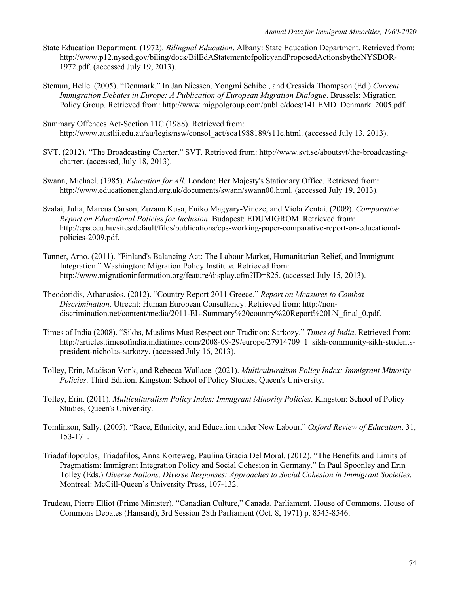- State Education Department. (1972). *Bilingual Education*. Albany: State Education Department. Retrieved from: http://www.p12.nysed.gov/biling/docs/BilEdAStatementofpolicyandProposedActionsbytheNYSBOR-1972.pdf. (accessed July 19, 2013).
- Stenum, Helle. (2005). "Denmark." In Jan Niessen, Yongmi Schibel, and Cressida Thompson (Ed.) *Current Immigration Debates in Europe: A Publication of European Migration Dialogue*. Brussels: Migration Policy Group. Retrieved from: http://www.migpolgroup.com/public/docs/141.EMD\_Denmark\_2005.pdf.
- Summary Offences Act-Section 11C (1988). Retrieved from: http://www.austlii.edu.au/au/legis/nsw/consol\_act/soa1988189/s11c.html. (accessed July 13, 2013).
- SVT. (2012). "The Broadcasting Charter." SVT. Retrieved from: http://www.svt.se/aboutsvt/the-broadcastingcharter. (accessed, July 18, 2013).
- Swann, Michael. (1985). *Education for All*. London: Her Majesty's Stationary Office. Retrieved from: http://www.educationengland.org.uk/documents/swann/swann00.html. (accessed July 19, 2013).
- Szalai, Julia, Marcus Carson, Zuzana Kusa, Eniko Magyary-Vincze, and Viola Zentai. (2009). *Comparative Report on Educational Policies for Inclusion*. Budapest: EDUMIGROM. Retrieved from: http://cps.ceu.hu/sites/default/files/publications/cps-working-paper-comparative-report-on-educationalpolicies-2009.pdf.
- Tanner, Arno. (2011). "Finland's Balancing Act: The Labour Market, Humanitarian Relief, and Immigrant Integration." Washington: Migration Policy Institute. Retrieved from: http://www.migrationinformation.org/feature/display.cfm?ID=825. (accessed July 15, 2013).
- Theodoridis, Athanasios. (2012). "Country Report 2011 Greece." *Report on Measures to Combat Discrimination*. Utrecht: Human European Consultancy. Retrieved from: http://nondiscrimination.net/content/media/2011-EL-Summary%20country%20Report%20LN\_final\_0.pdf.
- Times of India (2008). "Sikhs, Muslims Must Respect our Tradition: Sarkozy." *Times of India*. Retrieved from: http://articles.timesofindia.indiatimes.com/2008-09-29/europe/27914709\_1\_sikh-community-sikh-studentspresident-nicholas-sarkozy. (accessed July 16, 2013).
- Tolley, Erin, Madison Vonk, and Rebecca Wallace. (2021). *Multiculturalism Policy Index: Immigrant Minority Policies*. Third Edition. Kingston: School of Policy Studies, Queen's University.
- Tolley, Erin. (2011). *Multiculturalism Policy Index: Immigrant Minority Policies*. Kingston: School of Policy Studies, Queen's University.
- Tomlinson, Sally. (2005). "Race, Ethnicity, and Education under New Labour." *Oxford Review of Education*. 31, 153-171.
- Triadafilopoulos, Triadafilos, Anna Korteweg, Paulina Gracia Del Moral. (2012). "The Benefits and Limits of Pragmatism: Immigrant Integration Policy and Social Cohesion in Germany." In Paul Spoonley and Erin Tolley (Eds.) *Diverse Nations, Diverse Responses: Approaches to Social Cohesion in Immigrant Societies.* Montreal: McGill-Queen's University Press, 107-132.
- Trudeau, Pierre Elliot (Prime Minister). "Canadian Culture," Canada. Parliament. House of Commons. House of Commons Debates (Hansard), 3rd Session 28th Parliament (Oct. 8, 1971) p. 8545-8546.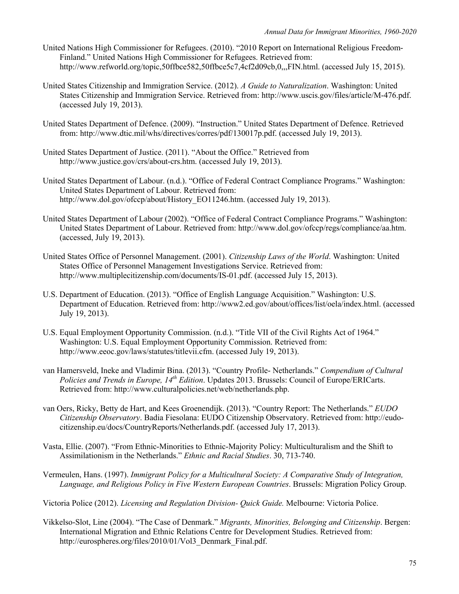- United Nations High Commissioner for Refugees. (2010). "2010 Report on International Religious Freedom-Finland." United Nations High Commissioner for Refugees. Retrieved from: http://www.refworld.org/topic,50ffbce582,50ffbce5c7,4cf2d09cb,0,,,FIN.html. (accessed July 15, 2015).
- United States Citizenship and Immigration Service. (2012). *A Guide to Naturalization*. Washington: United States Citizenship and Immigration Service. Retrieved from: http://www.uscis.gov/files/article/M-476.pdf. (accessed July 19, 2013).
- United States Department of Defence. (2009). "Instruction." United States Department of Defence. Retrieved from: http://www.dtic.mil/whs/directives/corres/pdf/130017p.pdf. (accessed July 19, 2013).
- United States Department of Justice. (2011). "About the Office." Retrieved from http://www.justice.gov/crs/about-crs.htm. (accessed July 19, 2013).
- United States Department of Labour. (n.d.). "Office of Federal Contract Compliance Programs." Washington: United States Department of Labour. Retrieved from: http://www.dol.gov/ofccp/about/History EO11246.htm. (accessed July 19, 2013).
- United States Department of Labour (2002). "Office of Federal Contract Compliance Programs." Washington: United States Department of Labour. Retrieved from: http://www.dol.gov/ofccp/regs/compliance/aa.htm. (accessed, July 19, 2013).
- United States Office of Personnel Management. (2001). *Citizenship Laws of the World*. Washington: United States Office of Personnel Management Investigations Service. Retrieved from: http://www.multiplecitizenship.com/documents/IS-01.pdf. (accessed July 15, 2013).
- U.S. Department of Education. (2013). "Office of English Language Acquisition." Washington: U.S. Department of Education. Retrieved from: http://www2.ed.gov/about/offices/list/oela/index.html. (accessed July 19, 2013).
- U.S. Equal Employment Opportunity Commission. (n.d.). "Title VII of the Civil Rights Act of 1964." Washington: U.S. Equal Employment Opportunity Commission. Retrieved from: http://www.eeoc.gov/laws/statutes/titlevii.cfm. (accessed July 19, 2013).
- van Hamersveld, Ineke and Vladimir Bina. (2013). "Country Profile- Netherlands." *Compendium of Cultural Policies and Trends in Europe, 14th Edition*. Updates 2013. Brussels: Council of Europe/ERICarts. Retrieved from: http://www.culturalpolicies.net/web/netherlands.php.
- van Oers, Ricky, Betty de Hart, and Kees Groenendijk. (2013). "Country Report: The Netherlands." *EUDO Citizenship Observatory*. Badia Fiesolana: EUDO Citizenship Observatory. Retrieved from: http://eudocitizenship.eu/docs/CountryReports/Netherlands.pdf. (accessed July 17, 2013).
- Vasta, Ellie. (2007). "From Ethnic-Minorities to Ethnic-Majority Policy: Multiculturalism and the Shift to Assimilationism in the Netherlands." *Ethnic and Racial Studies*. 30, 713-740.
- Vermeulen, Hans. (1997). *Immigrant Policy for a Multicultural Society: A Comparative Study of Integration, Language, and Religious Policy in Five Western European Countries*. Brussels: Migration Policy Group.
- Victoria Police (2012). *Licensing and Regulation Division- Quick Guide.* Melbourne: Victoria Police.
- Vikkelso-Slot, Line (2004). "The Case of Denmark." *Migrants, Minorities, Belonging and Citizenship*. Bergen: International Migration and Ethnic Relations Centre for Development Studies. Retrieved from: http://eurospheres.org/files/2010/01/Vol3\_Denmark\_Final.pdf.